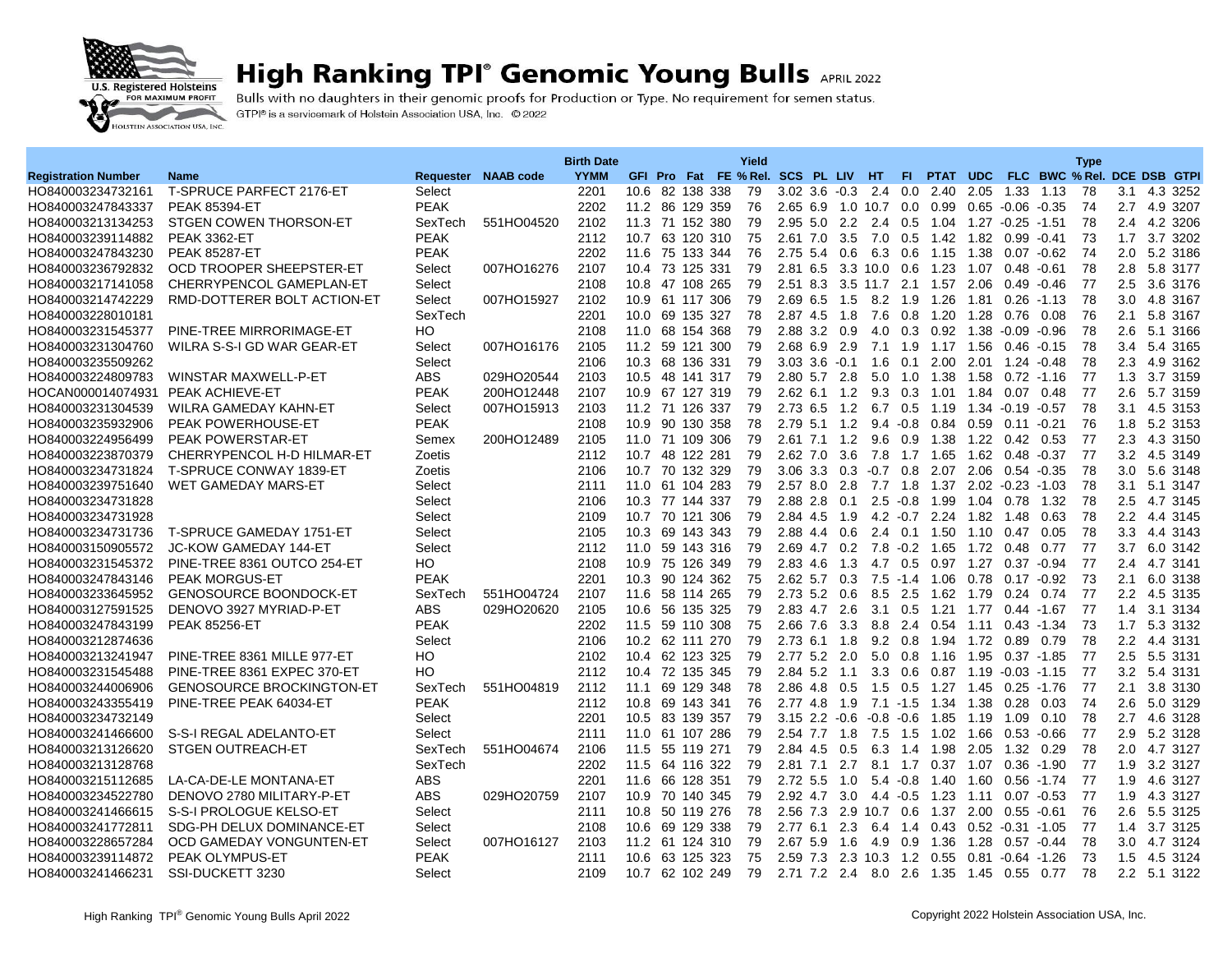

## **High Ranking TPI° Genomic Young Bulls APRIL 2022**

Bulls with no daughters in their genomic proofs for Production or Type. No requirement for semen status. GTPI® is a servicemark of Holstein Association USA, Inc. © 2022

|                                        |                                                            |                       |                     | <b>Birth Date</b> |                                     |            | Yield    |                                 |                 |              |             |                                             |           |                       |         | <b>Type</b> |                  |                          |
|----------------------------------------|------------------------------------------------------------|-----------------------|---------------------|-------------------|-------------------------------------|------------|----------|---------------------------------|-----------------|--------------|-------------|---------------------------------------------|-----------|-----------------------|---------|-------------|------------------|--------------------------|
| <b>Registration Number</b>             | Name                                                       |                       | Requester NAAB code | <b>YYMM</b>       | GFI Pro Fat FE % Rel. SCS PL LIV HT |            |          |                                 |                 |              | FL.         | PTAT UDC FLC BWC % Rel. DCE DSB GTPI        |           |                       |         |             |                  |                          |
| HO840003234732161                      | T-SPRUCE PARFECT 2176-ET                                   | Select                |                     | 2201              | 10.6 82 138 338                     |            | 79       | $3.02$ $3.6$ $-0.3$             |                 | 2.4          | 0.0         | 2.40                                        | 2.05      | 1.33                  | 1.13    | 78          | 3.1              | 4.3 3252                 |
| HO840003247843337                      | <b>PEAK 85394-ET</b>                                       | <b>PEAK</b>           |                     | 2202              | 11.2 86 129 359                     |            | 76       | 2.65 6.9 1.0 10.7               |                 |              |             | $0.0 \quad 0.99$                            |           | $0.65 - 0.06 - 0.35$  |         | 74          | 2.7              | 4.9 3207                 |
| HO840003213134253                      | STGEN COWEN THORSON-ET                                     | SexTech               | 551HO04520          | 2102              | 11.3 71 152 380                     |            | 79       | 2.95 5.0 2.2                    |                 | 2.4          |             | $0.5$ 1.04 1.27 $-0.25$ -1.51               |           |                       |         | 78          |                  | 2.4 4.2 3206             |
| HO840003239114882                      | <b>PEAK 3362-ET</b>                                        | <b>PEAK</b>           |                     | 2112              | 10.7 63 120 310                     |            | 75       | 2.61 7.0                        | 3.5             | 7.0          | 0.5         | 1.42                                        | 1.82      | $0.99 - 0.41$         |         | 73          | 1.7              | 3.7 3202                 |
| HO840003247843230                      | <b>PEAK 85287-ET</b>                                       | <b>PEAK</b>           |                     | 2202              | 11.6 75 133 344                     |            | 76       | 2.75 5.4                        | 0.6             | 6.3          | 0.6         | 1.15                                        | 1.38      | $0.07 - 0.62$         |         | 74          |                  | 2.0 5.2 3186             |
| HO840003236792832                      | OCD TROOPER SHEEPSTER-ET                                   | Select                | 007HO16276          | 2107              | 10.4                                | 73 125 331 | 79       | 2.81 6.5                        |                 | 3.3 10.0     | 0.6         | 1.23                                        | 1.07      | 0.48                  | $-0.61$ | 78          | 2.8              | 5.8 3177                 |
| HO840003217141058                      | CHERRYPENCOL GAMEPLAN-ET                                   | Select                |                     | 2108              | 10.8 47 108 265                     |            | 79       | 2.51 8.3 3.5 11.7 2.1 1.57 2.06 |                 |              |             |                                             |           | $0.49 - 0.46$         |         | 77          | 2.5              | 3.6 3176                 |
| HO840003214742229                      | RMD-DOTTERER BOLT ACTION-ET                                | Select                | 007HO15927          | 2102              | 10.9 61 117 306                     |            | 79       | 2.69 6.5                        | 1.5             | 8.2          | 1.9         | 1.26                                        | 1.81      | $0.26 - 1.13$         |         | 78          | 3.0 <sub>2</sub> | 4.8 3167                 |
| HO840003228010181                      |                                                            | SexTech               |                     | 2201              | 10.0                                | 69 135 327 | 78       | 2.87 4.5                        | 1.8             | 7.6          | 0.8         | 1.20                                        | 1.28      | 0.76                  | 0.08    | 76          | 2.1              | 5.8 3167                 |
| HO840003231545377                      | PINE-TREE MIRRORIMAGE-ET                                   | HO                    |                     | 2108              | 11.0 68 154 368                     |            | 79       | 2.88 3.2                        | 0.9             | 4.0          |             | 0.3 0.92 1.38                               |           | $-0.09 - 0.96$        |         | 78          | 2.6              | 5.1 3166                 |
| HO840003231304760                      | WILRA S-S-I GD WAR GEAR-ET                                 | Select                | 007HO16176          | 2105              | 11.2 59                             | 121 300    | 79       | 2.68 6.9                        | 2.9             | 7.1          | 1.9         | 1.17                                        | 1.56      | 0.46                  | $-0.15$ | 78          | 3.4              | 5.4 3165                 |
| HO840003235509262                      |                                                            | Select                |                     | 2106              | 10.3 68 136 331                     |            | 79       | $3.03$ $3.6$ $-0.1$             |                 | 1.6          |             | $0.1 \quad 2.00$                            | 2.01      | 1.24 -0.48            |         | -78         | 2.3              | 4.9 3162                 |
| HO840003224809783                      | WINSTAR MAXWELL-P-ET                                       | <b>ABS</b>            | 029HO20544          | 2103              | 10.5 48 141 317                     |            | 79       | 2.80 5.7                        | 2.8             | 5.0          | 1.0         | 1.38                                        | 1.58      | $0.72 - 1.16$         |         | -77         | 1.3              | 3.7 3159                 |
| HOCAN000014074931                      | <b>PEAK ACHIEVE-ET</b>                                     | <b>PEAK</b>           | 200HO12448          | 2107              | 10.9 67 127 319                     |            | 79       | 2.62 6.1 1.2                    |                 | 9.3          | 0.3         | 1.01                                        | 1.84      | 0.07                  | 0.48    | 77          | 2.6              | 5.7 3159                 |
| HO840003231304539                      | WILRA GAMEDAY KAHN-ET                                      | Select                | 007HO15913          | 2103              | 11.2 71 126 337                     |            | 79       | 2.73 6.5 1.2                    |                 |              | 6.7 0.5     | 1.19                                        | 1.34      | $-0.19 - 0.57$        |         | 78          | 3.1              | 4.5 3153                 |
| HO840003235932906                      | <b>PEAK POWERHOUSE-ET</b>                                  | <b>PEAK</b>           |                     | 2108              | 10.9 90 130 358                     |            | 78       | 2.79                            | $5.1 \quad 1.2$ |              | $9.4 - 0.8$ | 0.84                                        | 0.59      | 0.11                  | $-0.21$ | 76          | 1.8              | 5.2 3153                 |
| HO840003224956499                      | <b>PEAK POWERSTAR-ET</b>                                   | Semex                 | 200HO12489          | 2105              | 11.0 71 109 306                     |            | 79       | 2.61 7.1 1.2                    |                 | 9.6          |             | $0.9$ 1.38                                  |           | 1.22 0.42 0.53        |         | 77          | 2.3              | 4.3 3150                 |
| HO840003223870379                      | CHERRYPENCOL H-D HILMAR-ET                                 | Zoetis                |                     | 2112              | 10.7 48 122 281                     |            | 79       | 2.62 7.0                        | 3.6             | 7.8          | 1.7         | 1.65                                        | 1.62 0.48 |                       | $-0.37$ | 77          |                  | 3.2 4.5 3149             |
| HO840003234731824                      | T-SPRUCE CONWAY 1839-ET                                    | Zoetis                |                     | 2106              | 10.7 70 132 329                     |            | 79       | $3.06$ $3.3$                    | 0.3             | $-0.7$       |             | $0.8$ 2.07                                  | 2.06      | $0.54 - 0.35$         |         | 78          | 3.0              | 5.6 3148                 |
| HO840003239751640                      | WET GAMEDAY MARS-ET                                        | Select                |                     | 2111              | 11.0 61 104 283                     |            | 79       | 2.57 8.0 2.8                    |                 |              | $7.7$ 1.8   |                                             |           | 1.37 2.02 -0.23 -1.03 |         | 78          | 3.1              | 5.1 3147                 |
| HO840003234731828                      |                                                            | Select                |                     | 2106              | 10.3 77 144 337                     |            | 79       | 2.88 2.8                        | 0.1             | 2.5          | $-0.8$      | 1.99                                        | 1.04      | 0.78                  | 1.32    | 78          | 2.5              | 4.7 3145                 |
| HO840003234731928                      |                                                            | Select                |                     | 2109              | 10.7 70 121 306                     |            | 79       | 2.84 4.5                        | 1.9             |              |             | 4.2 -0.7 2.24 1.82                          |           | 1.48                  | 0.63    | 78          |                  | 2.2 4.4 3145             |
| HO840003234731736                      | T-SPRUCE GAMEDAY 1751-ET                                   | Select                |                     | 2105              | 10.3 69 143 343                     |            | 79       | 2.88 4.4                        | 0.6             | 2.4          | 0.1         | 1.50                                        | 1.10      | 0.47                  | 0.05    | 78          | 3.3              | 4.4 3143                 |
| HO840003150905572                      | JC-KOW GAMEDAY 144-ET                                      | Select                |                     | 2112              | 11.0 59 143 316                     |            | 79       | 2.69 4.7 0.2                    |                 | 7.8          |             | $-0.2$ 1.65                                 | 1.72      | 0.48                  | 0.77    | 77          | 3.7              | 6.0 3142                 |
| HO840003231545372                      | PINE-TREE 8361 OUTCO 254-ET                                | HO                    |                     | 2108              | 10.9 75 126 349                     |            | 79       | 2.83 4.6                        | 1.3             | 4.7          | 0.5         | 0.97                                        | 1.27      | $0.37 - 0.94$         |         | 77          | 2.4              | 4.7 3141                 |
| HO840003247843146                      | <b>PEAK MORGUS-ET</b>                                      | <b>PEAK</b>           |                     | 2201              | 10.3                                | 90 124 362 | 75       | $2.62$ 5.7 0.3                  |                 | 7.5          | $-1.4$      | 1.06                                        | 0.78      | $0.17 - 0.92$         |         | 73          | 2.1              | 6.0 3138                 |
| HO840003233645952                      | <b>GENOSOURCE BOONDOCK-ET</b>                              | SexTech               | 551HO04724          | 2107              | 11.6 58 114 265                     |            | 79       | $2.73$ 5.2 0.6                  |                 | 8.5          | 2.5         | 1.62 1.79                                   |           | $0.24$ 0.74           |         | 77          |                  | 2.2 4.5 3135             |
| HO840003127591525                      | DENOVO 3927 MYRIAD-P-ET                                    | <b>ABS</b>            | 029HO20620          | 2105              | 10.6                                | 56 135 325 | 79       | 2.83 4.7                        | 2.6             | 3.1          | 0.5         | 1.21                                        | 1.77      | $0.44 - 1.67$         |         | 77          | 1.4              | 3.1 3134                 |
| HO840003247843199                      | <b>PEAK 85256-ET</b>                                       | <b>PEAK</b><br>Select |                     | 2202<br>2106      | 11.5 59 110 308<br>10.2 62 111 270  |            | 75<br>79 | 2.66 7.6                        | 3.3             | 8.8          | 0.8         | 2.4 0.54 1.11                               | 1.72      | $0.43 - 1.34$         |         | 73<br>78    | 1.7              | 5.3 3132<br>4.4 3131     |
| HO840003212874636                      |                                                            |                       |                     | 2102              | 10.4 62 123 325                     |            | 79       | $2.73$ 6.1                      | 1.8             | 9.2          |             | 1.94                                        |           | 0.89                  | 0.79    | 77          | 2.2<br>2.5       |                          |
| HO840003213241947                      | PINE-TREE 8361 MILLE 977-ET<br>PINE-TREE 8361 EXPEC 370-ET | HO<br>HO              |                     | 2112              | 10.4 72 135 345                     |            | 79       | 2.77 5.2 2.0<br>2.84 5.2 1.1    |                 | 5.0<br>3.3   | 0.8         | 1.16<br>$0.6$ $0.87$ $1.19$ $-0.03$ $-1.15$ | 1.95      | $0.37 - 1.85$         |         | 77          |                  | 5.5 3131<br>3.2 5.4 3131 |
| HO840003231545488<br>HO840003244006906 | <b>GENOSOURCE BROCKINGTON-ET</b>                           | SexTech               | 551HO04819          | 2112              | 11.1<br>69                          | 129 348    | 78       | 2.86 4.8                        | 0.5             | 1.5          | 0.5         | 1.27 1.45                                   |           | $0.25 - 1.76$         |         | -77         | 2.1              | 3.8 3130                 |
| HO840003243355419                      | PINE-TREE PEAK 64034-ET                                    | <b>PEAK</b>           |                     | 2112              | 10.8 69 143 341                     |            | 76       | 2.77 4.8 1.9                    |                 |              |             | 7.1 -1.5 1.34 1.38                          |           | 0.28                  | 0.03    | 74          | 2.6              | 5.0 3129                 |
| HO840003234732149                      |                                                            | Select                |                     | 2201              | 10.5 83 139 357                     |            | 79       | $3.15$ 2.2                      | $-0.6$          | $-0.8$       | $-0.6$      | 1.85                                        | 1.19      | 1.09                  | 0.10    | 78          | 2.7              | 4.6 3128                 |
| HO840003241466600                      | S-S-I REGAL ADELANTO-ET                                    | Select                |                     | 2111              | 11.0 61 107 286                     |            | 79       | 2.54 7.7                        | 1.8             | 7.5          | 1.5         | 1.02                                        | 1.66      | $0.53 - 0.66$         |         | 77          | 2.9              | 5.2 3128                 |
| HO840003213126620                      | <b>STGEN OUTREACH-ET</b>                                   | SexTech               | 551HO04674          | 2106              | 11.5 55 119 271                     |            | 79       | 2.84 4.5                        | 0.5             | 6.3          | 1.4         | 1.98                                        | 2.05      | 1.32 0.29             |         | 78          | 2.0              | 4.7 3127                 |
| HO840003213128768                      |                                                            | SexTech               |                     | 2202              | 11.5 64 116 322                     |            | 79       | $2.81$ $7.1$                    | 2.7             |              | 8.1 1.7     | 0.37 1.07                                   |           | $0.36 - 1.90$         |         | 77          | 1.9              | 3.2 3127                 |
| HO840003215112685                      | LA-CA-DE-LE MONTANA-ET                                     | <b>ABS</b>            |                     | 2201              | 11.6 66 128 351                     |            | 79       | 2.72 5.5                        | $-1.0$          |              | $5.4 - 0.8$ | 1.40 1.60                                   |           | $0.56 - 1.74$         |         | -77         | 1.9              | 4.6 3127                 |
| HO840003234522780                      | DENOVO 2780 MILITARY-P-ET                                  | <b>ABS</b>            | 029HO20759          | 2107              | 10.9                                | 70 140 345 | 79       | 2.92 4.7                        | 3.0             | 4.4          | $-0.5$      | 1.23                                        | 1.11      | $0.07 - 0.53$         |         | 77          | 1.9              | 4.3 3127                 |
| HO840003241466615                      | S-S-I PROLOGUE KELSO-ET                                    | Select                |                     | 2111              | 10.8 50 119 276                     |            | 78       | 2.56 7.3                        |                 | 2.9 10.7 0.6 |             | 1.37                                        | 2.00      | $0.55 - 0.61$         |         | 76          | 2.6              | 5.5 3125                 |
| HO840003241772811                      | SDG-PH DELUX DOMINANCE-ET                                  | Select                |                     | 2108              | 10.6 69 129 338                     |            | 79       | 2.776.1                         | 2.3             | 6.4          | 1.4         | $0.43$ $0.52$ $-0.31$ $-1.05$               |           |                       |         | 77          | 1.4              | 3.7 3125                 |
| HO840003228657284                      | OCD GAMEDAY VONGUNTEN-ET                                   | Select                | 007HO16127          | 2103              | 11.2 61 124 310                     |            | 79       | 2.67<br>5.9                     | 1.6             | 4.9          | 0.9         | 1.36                                        | 1.28      | $0.57 - 0.44$         |         | 78          | 3.0              | 4.7 3124                 |
| HO840003239114872                      | <b>PEAK OLYMPUS-ET</b>                                     | <b>PEAK</b>           |                     | 2111              | 10.6 63 125 323                     |            | 75       | 2.59 7.3 2.3 10.3               |                 |              |             | 1.2 0.55                                    |           | $0.81$ $0.64$ $1.26$  |         | 73          | 1.5              | 4.5 3124                 |
| HO840003241466231                      | SSI-DUCKETT 3230                                           | Select                |                     | 2109              | 10.7 62 102 249                     |            | 79       | 2.71 7.2 2.4                    |                 | 8.0          | 2.6         | 1.35 1.45 0.55 0.77                         |           |                       |         | 78          |                  | 2.2 5.1 3122             |
|                                        |                                                            |                       |                     |                   |                                     |            |          |                                 |                 |              |             |                                             |           |                       |         |             |                  |                          |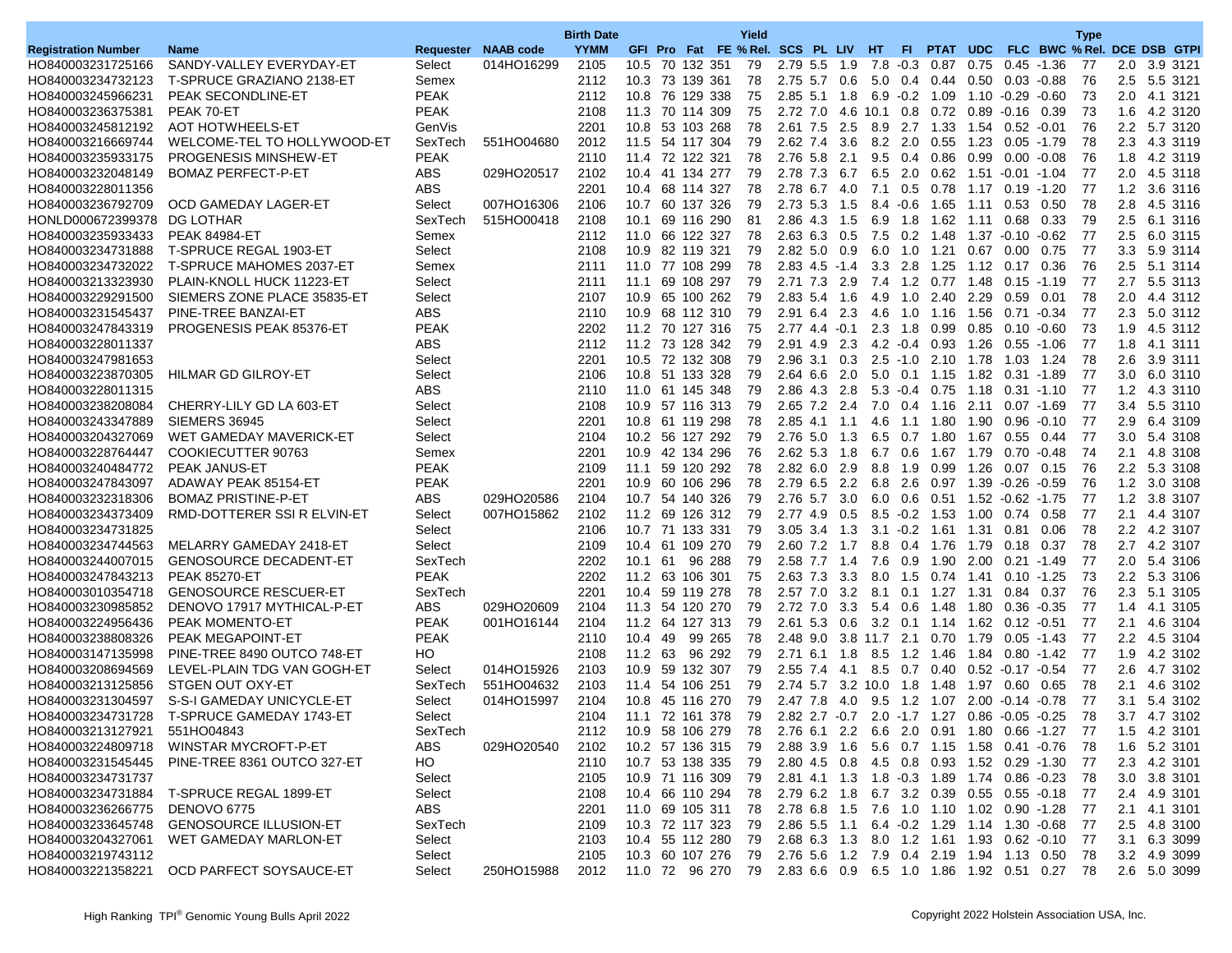| FLC BWC % Rel. DCE DSB GTPI<br><b>Registration Number</b><br>Requester NAAB code<br><b>YYMM</b><br>GFI Pro Fat FE % Rel. SCS PL LIV HT<br><b>Name</b><br>FL.<br>PTAT UDC<br>HO840003231725166<br>SANDY-VALLEY EVERYDAY-ET<br>Select<br>014HO16299<br>2105<br>10.5 70 132 351<br>79<br>2.79 5.5<br>$-0.3$<br>0.75<br>$0.45 - 1.36$<br>77<br>2.0 3.9 3121<br>1.9<br>7.8<br>0.87<br>2.75 5.7 0.6<br>76<br>HO840003234732123<br>T-SPRUCE GRAZIANO 2138-ET<br>2112<br>10.3 73 139 361<br>78<br>5.0<br>0.4 0.44<br>0.50<br>$0.03 - 0.88$<br>2.5<br>5.5 3121<br>Semex<br>HO840003245966231<br>PEAK SECONDLINE-ET<br><b>PEAK</b><br>2112<br>10.8 76 129 338<br>75<br>2.85 5.1<br>1.8<br>6.9  0.2  1.09<br>1.10 -0.29 -0.60<br>73<br>2.0 4.1 3121<br><b>PEAK</b><br>HO840003236375381<br>PEAK 70-ET<br>2108<br>11.3 70 114 309<br>75<br>$2.72$ $7.0$<br>4.6 10.1 0.8<br>0.72<br>$0.89 - 0.16$<br>0.39<br>73<br>1.6<br>4.2 3120<br><b>AOT HOTWHEELS-ET</b><br>2201<br>53 103 268<br>2.61 7.5<br>2.5<br>8.9 2.7<br>76<br>2.2<br>5.7 3120<br>HO840003245812192<br>GenVis<br>10.8<br>78<br>1.33<br>1.54<br>$0.52 - 0.01$<br>HO840003216669744<br>WELCOME-TEL TO HOLLYWOOD-ET<br>551HO04680<br>2012<br>11.5 54 117 304<br>79<br>2.62 7.4<br>3.6<br>$8.2\quad 2.0$<br>0.55<br>1.23 0.05 -1.79<br>78<br>2.3 4.3 3119<br>SexTech<br><b>PEAK</b><br><b>PROGENESIS MINSHEW-ET</b><br>2110<br>11.4 72 122 321<br>78<br>2.76 5.8<br>2.1<br>9.5<br>0.4<br>0.86<br>0.99<br>0.00<br>76<br>1.8<br>4.2 3119<br>HO840003235933175<br>$-0.08$<br><b>ABS</b><br>029HO20517<br>2102<br>10.4 41 134 277<br>2.78 7.3<br>6.7<br>$6.5$ 2.0<br>77<br>2.0<br>4.5 3118<br>HO840003232048149<br><b>BOMAZ PERFECT-P-ET</b><br>79<br>0.62<br>1.51<br>$-0.01 - 1.04$<br><b>ABS</b><br>2201<br>HO840003228011356<br>10.4 68 114 327<br>78<br>2.78 6.7 4.0<br>7.1 0.5 0.78 1.17 0.19 -1.20<br>-77<br>1.2 3.6 3116<br>007HO16306<br>HO840003236792709<br>OCD GAMEDAY LAGER-ET<br>Select<br>2106<br>10.7 60 137 326<br>79<br>2.73 5.3<br>$8.4 \quad 0.6$<br>78<br>2.8<br>4.5 3116<br>1.5<br>1.65<br>1.11<br>0.53<br>0.50<br><b>DG LOTHAR</b><br>2108<br>2.86 4.3<br>79<br>2.5<br>6.1 3116<br>HONLD000672399378<br>SexTech<br>515HO00418<br>10.1<br>69 116 290<br>81<br>1.5<br>6.9<br>1.8<br>1.62<br>0.68<br>0.33<br>1.11<br>HO840003235933433<br><b>PEAK 84984-ET</b><br>2112<br>11.0 66 122 327<br>78<br>2.63 6.3 0.5<br>7.5 0.2 1.48<br>1.37 -0.10<br>-77<br>2.5<br>6.0 3115<br>Semex<br>$-0.62$<br>2108<br>HO840003234731888<br>T-SPRUCE REGAL 1903-ET<br>Select<br>10.9 82 119 321<br>79<br>$2.82\ 5.0$<br>0.9<br>6.0<br>1.0<br>1.21<br>0.67<br>0.75<br>-77<br>3.3<br>5.9 3114<br>0.00<br>HO840003234732022<br>T-SPRUCE MAHOMES 2037-ET<br>2111<br>11.0 77 108 299<br>78<br>$2.83$ 4.5 -1.4<br>$3.3$ 2.8<br>1.25<br>1.12 0.17<br>0.36<br>76<br>2.5<br>5.1 3114<br>Semex<br>HO840003213323930<br>PLAIN-KNOLL HUCK 11223-ET<br>Select<br>2111<br>11.1 69 108 297<br>79<br>2.71 7.3 2.9<br>7.4 1.2 0.77 1.48 0.15 1.19<br>-77<br>2.7<br>5.5 3113<br>2107<br>2.0<br>HO840003229291500<br>SIEMERS ZONE PLACE 35835-ET<br>10.9 65 100 262<br>79<br>2.83 5.4<br>1.6<br>1.0<br>2.40<br>2.29<br>0.59<br>0.01<br>78<br>4.4 3112<br>Select<br>4.9<br>PINE-TREE BANZAI-ET<br><b>ABS</b><br>10.9 68 112 310<br>2.3<br>77<br>5.0 3112<br>HO840003231545437<br>2110<br>79<br>2.91 6.4<br>4.6<br>1.0<br>1.16<br>1.56<br>$0.71 - 0.34$<br>2.3<br>HO840003247843319<br>PROGENESIS PEAK 85376-ET<br><b>PEAK</b><br>2202<br>11.2 70 127 316<br>75<br>2.77 4.4<br>$-0.1$<br>$2.3$ 1.8<br>0.99<br>$0.85$ 0.10<br>73<br>1.9<br>4.5 3112<br>$-0.60$<br><b>ABS</b><br>HO840003228011337<br>2112<br>11.2 73 128 342<br>79<br>2.91 4.9<br>2.3<br>$4.2 \cdot 0.4$<br>0.93<br>1.26<br>$-1.06$<br>77<br>1.8<br>4.1 3111<br>0.55<br>2201<br>10.5 72 132 308<br>$2.5 - 1.0$<br>78<br>3.9 3111<br>HO840003247981653<br>Select<br>79<br>$2.96$ 3.1<br>0.3<br>2.10 1.78<br>1.03<br>1.24<br>2.6<br><b>HILMAR GD GILROY-ET</b><br>Select<br>2106<br>10.8 51 133 328<br>79<br>2.0<br>5.0 0.1 1.15 1.82 0.31 1.89<br>77<br>3.0 6.0 3110<br>HO840003223870305<br>2.64 6.6<br><b>ABS</b><br>2.86 4.3<br>HO840003228011315<br>2110<br>11.0 61 145 348<br>79<br>2.8<br>$5.3 - 0.4$ 0.75<br>1.18<br>$0.31 - 1.10$<br>-77<br>1.2<br>4.3 3110<br>2.11<br>HO840003238208084<br>CHERRY-LILY GD LA 603-ET<br>Select<br>2108<br>10.9 57 116 313<br>79<br>2.65 7.2 2.4<br>7.0 0.4 1.16<br>$0.07 - 1.69$<br>-77<br>3.4<br>5.5 3110<br>HO840003243347889<br>SIEMERS 36945<br>Select<br>2201<br>10.8 61 119 298<br>78<br>-77<br>2.9 6.4 3109<br>2.85 4.1 1.1<br>4.6 1.1 1.80 1.90<br>0.96 -0.10<br>2104<br>HO840003204327069<br>WET GAMEDAY MAVERICK-ET<br>Select<br>10.2 56 127 292<br>79<br>2.76 5.0<br>1.3<br>$6.5 \quad 0.7$<br>1.80<br>1.67<br>0.55<br>77<br>3.0 <sub>2</sub><br>5.4 3108<br>0.44<br>HO840003228764447<br>COOKIECUTTER 90763<br>2201<br>10.9 42 134 296<br>76<br>2.62 5.3<br>1.8<br>6.7 0.6<br>1.67<br>1.79<br>0.70<br>$-0.48$<br>74<br>2.1<br>4.8 3108<br>Semex<br>HO840003240484772<br><b>PEAK JANUS-ET</b><br><b>PEAK</b><br>2109<br>11.1 59 120 292<br>78<br>2.82 6.0<br>2.9<br>8.8 1.9<br>0.99<br>1.26 0.07 0.15<br>76<br>2.2 5.3 3108<br>HO840003247843097<br>ADAWAY PEAK 85154-ET<br><b>PEAK</b><br>2201<br>10.9 60 106 296<br>78<br>2.79 6.5<br>2.2<br>6.8<br>2.6<br>0.97<br>1.39<br>$-0.26$<br>76<br>1.2<br>3.0 3108<br>$-0.59$<br>2104<br>2.76 5.7 3.0<br>1.2 3.8 3107<br>HO840003232318306<br><b>BOMAZ PRISTINE-P-ET</b><br><b>ABS</b><br>029HO20586<br>10.7 54 140 326<br>79<br>$6.0\quad 0.6$<br>-77<br>2102<br>RMD-DOTTERER SSI R ELVIN-ET<br>007HO15862<br>11.2 69 126 312<br>79<br>2.77 4.9 0.5<br>$8.5 - 0.2$ 1.53<br>0.58<br>77<br>2.1<br>4.4 3107<br>HO840003234373409<br>Select<br>1.00<br>0.74<br>HO840003234731825<br>Select<br>2106<br>10.7 71 133 331<br>79<br>$3.05$ $3.4$<br>1.3<br>3.1<br>$-0.2$<br>1.31<br>0.81<br>0.06<br>78<br>2.2<br>4.2 3107<br>1.61<br>8.8 0.4 1.76<br>2.7 4.2 3107<br>HO840003234744563<br>MELARRY GAMEDAY 2418-ET<br>Select<br>2109<br>10.4 61 109 270<br>79<br>2.60 7.2<br>1.7<br>1.79  0.18  0.37<br>78<br>2202<br>HO840003244007015<br><b>GENOSOURCE DECADENT-ET</b><br>SexTech<br>10.1 61<br>96 288<br>79<br>2.58 7.7<br>7.6 0.9<br>1.90 2.00<br>$0.21 - 1.49$<br>77<br>2.0 5.4 3106<br>1.4<br><b>PEAK</b><br>HO840003247843213<br><b>PEAK 85270-ET</b><br>2202<br>11.2 63 106 301<br>75<br>2.63 7.3<br>3.3<br>8.0<br>1.5<br>0.74<br>$0.10 - 1.25$<br>73<br>2.2<br>5.3 3106<br>1.41<br><b>GENOSOURCE RESCUER-ET</b><br>SexTech<br>2201<br>$2.57$ $7.0$<br>3.2<br>76<br>HO840003010354718<br>10.4 59 119 278<br>78<br>8.1<br>0.1<br>1.27<br>1.31<br>0.84<br>0.37<br>2.3<br>5.1 3105<br><b>ABS</b><br>2104<br>DENOVO 17917 MYTHICAL-P-ET<br>029HO20609<br>11.3 54 120 270<br>79<br>2.72 7.0<br>3.3<br>5.4 0.6<br>1.48<br>1.80<br>$0.36 - 0.35$<br>77<br>1.4<br>4.1 3105<br>HO840003230985852<br><b>PEAK</b><br>HO840003224956436<br>PEAK MOMENTO-ET<br>001HO16144<br>2104<br>11.2<br>64 127 313<br>79<br>2.61 5.3<br>3.2<br>77<br>2.1<br>4.6 3104<br>0.6<br>0.1<br>1.14<br>1.62<br>0.12<br>$-0.51$<br><b>PEAK</b><br>2.48 9.0 3.8 11.7 2.1<br>2.2 4.5 3104<br>HO840003238808326<br>PEAK MEGAPOINT-ET<br>2110<br>10.4 49<br>99 265<br>78<br>$0.70$ 1.79 $0.05$ -1.43<br>-77<br>HO<br>2108<br>HO840003147135998<br>PINE-TREE 8490 OUTCO 748-ET<br>11.2 63<br>96 292<br>79<br>2.71 6.1<br>1.8<br>8.5 1.2<br>1.46<br>1.84 0.80 -1.42<br>77<br>1.9 4.2 3102<br>HO840003208694569<br>LEVEL-PLAIN TDG VAN GOGH-ET<br>Select<br>014HO15926<br>2103<br>10.9<br>59 132 307<br>79<br>2.55 7.4<br>8.5<br>77<br>2.6<br>4.7 3102<br>0.7<br>0.40<br>$0.52 - 0.17$<br>$-0.54$<br>4.1<br>HO840003213125856<br>STGEN OUT OXY-ET<br>SexTech<br>551HO04632<br>2103<br>11.4 54 106 251<br>79<br>2.74 5.7 3.2 10.0 1.8<br>1.48<br>1.97 0.60<br>78<br>2.1<br>4.6 3102<br>0.65<br>S-S-I GAMEDAY UNICYCLE-ET<br>014HO15997<br>2104<br>10.8 45 116 270<br>79<br>2.47 7.8<br>$9.5$ 1.2<br>$2.00 - 0.14$<br>77<br>3.1<br>5.4 3102<br>HO840003231304597<br>Select<br>-4.0<br>1.07<br>$-0.78$<br>HO840003234731728<br>T-SPRUCE GAMEDAY 1743-ET<br>Select<br>2104<br>11.1 72 161 378<br>79<br>2.82 2.7 -0.7 2.0 -1.7 1.27 0.86 -0.05 -0.25<br>78<br>3.7 4.7 3102<br>HO840003213127921<br>2.76 6.1 2.2 6.6 2.0 0.91 1.80 0.66 -1.27<br>1.5 4.2 3101<br>551HO04843<br>SexTech<br>2112<br>10.9 58 106 279<br>-77<br>78<br>WINSTAR MYCROFT-P-ET<br>ABS<br>029HO20540<br>2102<br>HO840003224809718<br>10.2 57 136 315<br>79<br>2.88 3.9 1.6 5.6 0.7 1.15 1.58 0.41 0.76<br>1.6 5.2 3101<br>-78<br>HO840003231545445<br>PINE-TREE 8361 OUTCO 327-ET<br>HO.<br>2.80 4.5 0.8 4.5 0.8 0.93 1.52 0.29 -1.30<br>2.3 4.2 3101<br>2110<br>10.7 53 138 335<br>79<br>-77<br>HO840003234731737<br>2.81 4.1 1.3 1.8 0.3 1.89 1.74 0.86 0.23<br>3.0 3.8 3101<br>Select<br>2105<br>10.9 71 116 309<br>79<br>-78<br>HO840003234731884 T-SPRUCE REGAL 1899-ET<br>Select<br>2.79 6.2 1.8 6.7 3.2 0.39 0.55 0.55 0.18<br>2108<br>10.4 66 110 294<br>78<br>2.4 4.9 3101<br>-77<br>DENOVO 6775<br>ABS<br>2.78 6.8 1.5 7.6 1.0 1.10 1.02 0.90 -1.28<br>HO840003236266775<br>2201<br>11.0 69 105 311<br>78<br>2.1 4.1 3101<br>-77<br>HO840003233645748<br><b>GENOSOURCE ILLUSION-ET</b><br>SexTech<br>10.3 72 117 323<br>2.86 5.5 1.1 6.4 -0.2 1.29 1.14 1.30 -0.68<br>2.5 4.8 3100<br>2109<br>79<br>-77<br>10.4 55 112 280<br>2.68 6.3 1.3 8.0 1.2 1.61 1.93 0.62 0.10<br>HO840003204327061<br>WET GAMEDAY MARLON-ET<br>Select<br>2103<br>79<br>3.1 6.3 3099<br>-77<br>10.3 60 107 276<br>2.76 5.6 1.2 7.9 0.4 2.19 1.94 1.13 0.50<br>3.2 4.9 3099 |                   |        | <b>Birth Date</b> |  | Yield |  |  |  |  | <b>Type</b> |  |
|----------------------------------------------------------------------------------------------------------------------------------------------------------------------------------------------------------------------------------------------------------------------------------------------------------------------------------------------------------------------------------------------------------------------------------------------------------------------------------------------------------------------------------------------------------------------------------------------------------------------------------------------------------------------------------------------------------------------------------------------------------------------------------------------------------------------------------------------------------------------------------------------------------------------------------------------------------------------------------------------------------------------------------------------------------------------------------------------------------------------------------------------------------------------------------------------------------------------------------------------------------------------------------------------------------------------------------------------------------------------------------------------------------------------------------------------------------------------------------------------------------------------------------------------------------------------------------------------------------------------------------------------------------------------------------------------------------------------------------------------------------------------------------------------------------------------------------------------------------------------------------------------------------------------------------------------------------------------------------------------------------------------------------------------------------------------------------------------------------------------------------------------------------------------------------------------------------------------------------------------------------------------------------------------------------------------------------------------------------------------------------------------------------------------------------------------------------------------------------------------------------------------------------------------------------------------------------------------------------------------------------------------------------------------------------------------------------------------------------------------------------------------------------------------------------------------------------------------------------------------------------------------------------------------------------------------------------------------------------------------------------------------------------------------------------------------------------------------------------------------------------------------------------------------------------------------------------------------------------------------------------------------------------------------------------------------------------------------------------------------------------------------------------------------------------------------------------------------------------------------------------------------------------------------------------------------------------------------------------------------------------------------------------------------------------------------------------------------------------------------------------------------------------------------------------------------------------------------------------------------------------------------------------------------------------------------------------------------------------------------------------------------------------------------------------------------------------------------------------------------------------------------------------------------------------------------------------------------------------------------------------------------------------------------------------------------------------------------------------------------------------------------------------------------------------------------------------------------------------------------------------------------------------------------------------------------------------------------------------------------------------------------------------------------------------------------------------------------------------------------------------------------------------------------------------------------------------------------------------------------------------------------------------------------------------------------------------------------------------------------------------------------------------------------------------------------------------------------------------------------------------------------------------------------------------------------------------------------------------------------------------------------------------------------------------------------------------------------------------------------------------------------------------------------------------------------------------------------------------------------------------------------------------------------------------------------------------------------------------------------------------------------------------------------------------------------------------------------------------------------------------------------------------------------------------------------------------------------------------------------------------------------------------------------------------------------------------------------------------------------------------------------------------------------------------------------------------------------------------------------------------------------------------------------------------------------------------------------------------------------------------------------------------------------------------------------------------------------------------------------------------------------------------------------------------------------------------------------------------------------------------------------------------------------------------------------------------------------------------------------------------------------------------------------------------------------------------------------------------------------------------------------------------------------------------------------------------------------------------------------------------------------------------------------------------------------------------------------------------------------------------------------------------------------------------------------------------------------------------------------------------------------------------------------------------------------------------------------------------------------------------------------------------------------------------------------------------------------------------------------------------------------------------------------------------------------------------------------------------------------------------------------------------------------------------------------------------------------------------------------------------------------------------------------------------------------------------------------------------------------------------------------------------------------------------------------------------------------------------------------------------------------------------------------------------------------------------------------------------------------------------------------------------------------------------------------------------------------------------------------------------------------------------------------------------------------------------------------------------------------------------------------------------------------------------------------------------------------------------------------------------------------------------------------------------------------------------------------------------------------------------------------------------------------------------------------------------------------------------------------------------------------------------------------------------------------------------------------------------------------------------------------------------------------------------------------------------------------------------------------------------------------------------------------------------------------------------------------------------------------------------------------------------------------------------------------------------------------------------------------------------------------------------------------------------------------------------------------------------------------------------------------------------------------------------------------------------------------------------------------------------------------------------------------------------------------------------------------------------------------------------------------------------------------------------------------|-------------------|--------|-------------------|--|-------|--|--|--|--|-------------|--|
|                                                                                                                                                                                                                                                                                                                                                                                                                                                                                                                                                                                                                                                                                                                                                                                                                                                                                                                                                                                                                                                                                                                                                                                                                                                                                                                                                                                                                                                                                                                                                                                                                                                                                                                                                                                                                                                                                                                                                                                                                                                                                                                                                                                                                                                                                                                                                                                                                                                                                                                                                                                                                                                                                                                                                                                                                                                                                                                                                                                                                                                                                                                                                                                                                                                                                                                                                                                                                                                                                                                                                                                                                                                                                                                                                                                                                                                                                                                                                                                                                                                                                                                                                                                                                                                                                                                                                                                                                                                                                                                                                                                                                                                                                                                                                                                                                                                                                                                                                                                                                                                                                                                                                                                                                                                                                                                                                                                                                                                                                                                                                                                                                                                                                                                                                                                                                                                                                                                                                                                                                                                                                                                                                                                                                                                                                                                                                                                                                                                                                                                                                                                                                                                                                                                                                                                                                                                                                                                                                                                                                                                                                                                                                                                                                                                                                                                                                                                                                                                                                                                                                                                                                                                                                                                                                                                                                                                                                                                                                                                                                                                                                                                                                                                                                                                                                                                                                                                                                                                                                                                                                                                                                                                                                                                                                                                                                                                                                                                                                                                                                                                                                                                                                                                                                                                                                                                                                                                                                                                                                                                                                                      |                   |        |                   |  |       |  |  |  |  |             |  |
|                                                                                                                                                                                                                                                                                                                                                                                                                                                                                                                                                                                                                                                                                                                                                                                                                                                                                                                                                                                                                                                                                                                                                                                                                                                                                                                                                                                                                                                                                                                                                                                                                                                                                                                                                                                                                                                                                                                                                                                                                                                                                                                                                                                                                                                                                                                                                                                                                                                                                                                                                                                                                                                                                                                                                                                                                                                                                                                                                                                                                                                                                                                                                                                                                                                                                                                                                                                                                                                                                                                                                                                                                                                                                                                                                                                                                                                                                                                                                                                                                                                                                                                                                                                                                                                                                                                                                                                                                                                                                                                                                                                                                                                                                                                                                                                                                                                                                                                                                                                                                                                                                                                                                                                                                                                                                                                                                                                                                                                                                                                                                                                                                                                                                                                                                                                                                                                                                                                                                                                                                                                                                                                                                                                                                                                                                                                                                                                                                                                                                                                                                                                                                                                                                                                                                                                                                                                                                                                                                                                                                                                                                                                                                                                                                                                                                                                                                                                                                                                                                                                                                                                                                                                                                                                                                                                                                                                                                                                                                                                                                                                                                                                                                                                                                                                                                                                                                                                                                                                                                                                                                                                                                                                                                                                                                                                                                                                                                                                                                                                                                                                                                                                                                                                                                                                                                                                                                                                                                                                                                                                                                                      |                   |        |                   |  |       |  |  |  |  |             |  |
|                                                                                                                                                                                                                                                                                                                                                                                                                                                                                                                                                                                                                                                                                                                                                                                                                                                                                                                                                                                                                                                                                                                                                                                                                                                                                                                                                                                                                                                                                                                                                                                                                                                                                                                                                                                                                                                                                                                                                                                                                                                                                                                                                                                                                                                                                                                                                                                                                                                                                                                                                                                                                                                                                                                                                                                                                                                                                                                                                                                                                                                                                                                                                                                                                                                                                                                                                                                                                                                                                                                                                                                                                                                                                                                                                                                                                                                                                                                                                                                                                                                                                                                                                                                                                                                                                                                                                                                                                                                                                                                                                                                                                                                                                                                                                                                                                                                                                                                                                                                                                                                                                                                                                                                                                                                                                                                                                                                                                                                                                                                                                                                                                                                                                                                                                                                                                                                                                                                                                                                                                                                                                                                                                                                                                                                                                                                                                                                                                                                                                                                                                                                                                                                                                                                                                                                                                                                                                                                                                                                                                                                                                                                                                                                                                                                                                                                                                                                                                                                                                                                                                                                                                                                                                                                                                                                                                                                                                                                                                                                                                                                                                                                                                                                                                                                                                                                                                                                                                                                                                                                                                                                                                                                                                                                                                                                                                                                                                                                                                                                                                                                                                                                                                                                                                                                                                                                                                                                                                                                                                                                                                                      |                   |        |                   |  |       |  |  |  |  |             |  |
|                                                                                                                                                                                                                                                                                                                                                                                                                                                                                                                                                                                                                                                                                                                                                                                                                                                                                                                                                                                                                                                                                                                                                                                                                                                                                                                                                                                                                                                                                                                                                                                                                                                                                                                                                                                                                                                                                                                                                                                                                                                                                                                                                                                                                                                                                                                                                                                                                                                                                                                                                                                                                                                                                                                                                                                                                                                                                                                                                                                                                                                                                                                                                                                                                                                                                                                                                                                                                                                                                                                                                                                                                                                                                                                                                                                                                                                                                                                                                                                                                                                                                                                                                                                                                                                                                                                                                                                                                                                                                                                                                                                                                                                                                                                                                                                                                                                                                                                                                                                                                                                                                                                                                                                                                                                                                                                                                                                                                                                                                                                                                                                                                                                                                                                                                                                                                                                                                                                                                                                                                                                                                                                                                                                                                                                                                                                                                                                                                                                                                                                                                                                                                                                                                                                                                                                                                                                                                                                                                                                                                                                                                                                                                                                                                                                                                                                                                                                                                                                                                                                                                                                                                                                                                                                                                                                                                                                                                                                                                                                                                                                                                                                                                                                                                                                                                                                                                                                                                                                                                                                                                                                                                                                                                                                                                                                                                                                                                                                                                                                                                                                                                                                                                                                                                                                                                                                                                                                                                                                                                                                                                                      |                   |        |                   |  |       |  |  |  |  |             |  |
|                                                                                                                                                                                                                                                                                                                                                                                                                                                                                                                                                                                                                                                                                                                                                                                                                                                                                                                                                                                                                                                                                                                                                                                                                                                                                                                                                                                                                                                                                                                                                                                                                                                                                                                                                                                                                                                                                                                                                                                                                                                                                                                                                                                                                                                                                                                                                                                                                                                                                                                                                                                                                                                                                                                                                                                                                                                                                                                                                                                                                                                                                                                                                                                                                                                                                                                                                                                                                                                                                                                                                                                                                                                                                                                                                                                                                                                                                                                                                                                                                                                                                                                                                                                                                                                                                                                                                                                                                                                                                                                                                                                                                                                                                                                                                                                                                                                                                                                                                                                                                                                                                                                                                                                                                                                                                                                                                                                                                                                                                                                                                                                                                                                                                                                                                                                                                                                                                                                                                                                                                                                                                                                                                                                                                                                                                                                                                                                                                                                                                                                                                                                                                                                                                                                                                                                                                                                                                                                                                                                                                                                                                                                                                                                                                                                                                                                                                                                                                                                                                                                                                                                                                                                                                                                                                                                                                                                                                                                                                                                                                                                                                                                                                                                                                                                                                                                                                                                                                                                                                                                                                                                                                                                                                                                                                                                                                                                                                                                                                                                                                                                                                                                                                                                                                                                                                                                                                                                                                                                                                                                                                                      |                   |        |                   |  |       |  |  |  |  |             |  |
|                                                                                                                                                                                                                                                                                                                                                                                                                                                                                                                                                                                                                                                                                                                                                                                                                                                                                                                                                                                                                                                                                                                                                                                                                                                                                                                                                                                                                                                                                                                                                                                                                                                                                                                                                                                                                                                                                                                                                                                                                                                                                                                                                                                                                                                                                                                                                                                                                                                                                                                                                                                                                                                                                                                                                                                                                                                                                                                                                                                                                                                                                                                                                                                                                                                                                                                                                                                                                                                                                                                                                                                                                                                                                                                                                                                                                                                                                                                                                                                                                                                                                                                                                                                                                                                                                                                                                                                                                                                                                                                                                                                                                                                                                                                                                                                                                                                                                                                                                                                                                                                                                                                                                                                                                                                                                                                                                                                                                                                                                                                                                                                                                                                                                                                                                                                                                                                                                                                                                                                                                                                                                                                                                                                                                                                                                                                                                                                                                                                                                                                                                                                                                                                                                                                                                                                                                                                                                                                                                                                                                                                                                                                                                                                                                                                                                                                                                                                                                                                                                                                                                                                                                                                                                                                                                                                                                                                                                                                                                                                                                                                                                                                                                                                                                                                                                                                                                                                                                                                                                                                                                                                                                                                                                                                                                                                                                                                                                                                                                                                                                                                                                                                                                                                                                                                                                                                                                                                                                                                                                                                                                                      |                   |        |                   |  |       |  |  |  |  |             |  |
|                                                                                                                                                                                                                                                                                                                                                                                                                                                                                                                                                                                                                                                                                                                                                                                                                                                                                                                                                                                                                                                                                                                                                                                                                                                                                                                                                                                                                                                                                                                                                                                                                                                                                                                                                                                                                                                                                                                                                                                                                                                                                                                                                                                                                                                                                                                                                                                                                                                                                                                                                                                                                                                                                                                                                                                                                                                                                                                                                                                                                                                                                                                                                                                                                                                                                                                                                                                                                                                                                                                                                                                                                                                                                                                                                                                                                                                                                                                                                                                                                                                                                                                                                                                                                                                                                                                                                                                                                                                                                                                                                                                                                                                                                                                                                                                                                                                                                                                                                                                                                                                                                                                                                                                                                                                                                                                                                                                                                                                                                                                                                                                                                                                                                                                                                                                                                                                                                                                                                                                                                                                                                                                                                                                                                                                                                                                                                                                                                                                                                                                                                                                                                                                                                                                                                                                                                                                                                                                                                                                                                                                                                                                                                                                                                                                                                                                                                                                                                                                                                                                                                                                                                                                                                                                                                                                                                                                                                                                                                                                                                                                                                                                                                                                                                                                                                                                                                                                                                                                                                                                                                                                                                                                                                                                                                                                                                                                                                                                                                                                                                                                                                                                                                                                                                                                                                                                                                                                                                                                                                                                                                                      |                   |        |                   |  |       |  |  |  |  |             |  |
|                                                                                                                                                                                                                                                                                                                                                                                                                                                                                                                                                                                                                                                                                                                                                                                                                                                                                                                                                                                                                                                                                                                                                                                                                                                                                                                                                                                                                                                                                                                                                                                                                                                                                                                                                                                                                                                                                                                                                                                                                                                                                                                                                                                                                                                                                                                                                                                                                                                                                                                                                                                                                                                                                                                                                                                                                                                                                                                                                                                                                                                                                                                                                                                                                                                                                                                                                                                                                                                                                                                                                                                                                                                                                                                                                                                                                                                                                                                                                                                                                                                                                                                                                                                                                                                                                                                                                                                                                                                                                                                                                                                                                                                                                                                                                                                                                                                                                                                                                                                                                                                                                                                                                                                                                                                                                                                                                                                                                                                                                                                                                                                                                                                                                                                                                                                                                                                                                                                                                                                                                                                                                                                                                                                                                                                                                                                                                                                                                                                                                                                                                                                                                                                                                                                                                                                                                                                                                                                                                                                                                                                                                                                                                                                                                                                                                                                                                                                                                                                                                                                                                                                                                                                                                                                                                                                                                                                                                                                                                                                                                                                                                                                                                                                                                                                                                                                                                                                                                                                                                                                                                                                                                                                                                                                                                                                                                                                                                                                                                                                                                                                                                                                                                                                                                                                                                                                                                                                                                                                                                                                                                                      |                   |        |                   |  |       |  |  |  |  |             |  |
|                                                                                                                                                                                                                                                                                                                                                                                                                                                                                                                                                                                                                                                                                                                                                                                                                                                                                                                                                                                                                                                                                                                                                                                                                                                                                                                                                                                                                                                                                                                                                                                                                                                                                                                                                                                                                                                                                                                                                                                                                                                                                                                                                                                                                                                                                                                                                                                                                                                                                                                                                                                                                                                                                                                                                                                                                                                                                                                                                                                                                                                                                                                                                                                                                                                                                                                                                                                                                                                                                                                                                                                                                                                                                                                                                                                                                                                                                                                                                                                                                                                                                                                                                                                                                                                                                                                                                                                                                                                                                                                                                                                                                                                                                                                                                                                                                                                                                                                                                                                                                                                                                                                                                                                                                                                                                                                                                                                                                                                                                                                                                                                                                                                                                                                                                                                                                                                                                                                                                                                                                                                                                                                                                                                                                                                                                                                                                                                                                                                                                                                                                                                                                                                                                                                                                                                                                                                                                                                                                                                                                                                                                                                                                                                                                                                                                                                                                                                                                                                                                                                                                                                                                                                                                                                                                                                                                                                                                                                                                                                                                                                                                                                                                                                                                                                                                                                                                                                                                                                                                                                                                                                                                                                                                                                                                                                                                                                                                                                                                                                                                                                                                                                                                                                                                                                                                                                                                                                                                                                                                                                                                                      |                   |        |                   |  |       |  |  |  |  |             |  |
|                                                                                                                                                                                                                                                                                                                                                                                                                                                                                                                                                                                                                                                                                                                                                                                                                                                                                                                                                                                                                                                                                                                                                                                                                                                                                                                                                                                                                                                                                                                                                                                                                                                                                                                                                                                                                                                                                                                                                                                                                                                                                                                                                                                                                                                                                                                                                                                                                                                                                                                                                                                                                                                                                                                                                                                                                                                                                                                                                                                                                                                                                                                                                                                                                                                                                                                                                                                                                                                                                                                                                                                                                                                                                                                                                                                                                                                                                                                                                                                                                                                                                                                                                                                                                                                                                                                                                                                                                                                                                                                                                                                                                                                                                                                                                                                                                                                                                                                                                                                                                                                                                                                                                                                                                                                                                                                                                                                                                                                                                                                                                                                                                                                                                                                                                                                                                                                                                                                                                                                                                                                                                                                                                                                                                                                                                                                                                                                                                                                                                                                                                                                                                                                                                                                                                                                                                                                                                                                                                                                                                                                                                                                                                                                                                                                                                                                                                                                                                                                                                                                                                                                                                                                                                                                                                                                                                                                                                                                                                                                                                                                                                                                                                                                                                                                                                                                                                                                                                                                                                                                                                                                                                                                                                                                                                                                                                                                                                                                                                                                                                                                                                                                                                                                                                                                                                                                                                                                                                                                                                                                                                                      |                   |        |                   |  |       |  |  |  |  |             |  |
|                                                                                                                                                                                                                                                                                                                                                                                                                                                                                                                                                                                                                                                                                                                                                                                                                                                                                                                                                                                                                                                                                                                                                                                                                                                                                                                                                                                                                                                                                                                                                                                                                                                                                                                                                                                                                                                                                                                                                                                                                                                                                                                                                                                                                                                                                                                                                                                                                                                                                                                                                                                                                                                                                                                                                                                                                                                                                                                                                                                                                                                                                                                                                                                                                                                                                                                                                                                                                                                                                                                                                                                                                                                                                                                                                                                                                                                                                                                                                                                                                                                                                                                                                                                                                                                                                                                                                                                                                                                                                                                                                                                                                                                                                                                                                                                                                                                                                                                                                                                                                                                                                                                                                                                                                                                                                                                                                                                                                                                                                                                                                                                                                                                                                                                                                                                                                                                                                                                                                                                                                                                                                                                                                                                                                                                                                                                                                                                                                                                                                                                                                                                                                                                                                                                                                                                                                                                                                                                                                                                                                                                                                                                                                                                                                                                                                                                                                                                                                                                                                                                                                                                                                                                                                                                                                                                                                                                                                                                                                                                                                                                                                                                                                                                                                                                                                                                                                                                                                                                                                                                                                                                                                                                                                                                                                                                                                                                                                                                                                                                                                                                                                                                                                                                                                                                                                                                                                                                                                                                                                                                                                                      |                   |        |                   |  |       |  |  |  |  |             |  |
|                                                                                                                                                                                                                                                                                                                                                                                                                                                                                                                                                                                                                                                                                                                                                                                                                                                                                                                                                                                                                                                                                                                                                                                                                                                                                                                                                                                                                                                                                                                                                                                                                                                                                                                                                                                                                                                                                                                                                                                                                                                                                                                                                                                                                                                                                                                                                                                                                                                                                                                                                                                                                                                                                                                                                                                                                                                                                                                                                                                                                                                                                                                                                                                                                                                                                                                                                                                                                                                                                                                                                                                                                                                                                                                                                                                                                                                                                                                                                                                                                                                                                                                                                                                                                                                                                                                                                                                                                                                                                                                                                                                                                                                                                                                                                                                                                                                                                                                                                                                                                                                                                                                                                                                                                                                                                                                                                                                                                                                                                                                                                                                                                                                                                                                                                                                                                                                                                                                                                                                                                                                                                                                                                                                                                                                                                                                                                                                                                                                                                                                                                                                                                                                                                                                                                                                                                                                                                                                                                                                                                                                                                                                                                                                                                                                                                                                                                                                                                                                                                                                                                                                                                                                                                                                                                                                                                                                                                                                                                                                                                                                                                                                                                                                                                                                                                                                                                                                                                                                                                                                                                                                                                                                                                                                                                                                                                                                                                                                                                                                                                                                                                                                                                                                                                                                                                                                                                                                                                                                                                                                                                                      |                   |        |                   |  |       |  |  |  |  |             |  |
|                                                                                                                                                                                                                                                                                                                                                                                                                                                                                                                                                                                                                                                                                                                                                                                                                                                                                                                                                                                                                                                                                                                                                                                                                                                                                                                                                                                                                                                                                                                                                                                                                                                                                                                                                                                                                                                                                                                                                                                                                                                                                                                                                                                                                                                                                                                                                                                                                                                                                                                                                                                                                                                                                                                                                                                                                                                                                                                                                                                                                                                                                                                                                                                                                                                                                                                                                                                                                                                                                                                                                                                                                                                                                                                                                                                                                                                                                                                                                                                                                                                                                                                                                                                                                                                                                                                                                                                                                                                                                                                                                                                                                                                                                                                                                                                                                                                                                                                                                                                                                                                                                                                                                                                                                                                                                                                                                                                                                                                                                                                                                                                                                                                                                                                                                                                                                                                                                                                                                                                                                                                                                                                                                                                                                                                                                                                                                                                                                                                                                                                                                                                                                                                                                                                                                                                                                                                                                                                                                                                                                                                                                                                                                                                                                                                                                                                                                                                                                                                                                                                                                                                                                                                                                                                                                                                                                                                                                                                                                                                                                                                                                                                                                                                                                                                                                                                                                                                                                                                                                                                                                                                                                                                                                                                                                                                                                                                                                                                                                                                                                                                                                                                                                                                                                                                                                                                                                                                                                                                                                                                                                                      |                   |        |                   |  |       |  |  |  |  |             |  |
|                                                                                                                                                                                                                                                                                                                                                                                                                                                                                                                                                                                                                                                                                                                                                                                                                                                                                                                                                                                                                                                                                                                                                                                                                                                                                                                                                                                                                                                                                                                                                                                                                                                                                                                                                                                                                                                                                                                                                                                                                                                                                                                                                                                                                                                                                                                                                                                                                                                                                                                                                                                                                                                                                                                                                                                                                                                                                                                                                                                                                                                                                                                                                                                                                                                                                                                                                                                                                                                                                                                                                                                                                                                                                                                                                                                                                                                                                                                                                                                                                                                                                                                                                                                                                                                                                                                                                                                                                                                                                                                                                                                                                                                                                                                                                                                                                                                                                                                                                                                                                                                                                                                                                                                                                                                                                                                                                                                                                                                                                                                                                                                                                                                                                                                                                                                                                                                                                                                                                                                                                                                                                                                                                                                                                                                                                                                                                                                                                                                                                                                                                                                                                                                                                                                                                                                                                                                                                                                                                                                                                                                                                                                                                                                                                                                                                                                                                                                                                                                                                                                                                                                                                                                                                                                                                                                                                                                                                                                                                                                                                                                                                                                                                                                                                                                                                                                                                                                                                                                                                                                                                                                                                                                                                                                                                                                                                                                                                                                                                                                                                                                                                                                                                                                                                                                                                                                                                                                                                                                                                                                                                                      |                   |        |                   |  |       |  |  |  |  |             |  |
|                                                                                                                                                                                                                                                                                                                                                                                                                                                                                                                                                                                                                                                                                                                                                                                                                                                                                                                                                                                                                                                                                                                                                                                                                                                                                                                                                                                                                                                                                                                                                                                                                                                                                                                                                                                                                                                                                                                                                                                                                                                                                                                                                                                                                                                                                                                                                                                                                                                                                                                                                                                                                                                                                                                                                                                                                                                                                                                                                                                                                                                                                                                                                                                                                                                                                                                                                                                                                                                                                                                                                                                                                                                                                                                                                                                                                                                                                                                                                                                                                                                                                                                                                                                                                                                                                                                                                                                                                                                                                                                                                                                                                                                                                                                                                                                                                                                                                                                                                                                                                                                                                                                                                                                                                                                                                                                                                                                                                                                                                                                                                                                                                                                                                                                                                                                                                                                                                                                                                                                                                                                                                                                                                                                                                                                                                                                                                                                                                                                                                                                                                                                                                                                                                                                                                                                                                                                                                                                                                                                                                                                                                                                                                                                                                                                                                                                                                                                                                                                                                                                                                                                                                                                                                                                                                                                                                                                                                                                                                                                                                                                                                                                                                                                                                                                                                                                                                                                                                                                                                                                                                                                                                                                                                                                                                                                                                                                                                                                                                                                                                                                                                                                                                                                                                                                                                                                                                                                                                                                                                                                                                                      |                   |        |                   |  |       |  |  |  |  |             |  |
|                                                                                                                                                                                                                                                                                                                                                                                                                                                                                                                                                                                                                                                                                                                                                                                                                                                                                                                                                                                                                                                                                                                                                                                                                                                                                                                                                                                                                                                                                                                                                                                                                                                                                                                                                                                                                                                                                                                                                                                                                                                                                                                                                                                                                                                                                                                                                                                                                                                                                                                                                                                                                                                                                                                                                                                                                                                                                                                                                                                                                                                                                                                                                                                                                                                                                                                                                                                                                                                                                                                                                                                                                                                                                                                                                                                                                                                                                                                                                                                                                                                                                                                                                                                                                                                                                                                                                                                                                                                                                                                                                                                                                                                                                                                                                                                                                                                                                                                                                                                                                                                                                                                                                                                                                                                                                                                                                                                                                                                                                                                                                                                                                                                                                                                                                                                                                                                                                                                                                                                                                                                                                                                                                                                                                                                                                                                                                                                                                                                                                                                                                                                                                                                                                                                                                                                                                                                                                                                                                                                                                                                                                                                                                                                                                                                                                                                                                                                                                                                                                                                                                                                                                                                                                                                                                                                                                                                                                                                                                                                                                                                                                                                                                                                                                                                                                                                                                                                                                                                                                                                                                                                                                                                                                                                                                                                                                                                                                                                                                                                                                                                                                                                                                                                                                                                                                                                                                                                                                                                                                                                                                                      |                   |        |                   |  |       |  |  |  |  |             |  |
|                                                                                                                                                                                                                                                                                                                                                                                                                                                                                                                                                                                                                                                                                                                                                                                                                                                                                                                                                                                                                                                                                                                                                                                                                                                                                                                                                                                                                                                                                                                                                                                                                                                                                                                                                                                                                                                                                                                                                                                                                                                                                                                                                                                                                                                                                                                                                                                                                                                                                                                                                                                                                                                                                                                                                                                                                                                                                                                                                                                                                                                                                                                                                                                                                                                                                                                                                                                                                                                                                                                                                                                                                                                                                                                                                                                                                                                                                                                                                                                                                                                                                                                                                                                                                                                                                                                                                                                                                                                                                                                                                                                                                                                                                                                                                                                                                                                                                                                                                                                                                                                                                                                                                                                                                                                                                                                                                                                                                                                                                                                                                                                                                                                                                                                                                                                                                                                                                                                                                                                                                                                                                                                                                                                                                                                                                                                                                                                                                                                                                                                                                                                                                                                                                                                                                                                                                                                                                                                                                                                                                                                                                                                                                                                                                                                                                                                                                                                                                                                                                                                                                                                                                                                                                                                                                                                                                                                                                                                                                                                                                                                                                                                                                                                                                                                                                                                                                                                                                                                                                                                                                                                                                                                                                                                                                                                                                                                                                                                                                                                                                                                                                                                                                                                                                                                                                                                                                                                                                                                                                                                                                                      |                   |        |                   |  |       |  |  |  |  |             |  |
|                                                                                                                                                                                                                                                                                                                                                                                                                                                                                                                                                                                                                                                                                                                                                                                                                                                                                                                                                                                                                                                                                                                                                                                                                                                                                                                                                                                                                                                                                                                                                                                                                                                                                                                                                                                                                                                                                                                                                                                                                                                                                                                                                                                                                                                                                                                                                                                                                                                                                                                                                                                                                                                                                                                                                                                                                                                                                                                                                                                                                                                                                                                                                                                                                                                                                                                                                                                                                                                                                                                                                                                                                                                                                                                                                                                                                                                                                                                                                                                                                                                                                                                                                                                                                                                                                                                                                                                                                                                                                                                                                                                                                                                                                                                                                                                                                                                                                                                                                                                                                                                                                                                                                                                                                                                                                                                                                                                                                                                                                                                                                                                                                                                                                                                                                                                                                                                                                                                                                                                                                                                                                                                                                                                                                                                                                                                                                                                                                                                                                                                                                                                                                                                                                                                                                                                                                                                                                                                                                                                                                                                                                                                                                                                                                                                                                                                                                                                                                                                                                                                                                                                                                                                                                                                                                                                                                                                                                                                                                                                                                                                                                                                                                                                                                                                                                                                                                                                                                                                                                                                                                                                                                                                                                                                                                                                                                                                                                                                                                                                                                                                                                                                                                                                                                                                                                                                                                                                                                                                                                                                                                                      |                   |        |                   |  |       |  |  |  |  |             |  |
|                                                                                                                                                                                                                                                                                                                                                                                                                                                                                                                                                                                                                                                                                                                                                                                                                                                                                                                                                                                                                                                                                                                                                                                                                                                                                                                                                                                                                                                                                                                                                                                                                                                                                                                                                                                                                                                                                                                                                                                                                                                                                                                                                                                                                                                                                                                                                                                                                                                                                                                                                                                                                                                                                                                                                                                                                                                                                                                                                                                                                                                                                                                                                                                                                                                                                                                                                                                                                                                                                                                                                                                                                                                                                                                                                                                                                                                                                                                                                                                                                                                                                                                                                                                                                                                                                                                                                                                                                                                                                                                                                                                                                                                                                                                                                                                                                                                                                                                                                                                                                                                                                                                                                                                                                                                                                                                                                                                                                                                                                                                                                                                                                                                                                                                                                                                                                                                                                                                                                                                                                                                                                                                                                                                                                                                                                                                                                                                                                                                                                                                                                                                                                                                                                                                                                                                                                                                                                                                                                                                                                                                                                                                                                                                                                                                                                                                                                                                                                                                                                                                                                                                                                                                                                                                                                                                                                                                                                                                                                                                                                                                                                                                                                                                                                                                                                                                                                                                                                                                                                                                                                                                                                                                                                                                                                                                                                                                                                                                                                                                                                                                                                                                                                                                                                                                                                                                                                                                                                                                                                                                                                                      |                   |        |                   |  |       |  |  |  |  |             |  |
|                                                                                                                                                                                                                                                                                                                                                                                                                                                                                                                                                                                                                                                                                                                                                                                                                                                                                                                                                                                                                                                                                                                                                                                                                                                                                                                                                                                                                                                                                                                                                                                                                                                                                                                                                                                                                                                                                                                                                                                                                                                                                                                                                                                                                                                                                                                                                                                                                                                                                                                                                                                                                                                                                                                                                                                                                                                                                                                                                                                                                                                                                                                                                                                                                                                                                                                                                                                                                                                                                                                                                                                                                                                                                                                                                                                                                                                                                                                                                                                                                                                                                                                                                                                                                                                                                                                                                                                                                                                                                                                                                                                                                                                                                                                                                                                                                                                                                                                                                                                                                                                                                                                                                                                                                                                                                                                                                                                                                                                                                                                                                                                                                                                                                                                                                                                                                                                                                                                                                                                                                                                                                                                                                                                                                                                                                                                                                                                                                                                                                                                                                                                                                                                                                                                                                                                                                                                                                                                                                                                                                                                                                                                                                                                                                                                                                                                                                                                                                                                                                                                                                                                                                                                                                                                                                                                                                                                                                                                                                                                                                                                                                                                                                                                                                                                                                                                                                                                                                                                                                                                                                                                                                                                                                                                                                                                                                                                                                                                                                                                                                                                                                                                                                                                                                                                                                                                                                                                                                                                                                                                                                                      |                   |        |                   |  |       |  |  |  |  |             |  |
|                                                                                                                                                                                                                                                                                                                                                                                                                                                                                                                                                                                                                                                                                                                                                                                                                                                                                                                                                                                                                                                                                                                                                                                                                                                                                                                                                                                                                                                                                                                                                                                                                                                                                                                                                                                                                                                                                                                                                                                                                                                                                                                                                                                                                                                                                                                                                                                                                                                                                                                                                                                                                                                                                                                                                                                                                                                                                                                                                                                                                                                                                                                                                                                                                                                                                                                                                                                                                                                                                                                                                                                                                                                                                                                                                                                                                                                                                                                                                                                                                                                                                                                                                                                                                                                                                                                                                                                                                                                                                                                                                                                                                                                                                                                                                                                                                                                                                                                                                                                                                                                                                                                                                                                                                                                                                                                                                                                                                                                                                                                                                                                                                                                                                                                                                                                                                                                                                                                                                                                                                                                                                                                                                                                                                                                                                                                                                                                                                                                                                                                                                                                                                                                                                                                                                                                                                                                                                                                                                                                                                                                                                                                                                                                                                                                                                                                                                                                                                                                                                                                                                                                                                                                                                                                                                                                                                                                                                                                                                                                                                                                                                                                                                                                                                                                                                                                                                                                                                                                                                                                                                                                                                                                                                                                                                                                                                                                                                                                                                                                                                                                                                                                                                                                                                                                                                                                                                                                                                                                                                                                                                                      |                   |        |                   |  |       |  |  |  |  |             |  |
|                                                                                                                                                                                                                                                                                                                                                                                                                                                                                                                                                                                                                                                                                                                                                                                                                                                                                                                                                                                                                                                                                                                                                                                                                                                                                                                                                                                                                                                                                                                                                                                                                                                                                                                                                                                                                                                                                                                                                                                                                                                                                                                                                                                                                                                                                                                                                                                                                                                                                                                                                                                                                                                                                                                                                                                                                                                                                                                                                                                                                                                                                                                                                                                                                                                                                                                                                                                                                                                                                                                                                                                                                                                                                                                                                                                                                                                                                                                                                                                                                                                                                                                                                                                                                                                                                                                                                                                                                                                                                                                                                                                                                                                                                                                                                                                                                                                                                                                                                                                                                                                                                                                                                                                                                                                                                                                                                                                                                                                                                                                                                                                                                                                                                                                                                                                                                                                                                                                                                                                                                                                                                                                                                                                                                                                                                                                                                                                                                                                                                                                                                                                                                                                                                                                                                                                                                                                                                                                                                                                                                                                                                                                                                                                                                                                                                                                                                                                                                                                                                                                                                                                                                                                                                                                                                                                                                                                                                                                                                                                                                                                                                                                                                                                                                                                                                                                                                                                                                                                                                                                                                                                                                                                                                                                                                                                                                                                                                                                                                                                                                                                                                                                                                                                                                                                                                                                                                                                                                                                                                                                                                                      |                   |        |                   |  |       |  |  |  |  |             |  |
|                                                                                                                                                                                                                                                                                                                                                                                                                                                                                                                                                                                                                                                                                                                                                                                                                                                                                                                                                                                                                                                                                                                                                                                                                                                                                                                                                                                                                                                                                                                                                                                                                                                                                                                                                                                                                                                                                                                                                                                                                                                                                                                                                                                                                                                                                                                                                                                                                                                                                                                                                                                                                                                                                                                                                                                                                                                                                                                                                                                                                                                                                                                                                                                                                                                                                                                                                                                                                                                                                                                                                                                                                                                                                                                                                                                                                                                                                                                                                                                                                                                                                                                                                                                                                                                                                                                                                                                                                                                                                                                                                                                                                                                                                                                                                                                                                                                                                                                                                                                                                                                                                                                                                                                                                                                                                                                                                                                                                                                                                                                                                                                                                                                                                                                                                                                                                                                                                                                                                                                                                                                                                                                                                                                                                                                                                                                                                                                                                                                                                                                                                                                                                                                                                                                                                                                                                                                                                                                                                                                                                                                                                                                                                                                                                                                                                                                                                                                                                                                                                                                                                                                                                                                                                                                                                                                                                                                                                                                                                                                                                                                                                                                                                                                                                                                                                                                                                                                                                                                                                                                                                                                                                                                                                                                                                                                                                                                                                                                                                                                                                                                                                                                                                                                                                                                                                                                                                                                                                                                                                                                                                                      |                   |        |                   |  |       |  |  |  |  |             |  |
|                                                                                                                                                                                                                                                                                                                                                                                                                                                                                                                                                                                                                                                                                                                                                                                                                                                                                                                                                                                                                                                                                                                                                                                                                                                                                                                                                                                                                                                                                                                                                                                                                                                                                                                                                                                                                                                                                                                                                                                                                                                                                                                                                                                                                                                                                                                                                                                                                                                                                                                                                                                                                                                                                                                                                                                                                                                                                                                                                                                                                                                                                                                                                                                                                                                                                                                                                                                                                                                                                                                                                                                                                                                                                                                                                                                                                                                                                                                                                                                                                                                                                                                                                                                                                                                                                                                                                                                                                                                                                                                                                                                                                                                                                                                                                                                                                                                                                                                                                                                                                                                                                                                                                                                                                                                                                                                                                                                                                                                                                                                                                                                                                                                                                                                                                                                                                                                                                                                                                                                                                                                                                                                                                                                                                                                                                                                                                                                                                                                                                                                                                                                                                                                                                                                                                                                                                                                                                                                                                                                                                                                                                                                                                                                                                                                                                                                                                                                                                                                                                                                                                                                                                                                                                                                                                                                                                                                                                                                                                                                                                                                                                                                                                                                                                                                                                                                                                                                                                                                                                                                                                                                                                                                                                                                                                                                                                                                                                                                                                                                                                                                                                                                                                                                                                                                                                                                                                                                                                                                                                                                                                                      |                   |        |                   |  |       |  |  |  |  |             |  |
|                                                                                                                                                                                                                                                                                                                                                                                                                                                                                                                                                                                                                                                                                                                                                                                                                                                                                                                                                                                                                                                                                                                                                                                                                                                                                                                                                                                                                                                                                                                                                                                                                                                                                                                                                                                                                                                                                                                                                                                                                                                                                                                                                                                                                                                                                                                                                                                                                                                                                                                                                                                                                                                                                                                                                                                                                                                                                                                                                                                                                                                                                                                                                                                                                                                                                                                                                                                                                                                                                                                                                                                                                                                                                                                                                                                                                                                                                                                                                                                                                                                                                                                                                                                                                                                                                                                                                                                                                                                                                                                                                                                                                                                                                                                                                                                                                                                                                                                                                                                                                                                                                                                                                                                                                                                                                                                                                                                                                                                                                                                                                                                                                                                                                                                                                                                                                                                                                                                                                                                                                                                                                                                                                                                                                                                                                                                                                                                                                                                                                                                                                                                                                                                                                                                                                                                                                                                                                                                                                                                                                                                                                                                                                                                                                                                                                                                                                                                                                                                                                                                                                                                                                                                                                                                                                                                                                                                                                                                                                                                                                                                                                                                                                                                                                                                                                                                                                                                                                                                                                                                                                                                                                                                                                                                                                                                                                                                                                                                                                                                                                                                                                                                                                                                                                                                                                                                                                                                                                                                                                                                                                                      |                   |        |                   |  |       |  |  |  |  |             |  |
|                                                                                                                                                                                                                                                                                                                                                                                                                                                                                                                                                                                                                                                                                                                                                                                                                                                                                                                                                                                                                                                                                                                                                                                                                                                                                                                                                                                                                                                                                                                                                                                                                                                                                                                                                                                                                                                                                                                                                                                                                                                                                                                                                                                                                                                                                                                                                                                                                                                                                                                                                                                                                                                                                                                                                                                                                                                                                                                                                                                                                                                                                                                                                                                                                                                                                                                                                                                                                                                                                                                                                                                                                                                                                                                                                                                                                                                                                                                                                                                                                                                                                                                                                                                                                                                                                                                                                                                                                                                                                                                                                                                                                                                                                                                                                                                                                                                                                                                                                                                                                                                                                                                                                                                                                                                                                                                                                                                                                                                                                                                                                                                                                                                                                                                                                                                                                                                                                                                                                                                                                                                                                                                                                                                                                                                                                                                                                                                                                                                                                                                                                                                                                                                                                                                                                                                                                                                                                                                                                                                                                                                                                                                                                                                                                                                                                                                                                                                                                                                                                                                                                                                                                                                                                                                                                                                                                                                                                                                                                                                                                                                                                                                                                                                                                                                                                                                                                                                                                                                                                                                                                                                                                                                                                                                                                                                                                                                                                                                                                                                                                                                                                                                                                                                                                                                                                                                                                                                                                                                                                                                                                                      |                   |        |                   |  |       |  |  |  |  |             |  |
|                                                                                                                                                                                                                                                                                                                                                                                                                                                                                                                                                                                                                                                                                                                                                                                                                                                                                                                                                                                                                                                                                                                                                                                                                                                                                                                                                                                                                                                                                                                                                                                                                                                                                                                                                                                                                                                                                                                                                                                                                                                                                                                                                                                                                                                                                                                                                                                                                                                                                                                                                                                                                                                                                                                                                                                                                                                                                                                                                                                                                                                                                                                                                                                                                                                                                                                                                                                                                                                                                                                                                                                                                                                                                                                                                                                                                                                                                                                                                                                                                                                                                                                                                                                                                                                                                                                                                                                                                                                                                                                                                                                                                                                                                                                                                                                                                                                                                                                                                                                                                                                                                                                                                                                                                                                                                                                                                                                                                                                                                                                                                                                                                                                                                                                                                                                                                                                                                                                                                                                                                                                                                                                                                                                                                                                                                                                                                                                                                                                                                                                                                                                                                                                                                                                                                                                                                                                                                                                                                                                                                                                                                                                                                                                                                                                                                                                                                                                                                                                                                                                                                                                                                                                                                                                                                                                                                                                                                                                                                                                                                                                                                                                                                                                                                                                                                                                                                                                                                                                                                                                                                                                                                                                                                                                                                                                                                                                                                                                                                                                                                                                                                                                                                                                                                                                                                                                                                                                                                                                                                                                                                                      |                   |        |                   |  |       |  |  |  |  |             |  |
|                                                                                                                                                                                                                                                                                                                                                                                                                                                                                                                                                                                                                                                                                                                                                                                                                                                                                                                                                                                                                                                                                                                                                                                                                                                                                                                                                                                                                                                                                                                                                                                                                                                                                                                                                                                                                                                                                                                                                                                                                                                                                                                                                                                                                                                                                                                                                                                                                                                                                                                                                                                                                                                                                                                                                                                                                                                                                                                                                                                                                                                                                                                                                                                                                                                                                                                                                                                                                                                                                                                                                                                                                                                                                                                                                                                                                                                                                                                                                                                                                                                                                                                                                                                                                                                                                                                                                                                                                                                                                                                                                                                                                                                                                                                                                                                                                                                                                                                                                                                                                                                                                                                                                                                                                                                                                                                                                                                                                                                                                                                                                                                                                                                                                                                                                                                                                                                                                                                                                                                                                                                                                                                                                                                                                                                                                                                                                                                                                                                                                                                                                                                                                                                                                                                                                                                                                                                                                                                                                                                                                                                                                                                                                                                                                                                                                                                                                                                                                                                                                                                                                                                                                                                                                                                                                                                                                                                                                                                                                                                                                                                                                                                                                                                                                                                                                                                                                                                                                                                                                                                                                                                                                                                                                                                                                                                                                                                                                                                                                                                                                                                                                                                                                                                                                                                                                                                                                                                                                                                                                                                                                                      |                   |        |                   |  |       |  |  |  |  |             |  |
|                                                                                                                                                                                                                                                                                                                                                                                                                                                                                                                                                                                                                                                                                                                                                                                                                                                                                                                                                                                                                                                                                                                                                                                                                                                                                                                                                                                                                                                                                                                                                                                                                                                                                                                                                                                                                                                                                                                                                                                                                                                                                                                                                                                                                                                                                                                                                                                                                                                                                                                                                                                                                                                                                                                                                                                                                                                                                                                                                                                                                                                                                                                                                                                                                                                                                                                                                                                                                                                                                                                                                                                                                                                                                                                                                                                                                                                                                                                                                                                                                                                                                                                                                                                                                                                                                                                                                                                                                                                                                                                                                                                                                                                                                                                                                                                                                                                                                                                                                                                                                                                                                                                                                                                                                                                                                                                                                                                                                                                                                                                                                                                                                                                                                                                                                                                                                                                                                                                                                                                                                                                                                                                                                                                                                                                                                                                                                                                                                                                                                                                                                                                                                                                                                                                                                                                                                                                                                                                                                                                                                                                                                                                                                                                                                                                                                                                                                                                                                                                                                                                                                                                                                                                                                                                                                                                                                                                                                                                                                                                                                                                                                                                                                                                                                                                                                                                                                                                                                                                                                                                                                                                                                                                                                                                                                                                                                                                                                                                                                                                                                                                                                                                                                                                                                                                                                                                                                                                                                                                                                                                                                                      |                   |        |                   |  |       |  |  |  |  |             |  |
|                                                                                                                                                                                                                                                                                                                                                                                                                                                                                                                                                                                                                                                                                                                                                                                                                                                                                                                                                                                                                                                                                                                                                                                                                                                                                                                                                                                                                                                                                                                                                                                                                                                                                                                                                                                                                                                                                                                                                                                                                                                                                                                                                                                                                                                                                                                                                                                                                                                                                                                                                                                                                                                                                                                                                                                                                                                                                                                                                                                                                                                                                                                                                                                                                                                                                                                                                                                                                                                                                                                                                                                                                                                                                                                                                                                                                                                                                                                                                                                                                                                                                                                                                                                                                                                                                                                                                                                                                                                                                                                                                                                                                                                                                                                                                                                                                                                                                                                                                                                                                                                                                                                                                                                                                                                                                                                                                                                                                                                                                                                                                                                                                                                                                                                                                                                                                                                                                                                                                                                                                                                                                                                                                                                                                                                                                                                                                                                                                                                                                                                                                                                                                                                                                                                                                                                                                                                                                                                                                                                                                                                                                                                                                                                                                                                                                                                                                                                                                                                                                                                                                                                                                                                                                                                                                                                                                                                                                                                                                                                                                                                                                                                                                                                                                                                                                                                                                                                                                                                                                                                                                                                                                                                                                                                                                                                                                                                                                                                                                                                                                                                                                                                                                                                                                                                                                                                                                                                                                                                                                                                                                                      |                   |        |                   |  |       |  |  |  |  |             |  |
|                                                                                                                                                                                                                                                                                                                                                                                                                                                                                                                                                                                                                                                                                                                                                                                                                                                                                                                                                                                                                                                                                                                                                                                                                                                                                                                                                                                                                                                                                                                                                                                                                                                                                                                                                                                                                                                                                                                                                                                                                                                                                                                                                                                                                                                                                                                                                                                                                                                                                                                                                                                                                                                                                                                                                                                                                                                                                                                                                                                                                                                                                                                                                                                                                                                                                                                                                                                                                                                                                                                                                                                                                                                                                                                                                                                                                                                                                                                                                                                                                                                                                                                                                                                                                                                                                                                                                                                                                                                                                                                                                                                                                                                                                                                                                                                                                                                                                                                                                                                                                                                                                                                                                                                                                                                                                                                                                                                                                                                                                                                                                                                                                                                                                                                                                                                                                                                                                                                                                                                                                                                                                                                                                                                                                                                                                                                                                                                                                                                                                                                                                                                                                                                                                                                                                                                                                                                                                                                                                                                                                                                                                                                                                                                                                                                                                                                                                                                                                                                                                                                                                                                                                                                                                                                                                                                                                                                                                                                                                                                                                                                                                                                                                                                                                                                                                                                                                                                                                                                                                                                                                                                                                                                                                                                                                                                                                                                                                                                                                                                                                                                                                                                                                                                                                                                                                                                                                                                                                                                                                                                                                                      |                   |        |                   |  |       |  |  |  |  |             |  |
|                                                                                                                                                                                                                                                                                                                                                                                                                                                                                                                                                                                                                                                                                                                                                                                                                                                                                                                                                                                                                                                                                                                                                                                                                                                                                                                                                                                                                                                                                                                                                                                                                                                                                                                                                                                                                                                                                                                                                                                                                                                                                                                                                                                                                                                                                                                                                                                                                                                                                                                                                                                                                                                                                                                                                                                                                                                                                                                                                                                                                                                                                                                                                                                                                                                                                                                                                                                                                                                                                                                                                                                                                                                                                                                                                                                                                                                                                                                                                                                                                                                                                                                                                                                                                                                                                                                                                                                                                                                                                                                                                                                                                                                                                                                                                                                                                                                                                                                                                                                                                                                                                                                                                                                                                                                                                                                                                                                                                                                                                                                                                                                                                                                                                                                                                                                                                                                                                                                                                                                                                                                                                                                                                                                                                                                                                                                                                                                                                                                                                                                                                                                                                                                                                                                                                                                                                                                                                                                                                                                                                                                                                                                                                                                                                                                                                                                                                                                                                                                                                                                                                                                                                                                                                                                                                                                                                                                                                                                                                                                                                                                                                                                                                                                                                                                                                                                                                                                                                                                                                                                                                                                                                                                                                                                                                                                                                                                                                                                                                                                                                                                                                                                                                                                                                                                                                                                                                                                                                                                                                                                                                                      |                   |        |                   |  |       |  |  |  |  |             |  |
|                                                                                                                                                                                                                                                                                                                                                                                                                                                                                                                                                                                                                                                                                                                                                                                                                                                                                                                                                                                                                                                                                                                                                                                                                                                                                                                                                                                                                                                                                                                                                                                                                                                                                                                                                                                                                                                                                                                                                                                                                                                                                                                                                                                                                                                                                                                                                                                                                                                                                                                                                                                                                                                                                                                                                                                                                                                                                                                                                                                                                                                                                                                                                                                                                                                                                                                                                                                                                                                                                                                                                                                                                                                                                                                                                                                                                                                                                                                                                                                                                                                                                                                                                                                                                                                                                                                                                                                                                                                                                                                                                                                                                                                                                                                                                                                                                                                                                                                                                                                                                                                                                                                                                                                                                                                                                                                                                                                                                                                                                                                                                                                                                                                                                                                                                                                                                                                                                                                                                                                                                                                                                                                                                                                                                                                                                                                                                                                                                                                                                                                                                                                                                                                                                                                                                                                                                                                                                                                                                                                                                                                                                                                                                                                                                                                                                                                                                                                                                                                                                                                                                                                                                                                                                                                                                                                                                                                                                                                                                                                                                                                                                                                                                                                                                                                                                                                                                                                                                                                                                                                                                                                                                                                                                                                                                                                                                                                                                                                                                                                                                                                                                                                                                                                                                                                                                                                                                                                                                                                                                                                                                                      |                   |        |                   |  |       |  |  |  |  |             |  |
|                                                                                                                                                                                                                                                                                                                                                                                                                                                                                                                                                                                                                                                                                                                                                                                                                                                                                                                                                                                                                                                                                                                                                                                                                                                                                                                                                                                                                                                                                                                                                                                                                                                                                                                                                                                                                                                                                                                                                                                                                                                                                                                                                                                                                                                                                                                                                                                                                                                                                                                                                                                                                                                                                                                                                                                                                                                                                                                                                                                                                                                                                                                                                                                                                                                                                                                                                                                                                                                                                                                                                                                                                                                                                                                                                                                                                                                                                                                                                                                                                                                                                                                                                                                                                                                                                                                                                                                                                                                                                                                                                                                                                                                                                                                                                                                                                                                                                                                                                                                                                                                                                                                                                                                                                                                                                                                                                                                                                                                                                                                                                                                                                                                                                                                                                                                                                                                                                                                                                                                                                                                                                                                                                                                                                                                                                                                                                                                                                                                                                                                                                                                                                                                                                                                                                                                                                                                                                                                                                                                                                                                                                                                                                                                                                                                                                                                                                                                                                                                                                                                                                                                                                                                                                                                                                                                                                                                                                                                                                                                                                                                                                                                                                                                                                                                                                                                                                                                                                                                                                                                                                                                                                                                                                                                                                                                                                                                                                                                                                                                                                                                                                                                                                                                                                                                                                                                                                                                                                                                                                                                                                                      |                   |        |                   |  |       |  |  |  |  |             |  |
|                                                                                                                                                                                                                                                                                                                                                                                                                                                                                                                                                                                                                                                                                                                                                                                                                                                                                                                                                                                                                                                                                                                                                                                                                                                                                                                                                                                                                                                                                                                                                                                                                                                                                                                                                                                                                                                                                                                                                                                                                                                                                                                                                                                                                                                                                                                                                                                                                                                                                                                                                                                                                                                                                                                                                                                                                                                                                                                                                                                                                                                                                                                                                                                                                                                                                                                                                                                                                                                                                                                                                                                                                                                                                                                                                                                                                                                                                                                                                                                                                                                                                                                                                                                                                                                                                                                                                                                                                                                                                                                                                                                                                                                                                                                                                                                                                                                                                                                                                                                                                                                                                                                                                                                                                                                                                                                                                                                                                                                                                                                                                                                                                                                                                                                                                                                                                                                                                                                                                                                                                                                                                                                                                                                                                                                                                                                                                                                                                                                                                                                                                                                                                                                                                                                                                                                                                                                                                                                                                                                                                                                                                                                                                                                                                                                                                                                                                                                                                                                                                                                                                                                                                                                                                                                                                                                                                                                                                                                                                                                                                                                                                                                                                                                                                                                                                                                                                                                                                                                                                                                                                                                                                                                                                                                                                                                                                                                                                                                                                                                                                                                                                                                                                                                                                                                                                                                                                                                                                                                                                                                                                                      |                   |        |                   |  |       |  |  |  |  |             |  |
|                                                                                                                                                                                                                                                                                                                                                                                                                                                                                                                                                                                                                                                                                                                                                                                                                                                                                                                                                                                                                                                                                                                                                                                                                                                                                                                                                                                                                                                                                                                                                                                                                                                                                                                                                                                                                                                                                                                                                                                                                                                                                                                                                                                                                                                                                                                                                                                                                                                                                                                                                                                                                                                                                                                                                                                                                                                                                                                                                                                                                                                                                                                                                                                                                                                                                                                                                                                                                                                                                                                                                                                                                                                                                                                                                                                                                                                                                                                                                                                                                                                                                                                                                                                                                                                                                                                                                                                                                                                                                                                                                                                                                                                                                                                                                                                                                                                                                                                                                                                                                                                                                                                                                                                                                                                                                                                                                                                                                                                                                                                                                                                                                                                                                                                                                                                                                                                                                                                                                                                                                                                                                                                                                                                                                                                                                                                                                                                                                                                                                                                                                                                                                                                                                                                                                                                                                                                                                                                                                                                                                                                                                                                                                                                                                                                                                                                                                                                                                                                                                                                                                                                                                                                                                                                                                                                                                                                                                                                                                                                                                                                                                                                                                                                                                                                                                                                                                                                                                                                                                                                                                                                                                                                                                                                                                                                                                                                                                                                                                                                                                                                                                                                                                                                                                                                                                                                                                                                                                                                                                                                                                                      |                   |        |                   |  |       |  |  |  |  |             |  |
|                                                                                                                                                                                                                                                                                                                                                                                                                                                                                                                                                                                                                                                                                                                                                                                                                                                                                                                                                                                                                                                                                                                                                                                                                                                                                                                                                                                                                                                                                                                                                                                                                                                                                                                                                                                                                                                                                                                                                                                                                                                                                                                                                                                                                                                                                                                                                                                                                                                                                                                                                                                                                                                                                                                                                                                                                                                                                                                                                                                                                                                                                                                                                                                                                                                                                                                                                                                                                                                                                                                                                                                                                                                                                                                                                                                                                                                                                                                                                                                                                                                                                                                                                                                                                                                                                                                                                                                                                                                                                                                                                                                                                                                                                                                                                                                                                                                                                                                                                                                                                                                                                                                                                                                                                                                                                                                                                                                                                                                                                                                                                                                                                                                                                                                                                                                                                                                                                                                                                                                                                                                                                                                                                                                                                                                                                                                                                                                                                                                                                                                                                                                                                                                                                                                                                                                                                                                                                                                                                                                                                                                                                                                                                                                                                                                                                                                                                                                                                                                                                                                                                                                                                                                                                                                                                                                                                                                                                                                                                                                                                                                                                                                                                                                                                                                                                                                                                                                                                                                                                                                                                                                                                                                                                                                                                                                                                                                                                                                                                                                                                                                                                                                                                                                                                                                                                                                                                                                                                                                                                                                                                                      |                   |        |                   |  |       |  |  |  |  |             |  |
|                                                                                                                                                                                                                                                                                                                                                                                                                                                                                                                                                                                                                                                                                                                                                                                                                                                                                                                                                                                                                                                                                                                                                                                                                                                                                                                                                                                                                                                                                                                                                                                                                                                                                                                                                                                                                                                                                                                                                                                                                                                                                                                                                                                                                                                                                                                                                                                                                                                                                                                                                                                                                                                                                                                                                                                                                                                                                                                                                                                                                                                                                                                                                                                                                                                                                                                                                                                                                                                                                                                                                                                                                                                                                                                                                                                                                                                                                                                                                                                                                                                                                                                                                                                                                                                                                                                                                                                                                                                                                                                                                                                                                                                                                                                                                                                                                                                                                                                                                                                                                                                                                                                                                                                                                                                                                                                                                                                                                                                                                                                                                                                                                                                                                                                                                                                                                                                                                                                                                                                                                                                                                                                                                                                                                                                                                                                                                                                                                                                                                                                                                                                                                                                                                                                                                                                                                                                                                                                                                                                                                                                                                                                                                                                                                                                                                                                                                                                                                                                                                                                                                                                                                                                                                                                                                                                                                                                                                                                                                                                                                                                                                                                                                                                                                                                                                                                                                                                                                                                                                                                                                                                                                                                                                                                                                                                                                                                                                                                                                                                                                                                                                                                                                                                                                                                                                                                                                                                                                                                                                                                                                                      |                   |        |                   |  |       |  |  |  |  |             |  |
|                                                                                                                                                                                                                                                                                                                                                                                                                                                                                                                                                                                                                                                                                                                                                                                                                                                                                                                                                                                                                                                                                                                                                                                                                                                                                                                                                                                                                                                                                                                                                                                                                                                                                                                                                                                                                                                                                                                                                                                                                                                                                                                                                                                                                                                                                                                                                                                                                                                                                                                                                                                                                                                                                                                                                                                                                                                                                                                                                                                                                                                                                                                                                                                                                                                                                                                                                                                                                                                                                                                                                                                                                                                                                                                                                                                                                                                                                                                                                                                                                                                                                                                                                                                                                                                                                                                                                                                                                                                                                                                                                                                                                                                                                                                                                                                                                                                                                                                                                                                                                                                                                                                                                                                                                                                                                                                                                                                                                                                                                                                                                                                                                                                                                                                                                                                                                                                                                                                                                                                                                                                                                                                                                                                                                                                                                                                                                                                                                                                                                                                                                                                                                                                                                                                                                                                                                                                                                                                                                                                                                                                                                                                                                                                                                                                                                                                                                                                                                                                                                                                                                                                                                                                                                                                                                                                                                                                                                                                                                                                                                                                                                                                                                                                                                                                                                                                                                                                                                                                                                                                                                                                                                                                                                                                                                                                                                                                                                                                                                                                                                                                                                                                                                                                                                                                                                                                                                                                                                                                                                                                                                                      |                   |        |                   |  |       |  |  |  |  |             |  |
|                                                                                                                                                                                                                                                                                                                                                                                                                                                                                                                                                                                                                                                                                                                                                                                                                                                                                                                                                                                                                                                                                                                                                                                                                                                                                                                                                                                                                                                                                                                                                                                                                                                                                                                                                                                                                                                                                                                                                                                                                                                                                                                                                                                                                                                                                                                                                                                                                                                                                                                                                                                                                                                                                                                                                                                                                                                                                                                                                                                                                                                                                                                                                                                                                                                                                                                                                                                                                                                                                                                                                                                                                                                                                                                                                                                                                                                                                                                                                                                                                                                                                                                                                                                                                                                                                                                                                                                                                                                                                                                                                                                                                                                                                                                                                                                                                                                                                                                                                                                                                                                                                                                                                                                                                                                                                                                                                                                                                                                                                                                                                                                                                                                                                                                                                                                                                                                                                                                                                                                                                                                                                                                                                                                                                                                                                                                                                                                                                                                                                                                                                                                                                                                                                                                                                                                                                                                                                                                                                                                                                                                                                                                                                                                                                                                                                                                                                                                                                                                                                                                                                                                                                                                                                                                                                                                                                                                                                                                                                                                                                                                                                                                                                                                                                                                                                                                                                                                                                                                                                                                                                                                                                                                                                                                                                                                                                                                                                                                                                                                                                                                                                                                                                                                                                                                                                                                                                                                                                                                                                                                                                                      |                   |        |                   |  |       |  |  |  |  |             |  |
|                                                                                                                                                                                                                                                                                                                                                                                                                                                                                                                                                                                                                                                                                                                                                                                                                                                                                                                                                                                                                                                                                                                                                                                                                                                                                                                                                                                                                                                                                                                                                                                                                                                                                                                                                                                                                                                                                                                                                                                                                                                                                                                                                                                                                                                                                                                                                                                                                                                                                                                                                                                                                                                                                                                                                                                                                                                                                                                                                                                                                                                                                                                                                                                                                                                                                                                                                                                                                                                                                                                                                                                                                                                                                                                                                                                                                                                                                                                                                                                                                                                                                                                                                                                                                                                                                                                                                                                                                                                                                                                                                                                                                                                                                                                                                                                                                                                                                                                                                                                                                                                                                                                                                                                                                                                                                                                                                                                                                                                                                                                                                                                                                                                                                                                                                                                                                                                                                                                                                                                                                                                                                                                                                                                                                                                                                                                                                                                                                                                                                                                                                                                                                                                                                                                                                                                                                                                                                                                                                                                                                                                                                                                                                                                                                                                                                                                                                                                                                                                                                                                                                                                                                                                                                                                                                                                                                                                                                                                                                                                                                                                                                                                                                                                                                                                                                                                                                                                                                                                                                                                                                                                                                                                                                                                                                                                                                                                                                                                                                                                                                                                                                                                                                                                                                                                                                                                                                                                                                                                                                                                                                                      |                   |        |                   |  |       |  |  |  |  |             |  |
|                                                                                                                                                                                                                                                                                                                                                                                                                                                                                                                                                                                                                                                                                                                                                                                                                                                                                                                                                                                                                                                                                                                                                                                                                                                                                                                                                                                                                                                                                                                                                                                                                                                                                                                                                                                                                                                                                                                                                                                                                                                                                                                                                                                                                                                                                                                                                                                                                                                                                                                                                                                                                                                                                                                                                                                                                                                                                                                                                                                                                                                                                                                                                                                                                                                                                                                                                                                                                                                                                                                                                                                                                                                                                                                                                                                                                                                                                                                                                                                                                                                                                                                                                                                                                                                                                                                                                                                                                                                                                                                                                                                                                                                                                                                                                                                                                                                                                                                                                                                                                                                                                                                                                                                                                                                                                                                                                                                                                                                                                                                                                                                                                                                                                                                                                                                                                                                                                                                                                                                                                                                                                                                                                                                                                                                                                                                                                                                                                                                                                                                                                                                                                                                                                                                                                                                                                                                                                                                                                                                                                                                                                                                                                                                                                                                                                                                                                                                                                                                                                                                                                                                                                                                                                                                                                                                                                                                                                                                                                                                                                                                                                                                                                                                                                                                                                                                                                                                                                                                                                                                                                                                                                                                                                                                                                                                                                                                                                                                                                                                                                                                                                                                                                                                                                                                                                                                                                                                                                                                                                                                                                                      |                   |        |                   |  |       |  |  |  |  |             |  |
|                                                                                                                                                                                                                                                                                                                                                                                                                                                                                                                                                                                                                                                                                                                                                                                                                                                                                                                                                                                                                                                                                                                                                                                                                                                                                                                                                                                                                                                                                                                                                                                                                                                                                                                                                                                                                                                                                                                                                                                                                                                                                                                                                                                                                                                                                                                                                                                                                                                                                                                                                                                                                                                                                                                                                                                                                                                                                                                                                                                                                                                                                                                                                                                                                                                                                                                                                                                                                                                                                                                                                                                                                                                                                                                                                                                                                                                                                                                                                                                                                                                                                                                                                                                                                                                                                                                                                                                                                                                                                                                                                                                                                                                                                                                                                                                                                                                                                                                                                                                                                                                                                                                                                                                                                                                                                                                                                                                                                                                                                                                                                                                                                                                                                                                                                                                                                                                                                                                                                                                                                                                                                                                                                                                                                                                                                                                                                                                                                                                                                                                                                                                                                                                                                                                                                                                                                                                                                                                                                                                                                                                                                                                                                                                                                                                                                                                                                                                                                                                                                                                                                                                                                                                                                                                                                                                                                                                                                                                                                                                                                                                                                                                                                                                                                                                                                                                                                                                                                                                                                                                                                                                                                                                                                                                                                                                                                                                                                                                                                                                                                                                                                                                                                                                                                                                                                                                                                                                                                                                                                                                                                                      |                   |        |                   |  |       |  |  |  |  |             |  |
|                                                                                                                                                                                                                                                                                                                                                                                                                                                                                                                                                                                                                                                                                                                                                                                                                                                                                                                                                                                                                                                                                                                                                                                                                                                                                                                                                                                                                                                                                                                                                                                                                                                                                                                                                                                                                                                                                                                                                                                                                                                                                                                                                                                                                                                                                                                                                                                                                                                                                                                                                                                                                                                                                                                                                                                                                                                                                                                                                                                                                                                                                                                                                                                                                                                                                                                                                                                                                                                                                                                                                                                                                                                                                                                                                                                                                                                                                                                                                                                                                                                                                                                                                                                                                                                                                                                                                                                                                                                                                                                                                                                                                                                                                                                                                                                                                                                                                                                                                                                                                                                                                                                                                                                                                                                                                                                                                                                                                                                                                                                                                                                                                                                                                                                                                                                                                                                                                                                                                                                                                                                                                                                                                                                                                                                                                                                                                                                                                                                                                                                                                                                                                                                                                                                                                                                                                                                                                                                                                                                                                                                                                                                                                                                                                                                                                                                                                                                                                                                                                                                                                                                                                                                                                                                                                                                                                                                                                                                                                                                                                                                                                                                                                                                                                                                                                                                                                                                                                                                                                                                                                                                                                                                                                                                                                                                                                                                                                                                                                                                                                                                                                                                                                                                                                                                                                                                                                                                                                                                                                                                                                                      |                   |        |                   |  |       |  |  |  |  |             |  |
|                                                                                                                                                                                                                                                                                                                                                                                                                                                                                                                                                                                                                                                                                                                                                                                                                                                                                                                                                                                                                                                                                                                                                                                                                                                                                                                                                                                                                                                                                                                                                                                                                                                                                                                                                                                                                                                                                                                                                                                                                                                                                                                                                                                                                                                                                                                                                                                                                                                                                                                                                                                                                                                                                                                                                                                                                                                                                                                                                                                                                                                                                                                                                                                                                                                                                                                                                                                                                                                                                                                                                                                                                                                                                                                                                                                                                                                                                                                                                                                                                                                                                                                                                                                                                                                                                                                                                                                                                                                                                                                                                                                                                                                                                                                                                                                                                                                                                                                                                                                                                                                                                                                                                                                                                                                                                                                                                                                                                                                                                                                                                                                                                                                                                                                                                                                                                                                                                                                                                                                                                                                                                                                                                                                                                                                                                                                                                                                                                                                                                                                                                                                                                                                                                                                                                                                                                                                                                                                                                                                                                                                                                                                                                                                                                                                                                                                                                                                                                                                                                                                                                                                                                                                                                                                                                                                                                                                                                                                                                                                                                                                                                                                                                                                                                                                                                                                                                                                                                                                                                                                                                                                                                                                                                                                                                                                                                                                                                                                                                                                                                                                                                                                                                                                                                                                                                                                                                                                                                                                                                                                                                                      |                   |        |                   |  |       |  |  |  |  |             |  |
|                                                                                                                                                                                                                                                                                                                                                                                                                                                                                                                                                                                                                                                                                                                                                                                                                                                                                                                                                                                                                                                                                                                                                                                                                                                                                                                                                                                                                                                                                                                                                                                                                                                                                                                                                                                                                                                                                                                                                                                                                                                                                                                                                                                                                                                                                                                                                                                                                                                                                                                                                                                                                                                                                                                                                                                                                                                                                                                                                                                                                                                                                                                                                                                                                                                                                                                                                                                                                                                                                                                                                                                                                                                                                                                                                                                                                                                                                                                                                                                                                                                                                                                                                                                                                                                                                                                                                                                                                                                                                                                                                                                                                                                                                                                                                                                                                                                                                                                                                                                                                                                                                                                                                                                                                                                                                                                                                                                                                                                                                                                                                                                                                                                                                                                                                                                                                                                                                                                                                                                                                                                                                                                                                                                                                                                                                                                                                                                                                                                                                                                                                                                                                                                                                                                                                                                                                                                                                                                                                                                                                                                                                                                                                                                                                                                                                                                                                                                                                                                                                                                                                                                                                                                                                                                                                                                                                                                                                                                                                                                                                                                                                                                                                                                                                                                                                                                                                                                                                                                                                                                                                                                                                                                                                                                                                                                                                                                                                                                                                                                                                                                                                                                                                                                                                                                                                                                                                                                                                                                                                                                                                                      |                   |        |                   |  |       |  |  |  |  |             |  |
|                                                                                                                                                                                                                                                                                                                                                                                                                                                                                                                                                                                                                                                                                                                                                                                                                                                                                                                                                                                                                                                                                                                                                                                                                                                                                                                                                                                                                                                                                                                                                                                                                                                                                                                                                                                                                                                                                                                                                                                                                                                                                                                                                                                                                                                                                                                                                                                                                                                                                                                                                                                                                                                                                                                                                                                                                                                                                                                                                                                                                                                                                                                                                                                                                                                                                                                                                                                                                                                                                                                                                                                                                                                                                                                                                                                                                                                                                                                                                                                                                                                                                                                                                                                                                                                                                                                                                                                                                                                                                                                                                                                                                                                                                                                                                                                                                                                                                                                                                                                                                                                                                                                                                                                                                                                                                                                                                                                                                                                                                                                                                                                                                                                                                                                                                                                                                                                                                                                                                                                                                                                                                                                                                                                                                                                                                                                                                                                                                                                                                                                                                                                                                                                                                                                                                                                                                                                                                                                                                                                                                                                                                                                                                                                                                                                                                                                                                                                                                                                                                                                                                                                                                                                                                                                                                                                                                                                                                                                                                                                                                                                                                                                                                                                                                                                                                                                                                                                                                                                                                                                                                                                                                                                                                                                                                                                                                                                                                                                                                                                                                                                                                                                                                                                                                                                                                                                                                                                                                                                                                                                                                                      |                   |        |                   |  |       |  |  |  |  |             |  |
|                                                                                                                                                                                                                                                                                                                                                                                                                                                                                                                                                                                                                                                                                                                                                                                                                                                                                                                                                                                                                                                                                                                                                                                                                                                                                                                                                                                                                                                                                                                                                                                                                                                                                                                                                                                                                                                                                                                                                                                                                                                                                                                                                                                                                                                                                                                                                                                                                                                                                                                                                                                                                                                                                                                                                                                                                                                                                                                                                                                                                                                                                                                                                                                                                                                                                                                                                                                                                                                                                                                                                                                                                                                                                                                                                                                                                                                                                                                                                                                                                                                                                                                                                                                                                                                                                                                                                                                                                                                                                                                                                                                                                                                                                                                                                                                                                                                                                                                                                                                                                                                                                                                                                                                                                                                                                                                                                                                                                                                                                                                                                                                                                                                                                                                                                                                                                                                                                                                                                                                                                                                                                                                                                                                                                                                                                                                                                                                                                                                                                                                                                                                                                                                                                                                                                                                                                                                                                                                                                                                                                                                                                                                                                                                                                                                                                                                                                                                                                                                                                                                                                                                                                                                                                                                                                                                                                                                                                                                                                                                                                                                                                                                                                                                                                                                                                                                                                                                                                                                                                                                                                                                                                                                                                                                                                                                                                                                                                                                                                                                                                                                                                                                                                                                                                                                                                                                                                                                                                                                                                                                                                                      |                   |        |                   |  |       |  |  |  |  |             |  |
|                                                                                                                                                                                                                                                                                                                                                                                                                                                                                                                                                                                                                                                                                                                                                                                                                                                                                                                                                                                                                                                                                                                                                                                                                                                                                                                                                                                                                                                                                                                                                                                                                                                                                                                                                                                                                                                                                                                                                                                                                                                                                                                                                                                                                                                                                                                                                                                                                                                                                                                                                                                                                                                                                                                                                                                                                                                                                                                                                                                                                                                                                                                                                                                                                                                                                                                                                                                                                                                                                                                                                                                                                                                                                                                                                                                                                                                                                                                                                                                                                                                                                                                                                                                                                                                                                                                                                                                                                                                                                                                                                                                                                                                                                                                                                                                                                                                                                                                                                                                                                                                                                                                                                                                                                                                                                                                                                                                                                                                                                                                                                                                                                                                                                                                                                                                                                                                                                                                                                                                                                                                                                                                                                                                                                                                                                                                                                                                                                                                                                                                                                                                                                                                                                                                                                                                                                                                                                                                                                                                                                                                                                                                                                                                                                                                                                                                                                                                                                                                                                                                                                                                                                                                                                                                                                                                                                                                                                                                                                                                                                                                                                                                                                                                                                                                                                                                                                                                                                                                                                                                                                                                                                                                                                                                                                                                                                                                                                                                                                                                                                                                                                                                                                                                                                                                                                                                                                                                                                                                                                                                                                                      |                   |        |                   |  |       |  |  |  |  |             |  |
|                                                                                                                                                                                                                                                                                                                                                                                                                                                                                                                                                                                                                                                                                                                                                                                                                                                                                                                                                                                                                                                                                                                                                                                                                                                                                                                                                                                                                                                                                                                                                                                                                                                                                                                                                                                                                                                                                                                                                                                                                                                                                                                                                                                                                                                                                                                                                                                                                                                                                                                                                                                                                                                                                                                                                                                                                                                                                                                                                                                                                                                                                                                                                                                                                                                                                                                                                                                                                                                                                                                                                                                                                                                                                                                                                                                                                                                                                                                                                                                                                                                                                                                                                                                                                                                                                                                                                                                                                                                                                                                                                                                                                                                                                                                                                                                                                                                                                                                                                                                                                                                                                                                                                                                                                                                                                                                                                                                                                                                                                                                                                                                                                                                                                                                                                                                                                                                                                                                                                                                                                                                                                                                                                                                                                                                                                                                                                                                                                                                                                                                                                                                                                                                                                                                                                                                                                                                                                                                                                                                                                                                                                                                                                                                                                                                                                                                                                                                                                                                                                                                                                                                                                                                                                                                                                                                                                                                                                                                                                                                                                                                                                                                                                                                                                                                                                                                                                                                                                                                                                                                                                                                                                                                                                                                                                                                                                                                                                                                                                                                                                                                                                                                                                                                                                                                                                                                                                                                                                                                                                                                                                                      |                   |        |                   |  |       |  |  |  |  |             |  |
|                                                                                                                                                                                                                                                                                                                                                                                                                                                                                                                                                                                                                                                                                                                                                                                                                                                                                                                                                                                                                                                                                                                                                                                                                                                                                                                                                                                                                                                                                                                                                                                                                                                                                                                                                                                                                                                                                                                                                                                                                                                                                                                                                                                                                                                                                                                                                                                                                                                                                                                                                                                                                                                                                                                                                                                                                                                                                                                                                                                                                                                                                                                                                                                                                                                                                                                                                                                                                                                                                                                                                                                                                                                                                                                                                                                                                                                                                                                                                                                                                                                                                                                                                                                                                                                                                                                                                                                                                                                                                                                                                                                                                                                                                                                                                                                                                                                                                                                                                                                                                                                                                                                                                                                                                                                                                                                                                                                                                                                                                                                                                                                                                                                                                                                                                                                                                                                                                                                                                                                                                                                                                                                                                                                                                                                                                                                                                                                                                                                                                                                                                                                                                                                                                                                                                                                                                                                                                                                                                                                                                                                                                                                                                                                                                                                                                                                                                                                                                                                                                                                                                                                                                                                                                                                                                                                                                                                                                                                                                                                                                                                                                                                                                                                                                                                                                                                                                                                                                                                                                                                                                                                                                                                                                                                                                                                                                                                                                                                                                                                                                                                                                                                                                                                                                                                                                                                                                                                                                                                                                                                                                                      |                   |        |                   |  |       |  |  |  |  |             |  |
|                                                                                                                                                                                                                                                                                                                                                                                                                                                                                                                                                                                                                                                                                                                                                                                                                                                                                                                                                                                                                                                                                                                                                                                                                                                                                                                                                                                                                                                                                                                                                                                                                                                                                                                                                                                                                                                                                                                                                                                                                                                                                                                                                                                                                                                                                                                                                                                                                                                                                                                                                                                                                                                                                                                                                                                                                                                                                                                                                                                                                                                                                                                                                                                                                                                                                                                                                                                                                                                                                                                                                                                                                                                                                                                                                                                                                                                                                                                                                                                                                                                                                                                                                                                                                                                                                                                                                                                                                                                                                                                                                                                                                                                                                                                                                                                                                                                                                                                                                                                                                                                                                                                                                                                                                                                                                                                                                                                                                                                                                                                                                                                                                                                                                                                                                                                                                                                                                                                                                                                                                                                                                                                                                                                                                                                                                                                                                                                                                                                                                                                                                                                                                                                                                                                                                                                                                                                                                                                                                                                                                                                                                                                                                                                                                                                                                                                                                                                                                                                                                                                                                                                                                                                                                                                                                                                                                                                                                                                                                                                                                                                                                                                                                                                                                                                                                                                                                                                                                                                                                                                                                                                                                                                                                                                                                                                                                                                                                                                                                                                                                                                                                                                                                                                                                                                                                                                                                                                                                                                                                                                                                                      |                   |        |                   |  |       |  |  |  |  |             |  |
|                                                                                                                                                                                                                                                                                                                                                                                                                                                                                                                                                                                                                                                                                                                                                                                                                                                                                                                                                                                                                                                                                                                                                                                                                                                                                                                                                                                                                                                                                                                                                                                                                                                                                                                                                                                                                                                                                                                                                                                                                                                                                                                                                                                                                                                                                                                                                                                                                                                                                                                                                                                                                                                                                                                                                                                                                                                                                                                                                                                                                                                                                                                                                                                                                                                                                                                                                                                                                                                                                                                                                                                                                                                                                                                                                                                                                                                                                                                                                                                                                                                                                                                                                                                                                                                                                                                                                                                                                                                                                                                                                                                                                                                                                                                                                                                                                                                                                                                                                                                                                                                                                                                                                                                                                                                                                                                                                                                                                                                                                                                                                                                                                                                                                                                                                                                                                                                                                                                                                                                                                                                                                                                                                                                                                                                                                                                                                                                                                                                                                                                                                                                                                                                                                                                                                                                                                                                                                                                                                                                                                                                                                                                                                                                                                                                                                                                                                                                                                                                                                                                                                                                                                                                                                                                                                                                                                                                                                                                                                                                                                                                                                                                                                                                                                                                                                                                                                                                                                                                                                                                                                                                                                                                                                                                                                                                                                                                                                                                                                                                                                                                                                                                                                                                                                                                                                                                                                                                                                                                                                                                                                                      |                   |        |                   |  |       |  |  |  |  |             |  |
|                                                                                                                                                                                                                                                                                                                                                                                                                                                                                                                                                                                                                                                                                                                                                                                                                                                                                                                                                                                                                                                                                                                                                                                                                                                                                                                                                                                                                                                                                                                                                                                                                                                                                                                                                                                                                                                                                                                                                                                                                                                                                                                                                                                                                                                                                                                                                                                                                                                                                                                                                                                                                                                                                                                                                                                                                                                                                                                                                                                                                                                                                                                                                                                                                                                                                                                                                                                                                                                                                                                                                                                                                                                                                                                                                                                                                                                                                                                                                                                                                                                                                                                                                                                                                                                                                                                                                                                                                                                                                                                                                                                                                                                                                                                                                                                                                                                                                                                                                                                                                                                                                                                                                                                                                                                                                                                                                                                                                                                                                                                                                                                                                                                                                                                                                                                                                                                                                                                                                                                                                                                                                                                                                                                                                                                                                                                                                                                                                                                                                                                                                                                                                                                                                                                                                                                                                                                                                                                                                                                                                                                                                                                                                                                                                                                                                                                                                                                                                                                                                                                                                                                                                                                                                                                                                                                                                                                                                                                                                                                                                                                                                                                                                                                                                                                                                                                                                                                                                                                                                                                                                                                                                                                                                                                                                                                                                                                                                                                                                                                                                                                                                                                                                                                                                                                                                                                                                                                                                                                                                                                                                                      |                   |        |                   |  |       |  |  |  |  |             |  |
|                                                                                                                                                                                                                                                                                                                                                                                                                                                                                                                                                                                                                                                                                                                                                                                                                                                                                                                                                                                                                                                                                                                                                                                                                                                                                                                                                                                                                                                                                                                                                                                                                                                                                                                                                                                                                                                                                                                                                                                                                                                                                                                                                                                                                                                                                                                                                                                                                                                                                                                                                                                                                                                                                                                                                                                                                                                                                                                                                                                                                                                                                                                                                                                                                                                                                                                                                                                                                                                                                                                                                                                                                                                                                                                                                                                                                                                                                                                                                                                                                                                                                                                                                                                                                                                                                                                                                                                                                                                                                                                                                                                                                                                                                                                                                                                                                                                                                                                                                                                                                                                                                                                                                                                                                                                                                                                                                                                                                                                                                                                                                                                                                                                                                                                                                                                                                                                                                                                                                                                                                                                                                                                                                                                                                                                                                                                                                                                                                                                                                                                                                                                                                                                                                                                                                                                                                                                                                                                                                                                                                                                                                                                                                                                                                                                                                                                                                                                                                                                                                                                                                                                                                                                                                                                                                                                                                                                                                                                                                                                                                                                                                                                                                                                                                                                                                                                                                                                                                                                                                                                                                                                                                                                                                                                                                                                                                                                                                                                                                                                                                                                                                                                                                                                                                                                                                                                                                                                                                                                                                                                                                                      | HO840003219743112 | Select | 2105              |  | 79    |  |  |  |  | 78          |  |
| HO840003221358221 OCD PARFECT SOYSAUCE-ET<br>250HO15988<br>2012<br>11.0 72 96 270 79 2.83 6.6 0.9 6.5 1.0 1.86 1.92 0.51 0.27<br>2.6 5.0 3099<br>Select<br>78                                                                                                                                                                                                                                                                                                                                                                                                                                                                                                                                                                                                                                                                                                                                                                                                                                                                                                                                                                                                                                                                                                                                                                                                                                                                                                                                                                                                                                                                                                                                                                                                                                                                                                                                                                                                                                                                                                                                                                                                                                                                                                                                                                                                                                                                                                                                                                                                                                                                                                                                                                                                                                                                                                                                                                                                                                                                                                                                                                                                                                                                                                                                                                                                                                                                                                                                                                                                                                                                                                                                                                                                                                                                                                                                                                                                                                                                                                                                                                                                                                                                                                                                                                                                                                                                                                                                                                                                                                                                                                                                                                                                                                                                                                                                                                                                                                                                                                                                                                                                                                                                                                                                                                                                                                                                                                                                                                                                                                                                                                                                                                                                                                                                                                                                                                                                                                                                                                                                                                                                                                                                                                                                                                                                                                                                                                                                                                                                                                                                                                                                                                                                                                                                                                                                                                                                                                                                                                                                                                                                                                                                                                                                                                                                                                                                                                                                                                                                                                                                                                                                                                                                                                                                                                                                                                                                                                                                                                                                                                                                                                                                                                                                                                                                                                                                                                                                                                                                                                                                                                                                                                                                                                                                                                                                                                                                                                                                                                                                                                                                                                                                                                                                                                                                                                                                                                                                                                                                        |                   |        |                   |  |       |  |  |  |  |             |  |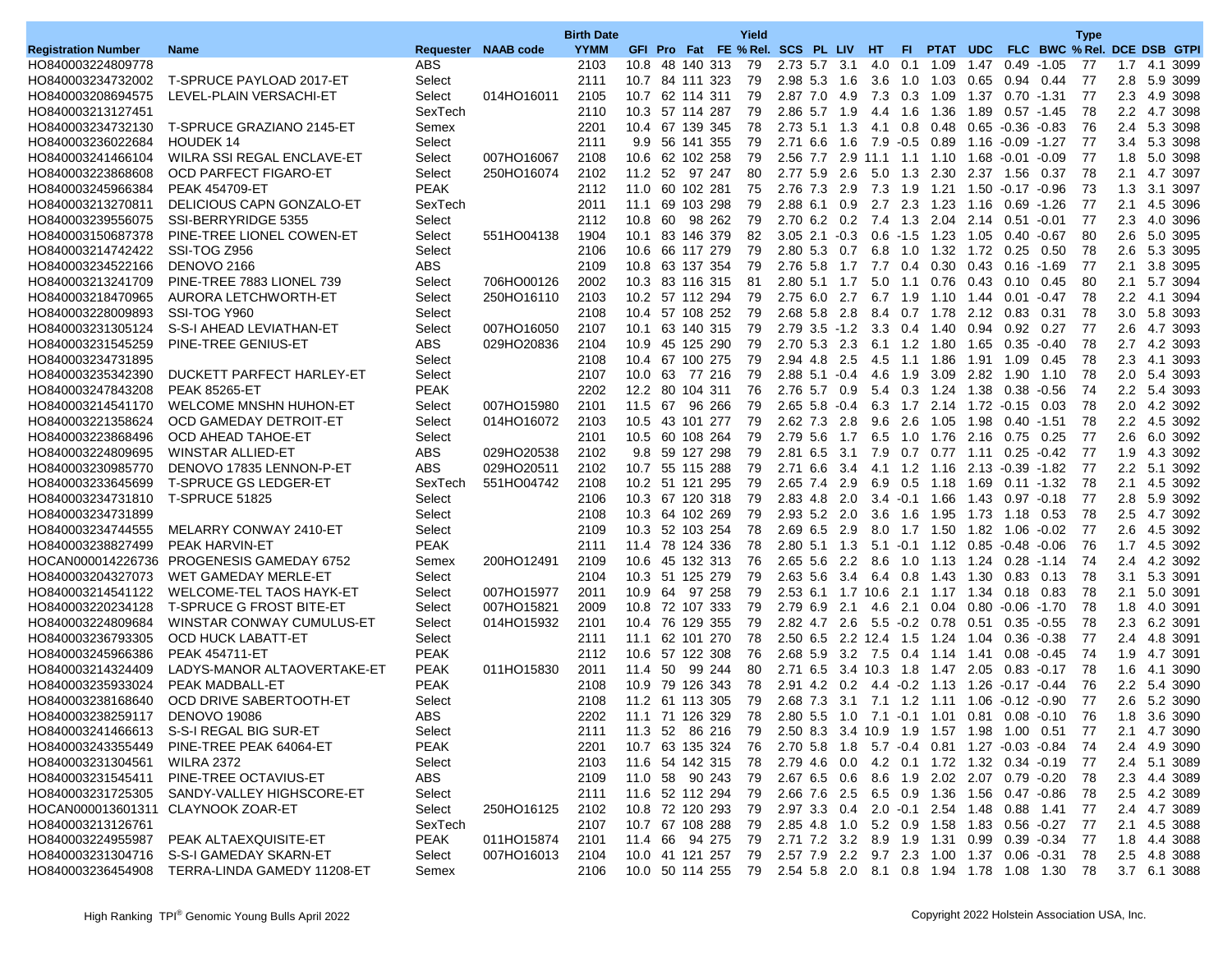|                            |                                               |                       |                     | <b>Birth Date</b> |                                      |    |                |            | Yield                                                          |                       |      |                       |                 |                  |      |                                                                                       |         | <b>Type</b>                 |               |              |
|----------------------------|-----------------------------------------------|-----------------------|---------------------|-------------------|--------------------------------------|----|----------------|------------|----------------------------------------------------------------|-----------------------|------|-----------------------|-----------------|------------------|------|---------------------------------------------------------------------------------------|---------|-----------------------------|---------------|--------------|
| <b>Registration Number</b> | <b>Name</b>                                   |                       | Requester NAAB code | <b>YYMM</b>       |                                      |    |                |            | GFI Pro Fat FE % Rel. SCS PL LIV HT                            |                       |      |                       | FL.             | PTAT UDC         |      |                                                                                       |         | FLC BWC % Rel. DCE DSB GTPI |               |              |
| HO840003224809778          |                                               | ABS                   |                     | 2103              | 10.8 48 140 313                      |    |                |            | 79                                                             | 2.73 5.7              | -3.1 | 4.0                   | 0.1             | 1.09             | 1.47 | $0.49 - 1.05$                                                                         |         | 77                          | 1.7           | 4.1 3099     |
| HO840003234732002          | T-SPRUCE PAYLOAD 2017-ET                      | Select                |                     | 2111              | 10.7                                 |    | 84 111 323     |            | 79                                                             | 2.98 5.3              | 1.6  | 3.6                   | 1.0             | 1.03             | 0.65 | 0.94                                                                                  | 0.44    | 77                          | 2.8           | 5.9 3099     |
| HO840003208694575          | LEVEL-PLAIN VERSACHI-ET                       | Select                | 014HO16011          | 2105              | 10.7 62 114 311                      |    |                |            | 79                                                             | 2.87 7.0 4.9          |      |                       |                 | 7.3 0.3 1.09     |      | 1.37  0.70  1.31                                                                      |         | -77                         |               | 2.3 4.9 3098 |
| HO840003213127451          |                                               | SexTech               |                     | 2110              | 10.3 57 114 287                      |    |                |            | 79                                                             | 2.86 5.7              | 1.9  |                       | 4.4 1.6         | 1.36             |      | 1.89  0.57  -1.45                                                                     |         | 78                          | $2.2^{\circ}$ | 4.7 3098     |
| HO840003234732130          | T-SPRUCE GRAZIANO 2145-ET                     | Semex                 |                     | 2201              | 10.4                                 |    | 67 139 345     |            | 78                                                             | $2.73$ 5.1 1.3        |      | 4.1                   | 0.8             | 0.48             |      | $0.65 - 0.36 - 0.83$                                                                  |         | 76                          | 2.4           | 5.3 3098     |
| HO840003236022684          | <b>HOUDEK14</b>                               | Select                |                     | 2111              |                                      |    | 9.9 56 141 355 |            | 79                                                             | 2.71 6.6              | 1.6  | $7.9 - 0.5$           |                 | 0.89             |      |                                                                                       |         | -77                         | 3.4           | 5.3 3098     |
| HO840003241466104          | WILRA SSI REGAL ENCLAVE-ET                    | Select                | 007HO16067          | 2108              | 10.6 62 102 258                      |    |                |            | 79                                                             | 2.56 7.7              | 2.9  | 11.1                  | 1.1             | 1.10             |      | 1.68 -0.01                                                                            | $-0.09$ | 77                          | 1.8           | 5.0 3098     |
| HO840003223868608          | <b>OCD PARFECT FIGARO-ET</b>                  | Select                | 250HO16074          | 2102              | 11.2 52                              |    |                | 97 247     | 80                                                             | 2.77 5.9              | 2.6  |                       | $5.0$ 1.3       | 2.30             |      | 2.37 1.56                                                                             | 0.37    | 78                          | 2.1           | 4.7 3097     |
| HO840003245966384          | <b>PEAK 454709-ET</b>                         | <b>PEAK</b>           |                     | 2112              | 11.0 60 102 281                      |    |                |            | 75                                                             | 2.76 7.3 2.9          |      | 7.3 1.9               |                 | 1.21             |      | 1.50 -0.17 -0.96                                                                      |         | 73                          | 1.3           | 3.1 3097     |
| HO840003213270811          | DELICIOUS CAPN GONZALO-ET                     | SexTech               |                     | 2011              | 11.1                                 |    | 69 103 298     |            | 79                                                             | 2.88 6.1              | 0.9  | 2.7                   | 2.3             | 1.23             |      | 1.16 0.69 -1.26                                                                       |         | 77                          | 2.1           | 4.5 3096     |
| HO840003239556075          | SSI-BERRYRIDGE 5355                           | Select                |                     | 2112              | 10.8                                 | 60 |                | 98 262     | 79                                                             | 2.70 6.2 0.2          |      | $7.4$ 1.3             |                 | 2.04             |      | 2.14 0.51 -0.01                                                                       |         | 77                          | 2.3           | 4.0 3096     |
| HO840003150687378          | PINE-TREE LIONEL COWEN-ET                     | Select                | 551HO04138          | 1904              | 10.1 83 146 379                      |    |                |            | 82                                                             | $3.05$ 2.1 $-0.3$     |      |                       | $0.6 - 1.5$     | 1.23             |      | 1.05  0.40  -0.67                                                                     |         | 80                          | 2.6           | 5.0 3095     |
|                            | SSI-TOG Z956                                  |                       |                     |                   |                                      |    |                |            |                                                                |                       |      |                       |                 |                  |      |                                                                                       |         |                             |               |              |
| HO840003214742422          |                                               | Select                |                     | 2106              | 10.6 66 117 279                      |    |                |            | 79                                                             | 2.80 5.3              | 0.7  | 6.8                   | 1.0             | 1.32             | 1.72 | 0.25                                                                                  | 0.50    | 78                          | $2.6\,$       | 5.3 3095     |
| HO840003234522166          | DENOVO 2166                                   | <b>ABS</b>            |                     | 2109              | 10.8 63 137 354                      |    |                |            | 79                                                             | 2.76 5.8              | 1.7  | 7.7                   | 0.4             | 0.30             | 0.43 | $0.16 - 1.69$                                                                         |         | 77                          | 2.1           | 3.8 3095     |
| HO840003213241709          | PINE-TREE 7883 LIONEL 739                     | Select                | 706HO00126          | 2002              | 10.3 83 116 315                      |    |                |            | 81                                                             | 2.80 5.1 1.7          |      |                       | $5.0$ 1.1       | 0.76             |      | 0.43 0.10                                                                             | 0.45    | 80                          | 2.1           | 5.7 3094     |
| HO840003218470965          | AURORA LETCHWORTH-ET                          | Select                | 250HO16110          | 2103              | 10.2 57 112 294                      |    |                |            | 79                                                             | $2.75$ 6.0            | 2.7  | 6.7                   | 1.9             | 1.10             | 1.44 | 0.01                                                                                  | $-0.47$ | 78                          | 2.2           | 4.1 3094     |
| HO840003228009893          | SSI-TOG Y960                                  | Select                |                     | 2108              | 10.4                                 |    |                | 57 108 252 | 79                                                             | 2.68 5.8 2.8          |      | 8.4                   | 0.7             | 1.78             |      | 2.12 0.83                                                                             | 0.31    | 78                          | 3.0           | 5.8 3093     |
| HO840003231305124          | S-S-I AHEAD LEVIATHAN-ET                      | Select                | 007HO16050          | 2107              | 10.1 63 140 315                      |    |                |            | 79                                                             | $2.79$ $3.5$ $-1.2$   |      |                       | $3.3 \quad 0.4$ | 1.40             |      | 0.94 0.92                                                                             | 0.27    | -77                         | 2.6           | 4.7 3093     |
| HO840003231545259          | PINE-TREE GENIUS-ET                           | <b>ABS</b>            | 029HO20836          | 2104              | 10.9                                 |    |                | 45 125 290 | 79                                                             | 2.70 5.3              | 2.3  |                       | $6.1 \quad 1.2$ | 1.80             |      | 1.65 0.35                                                                             | $-0.40$ | 78                          | 2.7           | 4.2 3093     |
| HO840003234731895          |                                               | Select                |                     | 2108              | 10.4                                 |    | 67 100 275     |            | 79                                                             | 2.94 4.8 2.5          |      | $4.5$ 1.1             |                 | 1.86             |      | 1.91 1.09                                                                             | 0.45    | 78                          | 2.3           | 4.1 3093     |
| HO840003235342390          | DUCKETT PARFECT HARLEY-ET                     | Select                |                     | 2107              | 10.0 63 77 216                       |    |                |            | 79                                                             | $2.88$ 5.1 $-0.4$     |      |                       | 4.6 1.9         | 3.09             |      | 2.82 1.90                                                                             | 1.10    | 78                          | 2.0           | 5.4 3093     |
| HO840003247843208          | <b>PEAK 85265-ET</b>                          | <b>PEAK</b>           |                     | 2202              | 12.2 80 104 311                      |    |                |            | 76                                                             | 2.76 5.7              | 0.9  | 5.4                   | 0.3             | 1.24             | 1.38 | 0.38                                                                                  | $-0.56$ | 74                          | 2.2           | 5.4 3093     |
| HO840003214541170          | <b>WELCOME MNSHN HUHON-ET</b>                 | Select                | 007HO15980          | 2101              | 11.5                                 | 67 |                | 96 266     | 79                                                             | $2.65$ 5.8 $-0.4$     |      | 6.3                   | 1.7             | 2.14             |      | 1.72 -0.15                                                                            | 0.03    | 78                          | 2.0           | 4.2 3092     |
| HO840003221358624          | OCD GAMEDAY DETROIT-ET                        | Select                | 014HO16072          | 2103              | 10.5 43 101 277                      |    |                |            | 79                                                             | 2.62 7.3 2.8          |      | 9.6                   | 2.6             | 1.05             |      | 1.98  0.40  -1.51                                                                     |         | 78                          |               | 2.2 4.5 3092 |
| HO840003223868496          | OCD AHEAD TAHOE-ET                            | Select                |                     | 2101              | 10.5                                 |    | 60 108 264     |            | 79                                                             | 2.79 5.6              | 1.7  | 6.5                   | 1.0             | 1.76             |      | 2.16 0.75                                                                             | 0.25    | 77                          | 2.6           | 6.0 3092     |
| HO840003224809695          | WINSTAR ALLIED-ET                             | ABS                   | 029HO20538          | 2102              |                                      |    | 9.8 59 127 298 |            | 79                                                             | 2.81 6.5 3.1          |      | 7.9                   | 0.7             | 0.77             |      | 1.11 0.25                                                                             | $-0.42$ | -77                         | 1.9           | 4.3 3092     |
| HO840003230985770          | DENOVO 17835 LENNON-P-ET                      | <b>ABS</b>            | 029HO20511          | 2102              | 10.7 55 115 288                      |    |                |            | 79                                                             | 2.71 6.6 3.4          |      |                       |                 | 4.1 1.2 1.16     |      | 2.13 -0.39 -1.82                                                                      |         | -77                         |               | 2.2 5.1 3092 |
| HO840003233645699          | <b>T-SPRUCE GS LEDGER-ET</b>                  | SexTech               | 551HO04742          | 2108              | 10.2 51 121 295                      |    |                |            | 79                                                             | 2.65 7.4              | 2.9  | 6.9                   | 0.5             | 1.18             | 1.69 | $0.11 - 1.32$                                                                         |         | 78                          | 2.1           | 4.5 3092     |
| HO840003234731810          | <b>T-SPRUCE 51825</b>                         | Select                |                     | 2106              | 10.3 67 120 318                      |    |                |            | 79                                                             | 2.83 4.8              | 2.0  |                       |                 | $3.4 - 0.1$ 1.66 |      | 1.43 0.97                                                                             | $-0.18$ | -77                         | 2.8           | 5.9 3092     |
| HO840003234731899          |                                               | Select                |                     | 2108              | 10.3 64 102 269                      |    |                |            | 79                                                             | 2.93 5.2 2.0          |      |                       | $3.6$ 1.6       | 1.95             |      |                                                                                       | 0.53    | 78                          | 2.5           | 4.7 3092     |
| HO840003234744555          | MELARRY CONWAY 2410-ET                        | Select                |                     | 2109              | 10.3                                 |    | 52 103 254     |            | 78                                                             | 2.69 6.5              | 2.9  | 8.0                   | 1.7             | 1.50             | 1.82 | 1.06                                                                                  | $-0.02$ | 77                          | 2.6           | 4.5 3092     |
| HO840003238827499          | <b>PEAK HARVIN-ET</b>                         | <b>PEAK</b>           |                     | 2111              | 11.4 78 124 336                      |    |                |            | 78                                                             | $2.80\;5.1$           | 1.3  |                       |                 |                  |      | $5.1 - 0.1$ $1.12$ $0.85 - 0.48$                                                      | $-0.06$ | 76                          | 1.7           | 4.5 3092     |
|                            | HOCAN000014226736 PROGENESIS GAMEDAY 6752     | Semex                 | 200HO12491          | 2109              | 10.6 45 132 313                      |    |                |            | 76                                                             | $2.65$ 5.6 2.2        |      |                       |                 |                  |      | 8.6 1.0 1.13 1.24 0.28 -1.14                                                          |         | 74                          |               | 2.4 4.2 3092 |
| HO840003204327073          | WET GAMEDAY MERLE-ET                          | Select                |                     | 2104              | 10.3 51 125 279                      |    |                |            | 79                                                             | 2.63 5.6              | 3.4  | 6.4                   | 0.8             | 1.43             | 1.30 | 0.83                                                                                  | 0.13    | 78                          | 3.1           | 5.3 3091     |
| HO840003214541122          | WELCOME-TEL TAOS HAYK-ET                      | Select                | 007HO15977          | 2011              | 10.9                                 |    | 64 97 258      |            | 79                                                             |                       |      | 2.53 6.1 1.7 10.6 2.1 |                 | 1.17 1.34 0.18   |      |                                                                                       | 0.83    | 78                          | 2.1           | 5.0 3091     |
| HO840003220234128          | T-SPRUCE G FROST BITE-ET                      | Select                | 007HO15821          | 2009              | 10.8 72 107 333                      |    |                |            | 79                                                             | 2.79 6.9 2.1          |      | 4.6                   | 2.1             | 0.04             |      | $0.80 - 0.06 - 1.70$                                                                  |         | 78                          | 1.8           | 4.0 3091     |
| HO840003224809684          | WINSTAR CONWAY CUMULUS-ET                     | Select                | 014HO15932          | 2101              | 10.4                                 |    | 76 129 355     |            | 79                                                             | 2.82 4.7              | 2.6  |                       | $5.5 - 0.2$     | 0.78             | 0.51 | 0.35                                                                                  | $-0.55$ | 78                          | 2.3           | 6.2 3091     |
| HO840003236793305          | OCD HUCK LABATT-ET                            | Select                |                     | 2111              | 11.1 62 101 270                      |    |                |            | 78                                                             | 2.50 6.5 2.2 12.4 1.5 |      |                       |                 | 1.24             |      | 1.04  0.36  0.38                                                                      |         | 77                          | 2.4           | 4.8 3091     |
| HO840003245966386          | <b>PEAK 454711-ET</b>                         | <b>PEAK</b>           |                     | 2112              | 10.6 57 122 308                      |    |                |            | 76                                                             | $2.68$ 5.9 3.2        |      | 7.5                   | 0.4             | 1.14 1.41        |      | 0.08                                                                                  | $-0.45$ | 74                          | 1.9           | 4.7 3091     |
| HO840003214324409          | LADYS-MANOR ALTAOVERTAKE-ET                   | <b>PEAK</b>           | 011HO15830          | 2011              | 11.4                                 | 50 | 99             | 244        | 80                                                             | 2.71 6.5              | -3.4 | 10.3                  | 1.8             | 1.47             | 2.05 | 0.83                                                                                  | $-0.17$ | 78                          | 1.6           | 4.1 3090     |
| HO840003235933024          | PEAK MADBALL-ET                               | <b>PEAK</b>           |                     | 2108              | 10.9 79 126 343                      |    |                |            | 78                                                             | 2.91 4.2 0.2          |      |                       |                 | 4.4 0.2 1.13     |      |                                                                                       |         | 76                          |               | 2.2 5.4 3090 |
| HO840003238168640          | <b>OCD DRIVE SABERTOOTH-ET</b>                | Select                |                     | 2108              | 11.2 61 113 305                      |    |                |            | 79                                                             | 2.68 7.3              | 3.1  |                       |                 | 7.1 1.2 1.11     |      | 1.06 -0.12 -0.90                                                                      |         | 77                          | 2.6           | 5.2 3090     |
| HO840003238259117          | <b>DENOVO 19086</b>                           | ABS                   |                     | 2202              | 11.1 71 126 329                      |    |                |            | 78                                                             |                       |      |                       |                 |                  |      | 2.80 5.5 1.0 7.1 0.1 1.01 0.81 0.08 0.10                                              |         | 76                          | 1.8           | 3.6 3090     |
|                            | HO840003241466613 S-S-I REGAL BIG SUR-ET      |                       |                     |                   |                                      |    |                |            |                                                                |                       |      |                       |                 |                  |      |                                                                                       |         |                             |               | 2.1 4.7 3090 |
|                            | PINE-TREE PEAK 64064-ET                       | Select<br><b>PEAK</b> |                     | 2111              | 11.3 52 86 216 79<br>10.7 63 135 324 |    |                |            |                                                                |                       |      |                       |                 |                  |      | 2.50 8.3 3.4 10.9 1.9 1.57 1.98 1.00 0.51<br>2.70 5.8 1.8 5.7 0.4 0.81 1.27 0.03 0.84 |         | $\frac{1}{2}$               |               |              |
| HO840003243355449          |                                               |                       |                     | 2201              |                                      |    |                |            | 76                                                             |                       |      |                       |                 |                  |      |                                                                                       |         | 74                          |               | 2.4 4.9 3090 |
| HO840003231304561          | <b>WILRA 2372</b>                             | Select                |                     | 2103              | 11.6 54 142 315                      |    |                |            | 78                                                             |                       |      |                       |                 |                  |      | 2.79 4.6 0.0 4.2 0.1 1.72 1.32 0.34 0.19                                              |         | -77                         |               | 2.4 5.1 3089 |
|                            | HO840003231545411 PINE-TREE OCTAVIUS-ET       | ABS                   |                     | 2109              | 11.0 58 90 243 79                    |    |                |            |                                                                |                       |      |                       |                 |                  |      | 2.67 6.5 0.6 8.6 1.9 2.02 2.07 0.79 0.20                                              |         | 78                          |               | 2.3 4.4 3089 |
| HO840003231725305          | SANDY-VALLEY HIGHSCORE-ET                     | Select                |                     | 2111              | 11.6 52 112 294                      |    |                |            | 79                                                             |                       |      |                       |                 |                  |      | 2.66 7.6 2.5 6.5 0.9 1.36 1.56 0.47 0.86                                              |         | -78                         |               | 2.5 4.2 3089 |
|                            | HOCAN000013601311 CLAYNOOK ZOAR-ET            | Select                | 250HO16125          | 2102              | 10.8 72 120 293                      |    |                |            | 79                                                             |                       |      |                       |                 |                  |      | 2.97 3.3 0.4 2.0 -0.1 2.54 1.48 0.88 1.41                                             |         | -77                         |               | 2.4 4.7 3089 |
| HO840003213126761          |                                               | SexTech               |                     | 2107              | 10.7 67 108 288                      |    |                |            | 79                                                             |                       |      |                       |                 |                  |      | 2.85 4.8 1.0 5.2 0.9 1.58 1.83 0.56 0.27                                              |         | -77                         |               | 2.1 4.5 3088 |
| HO840003224955987          | PEAK ALTAEXQUISITE-ET                         | <b>PEAK</b>           | 011HO15874          | 2101              | 11.4 66 94 275                       |    |                |            | 79                                                             |                       |      |                       |                 |                  |      | 2.71 7.2 3.2 8.9 1.9 1.31 0.99 0.39 0.34                                              |         | -77                         |               | 1.8 4.4 3088 |
|                            | HO840003231304716 S-S-I GAMEDAY SKARN-ET      | Select                | 007HO16013          | 2104              |                                      |    |                |            | 10.0 41 121 257 79                                             |                       |      |                       |                 |                  |      | 2.57 7.9 2.2 9.7 2.3 1.00 1.37 0.06 0.31                                              |         | 78                          |               | 2.5 4.8 3088 |
|                            | HO840003236454908 TERRA-LINDA GAMEDY 11208-ET | Semex                 |                     | 2106              |                                      |    |                |            | 10.0 50 114 255 79 2.54 5.8 2.0 8.1 0.8 1.94 1.78 1.08 1.30 78 |                       |      |                       |                 |                  |      |                                                                                       |         |                             |               | 3.7 6.1 3088 |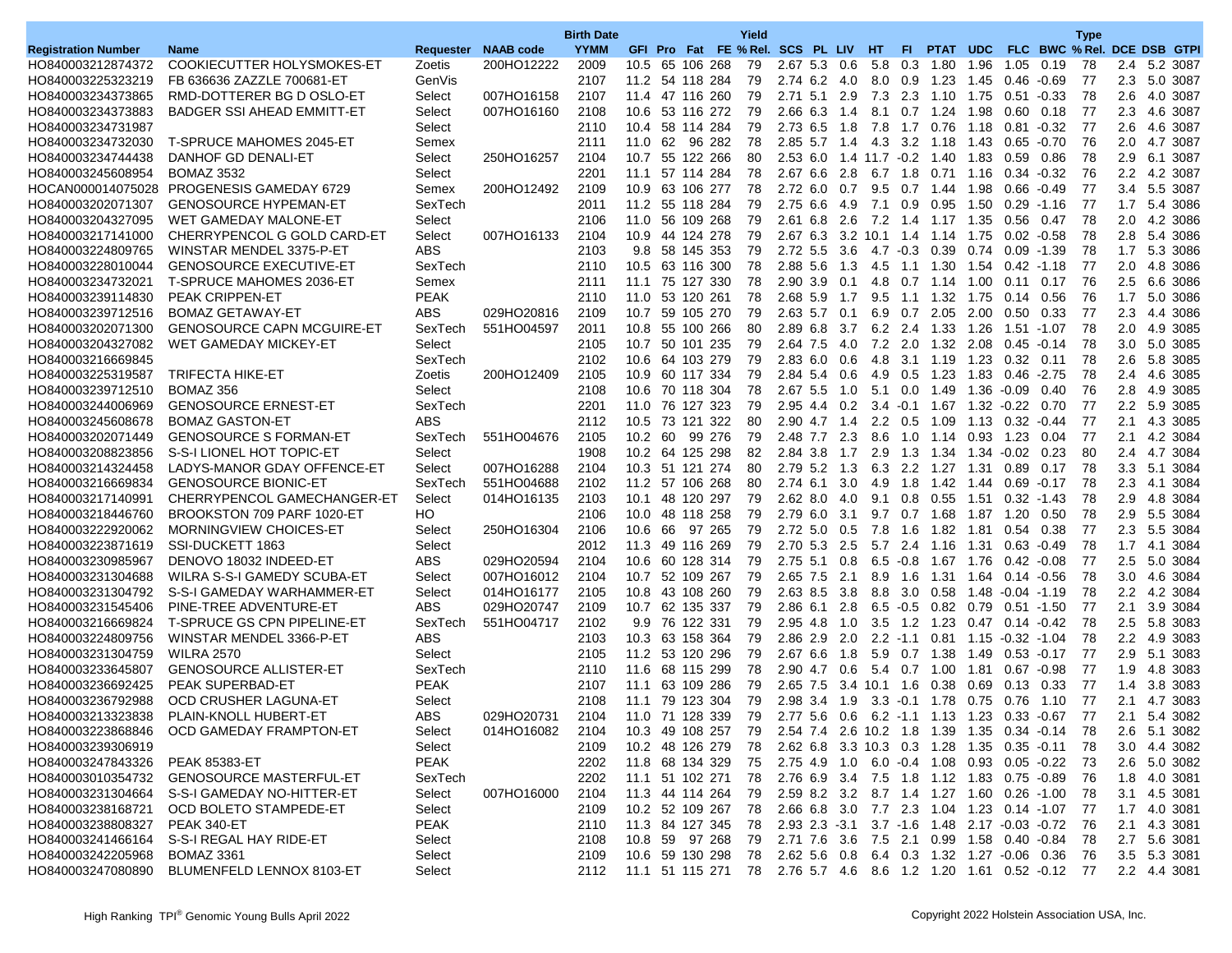|                                        |                                             |             |                     | <b>Birth Date</b> |         |                                                                 | Yield |                                           |     |                   |             |                                            |      |                           |                             | <b>Type</b> |               |                      |
|----------------------------------------|---------------------------------------------|-------------|---------------------|-------------------|---------|-----------------------------------------------------------------|-------|-------------------------------------------|-----|-------------------|-------------|--------------------------------------------|------|---------------------------|-----------------------------|-------------|---------------|----------------------|
| <b>Registration Number</b>             | <b>Name</b>                                 |             | Requester NAAB code | <b>YYMM</b>       |         | GFI Pro Fat FE % Rel. SCS PL LIV HT                             |       |                                           |     |                   | FL.         | PTAT UDC                                   |      |                           | FLC BWC % Rel. DCE DSB GTPI |             |               |                      |
| HO840003212874372                      | COOKIECUTTER HOLYSMOKES-ET                  | Zoetis      | 200HO12222          | 2009              | 10.5    | 65 106 268                                                      | 79    | 2.67 5.3                                  | 0.6 | 5.8               | 0.3         | 1.80                                       | 1.96 | 1.05                      | 0.19                        | 78          | 2.4           | 5.2 3087             |
| HO840003225323219                      | FB 636636 ZAZZLE 700681-ET                  | GenVis      |                     | 2107              |         | 11.2 54 118 284                                                 | 79    | 2.74 6.2                                  | 4.0 | 8.0               | 0.9         | 1.23                                       | 1.45 | 0.46                      | $-0.69$                     | 77          | 2.3           | 5.0 3087             |
| HO840003234373865                      | RMD-DOTTERER BG D OSLO-ET                   | Select      | 007HO16158          | 2107              |         | 11.4 47 116 260                                                 | 79    | $2.71$ 5.1                                | 2.9 |                   |             | 7.3 2.3 1.10 1.75 0.51                     |      |                           | $-0.33$                     | 78          | 2.6           | 4.0 3087             |
| HO840003234373883                      | <b>BADGER SSI AHEAD EMMITT-ET</b>           | Select      | 007HO16160          | 2108              |         | 10.6 53 116 272                                                 | 79    | 2.66 6.3                                  | 1.4 | 8.1               | 0.7         | 1.24                                       | 1.98 | 0.60                      | 0.18                        | -77         | 2.3           | 4.6 3087             |
| HO840003234731987                      |                                             | Select      |                     | 2110              | 10.4    | 58 114 284                                                      | 79    | 2.73 6.5                                  | 1.8 | 7.8               | 1.7         | 0.76                                       | 1.18 | 0.81                      | $-0.32$                     | -77         | 2.6           | 4.6 3087             |
| HO840003234732030                      | <b>T-SPRUCE MAHOMES 2045-ET</b>             | Semex       |                     | 2111              |         | 11.0 62 96 282                                                  | 78    |                                           |     |                   |             | 2.85 5.7 1.4 4.3 3.2 1.18                  |      | 1.43 0.65 -0.70           |                             | 76          | 2.0           | 4.7 3087             |
| HO840003234744438                      | DANHOF GD DENALI-ET                         | Select      | 250HO16257          | 2104              |         | 10.7 55 122 266                                                 | 80    | 2.53 6.0                                  |     | $1.4$ 11.7 $-0.2$ |             | 1.40                                       | 1.83 | 0.59                      | 0.86                        | 78          | 2.9           | 6.1 3087             |
| HO840003245608954                      | <b>BOMAZ 3532</b>                           | Select      |                     | 2201              | 11.1    | 57 114 284                                                      | 78    | 2.67 6.6                                  | 2.8 | 6.7               | 1.8         | 0.71                                       | 1.16 | $0.34 - 0.32$             |                             | 76          | 2.2           | 4.2 3087             |
|                                        | HOCAN000014075028 PROGENESIS GAMEDAY 6729   | Semex       | 200HO12492          | 2109              |         | 10.9 63 106 277                                                 | 78    | 2.72 6.0                                  | 0.7 |                   |             | 9.5 0.7 1.44                               | 1.98 | $0.66 - 0.49$             |                             | -77         | $3.4^{\circ}$ | 5.5 3087             |
| HO840003202071307                      | <b>GENOSOURCE HYPEMAN-ET</b>                | SexTech     |                     | 2011              |         | 11.2 55 118 284                                                 | 79    | $2.75$ 6.6                                | 4.9 | 7.1               | 0.9         | 0.95                                       | 1.50 | 0.29                      | $-1.16$                     | -77         | 1.7           | 5.4 3086             |
| HO840003204327095                      | WET GAMEDAY MALONE-ET                       | Select      |                     | 2106              | 11.0    | 56 109 268                                                      | 79    | 2.61 6.8                                  | 2.6 | 7.2               | 1.4         | 1.17 1.35                                  |      | 0.56                      | 0.47                        | 78          | 2.0           | 4.2 3086             |
| HO840003217141000                      | CHERRYPENCOL G GOLD CARD-ET                 | Select      | 007HO16133          | 2104              |         | 10.9 44 124 278                                                 | 79    | 2.67 6.3 3.2 10.1 1.4                     |     |                   |             | 1.14                                       | 1.75 | $0.02 - 0.58$             |                             | 78          | 2.8           | 5.4 3086             |
| HO840003224809765                      | WINSTAR MENDEL 3375-P-ET                    | <b>ABS</b>  |                     | 2103              |         | 9.8 58 145 353                                                  | 79    | $2.72$ 5.5                                | 3.6 |                   |             | $4.7 - 0.3$ 0.39                           | 0.74 | 0.09                      | $-1.39$                     | 78          | 1.7           | 5.3 3086             |
| HO840003228010044                      | <b>GENOSOURCE EXECUTIVE-ET</b>              | SexTech     |                     | 2110              | 10.5    | 63 116 300                                                      | 78    | 2.88 5.6                                  | 1.3 | 4.5               | 1.1         | 1.30                                       | 1.54 | 0.42                      | $-1.18$                     | 77          | 2.0           | 4.8 3086             |
| HO840003234732021                      | <b>T-SPRUCE MAHOMES 2036-ET</b>             | Semex       |                     | 2111              |         | 11.1 75 127 330                                                 | 78    | 2.90 3.9                                  | 0.1 |                   |             | 4.8 0.7 1.14 1.00                          |      | 0.11                      | 0.17                        | 76          | $2.5\,$       | 6.6 3086             |
| HO840003239114830                      | <b>PEAK CRIPPEN-ET</b>                      | <b>PEAK</b> |                     | 2110              | 11.0    | 53 120 261                                                      | 78    | 2.68 5.9                                  | 1.7 | 9.5               | 1.1         | 1.32                                       | 1.75 | 0.14                      | 0.56                        | 76          | 1.7           | 5.0 3086             |
| HO840003239712516                      | <b>BOMAZ GETAWAY-ET</b>                     | <b>ABS</b>  | 029HO20816          | 2109              |         | 10.7 59 105 270                                                 | 79    | 2.63 5.7                                  | 0.1 | 6.9               | 0.7         | 2.05                                       | 2.00 | 0.50                      | 0.33                        | 77          | 2.3           | 4.4 3086             |
| HO840003202071300                      | <b>GENOSOURCE CAPN MCGUIRE-ET</b>           | SexTech     | 551HO04597          | 2011              |         | 10.8 55 100 266                                                 | 80    | 2.89 6.8                                  | 3.7 | 6.2 2.4           |             | 1.33                                       | 1.26 | 1.51                      | $-1.07$                     | -78         | 2.0           | 4.9 3085             |
| HO840003204327082                      | WET GAMEDAY MICKEY-ET                       | Select      |                     | 2105              |         | 10.7 50 101 235                                                 | 79    | 2.64 7.5                                  | 4.0 | 7.2               | 2.0         | 1.32                                       | 2.08 | 0.45                      | $-0.14$                     | 78          | 3.0           | 5.0 3085             |
| HO840003216669845                      |                                             | SexTech     |                     | 2102              |         | 10.6 64 103 279                                                 | 79    | $2.83\;6.0$                               | 0.6 | 4.8               | 3.1         | 1.19                                       | 1.23 | 0.32                      | 0.11                        | 78          | 2.6           | 5.8 3085             |
| HO840003225319587                      | <b>TRIFECTA HIKE-ET</b>                     | Zoetis      | 200HO12409          | 2105              |         | 10.9 60 117 334                                                 | 79    | 2.84 5.4                                  | 0.6 |                   |             | 4.9 0.5 1.23                               |      | 1.83 0.46                 | $-2.75$                     | 78          | $2.4\,$       | 4.6 3085             |
| HO840003239712510                      | BOMAZ 356                                   | Select      |                     | 2108              |         | 10.6 70 118 304                                                 | 78    | 2.67 5.5                                  | 1.0 | 5.1               | 0.0         | 1.49                                       | 1.36 | $-0.09$                   | 0.40                        | 76          | 2.8           | 4.9 3085             |
| HO840003244006969                      | <b>GENOSOURCE ERNEST-ET</b>                 | SexTech     |                     | 2201              | 11.0    | 76 127 323                                                      | 79    | 2.95 4.4                                  | 0.2 | $3.4 - 0.1$       |             | 1.67                                       |      | $1.32 - 0.22$             | 0.70                        | 77          | $2.2^{\circ}$ | 5.9 3085             |
|                                        |                                             | ABS         |                     | 2112              |         | 10.5 73 121 322                                                 | 80    | 2.90 4.7 1.4                              |     |                   |             |                                            |      |                           |                             | 77          | 2.1           |                      |
| HO840003245608678                      | <b>BOMAZ GASTON-ET</b>                      |             | 551HO04676          |                   |         |                                                                 |       | 2.48 7.7                                  |     |                   |             | 2.2 0.5 1.09                               |      | 1.13 0.32 0.44            |                             |             | 2.1           | 4.3 3085<br>4.2 3084 |
| HO840003202071449<br>HO840003208823856 | <b>GENOSOURCE S FORMAN-ET</b>               | SexTech     |                     | 2105              | 10.2 60 | 99 276                                                          | 79    |                                           | 2.3 | 8.6               | 1.0         | 1.14                                       | 0.93 | 1.23                      | 0.04                        | 77          |               |                      |
|                                        | S-S-I LIONEL HOT TOPIC-ET                   | Select      |                     | 1908              |         | 10.2 64 125 298                                                 | 82    | 2.84 3.8                                  | 1.7 | 2.9               | 1.3         | 1.34                                       |      | $1.34 - 0.02$             | 0.23                        | 80          | $2.4^{\circ}$ | 4.7 3084             |
| HO840003214324458                      | LADYS-MANOR GDAY OFFENCE-ET                 | Select      | 007HO16288          | 2104              |         | 10.3 51 121 274                                                 | 80    | $2.79$ 5.2                                | 1.3 |                   |             | 6.3 2.2 1.27 1.31 0.89                     |      |                           | 0.17                        | 78          | 3.3           | 5.1 3084             |
| HO840003216669834                      | <b>GENOSOURCE BIONIC-ET</b>                 | SexTech     | 551HO04688          | 2102              |         | 11.2 57 106 268                                                 | 80    | 2.74 6.1                                  | 3.0 | 4.9               | 1.8         | 1.42                                       | 1.44 | 0.69                      | $-0.17$                     | 78          | 2.3           | 4.1 3084             |
| HO840003217140991                      | CHERRYPENCOL GAMECHANGER-ET                 | Select      | 014HO16135          | 2103              | 10.1    | 48 120 297                                                      | 79    | $2.62$ $8.0$                              | 4.0 | 9.1               | 0.8         | 0.55                                       | 1.51 | 0.32                      | $-1.43$                     | 78          | 2.9           | 4.8 3084             |
| HO840003218446760                      | BROOKSTON 709 PARF 1020-ET                  | HO          |                     | 2106              |         | 10.0 48 118 258                                                 | 79    | 2.79 6.0                                  | 3.1 |                   |             | 9.7 0.7 1.68 1.87                          |      | 1.20                      | 0.50                        | 78          | 2.9           | 5.5 3084             |
| HO840003222920062                      | MORNINGVIEW CHOICES-ET                      | Select      | 250HO16304          | 2106              | 10.6 66 | 97 265                                                          | 79    | $2.72$ 5.0                                | 0.5 | 7.8               | 1.6         | 1.82                                       | 1.81 | 0.54                      | 0.38                        | -77         | 2.3           | 5.5 3084             |
| HO840003223871619                      | SSI-DUCKETT 1863                            | Select      |                     | 2012              |         | 11.3 49 116 269                                                 | 79    | 2.70 5.3 2.5                              |     | 5.7               | 2.4         | 1.16                                       | 1.31 | $0.63 - 0.49$             |                             | -78         | 1.7           | 4.1 3084             |
| HO840003230985967                      | DENOVO 18032 INDEED-ET                      | ABS         | 029HO20594          | 2104              |         | 10.6 60 128 314                                                 | 79    | 2.75 5.1 0.8                              |     |                   | $6.5 \t0.8$ |                                            |      | 1.67 1.76 0.42 0.08       |                             | 77          | $2.5\,$       | 5.0 3084             |
| HO840003231304688                      | WILRA S-S-I GAMEDY SCUBA-ET                 | Select      | 007HO16012          | 2104              |         | 10.7 52 109 267                                                 | 79    | 2.65 7.5                                  | 2.1 | 8.9               | 1.6         | 1.31                                       | 1.64 | 0.14                      | $-0.56$                     | 78          | 3.0           | 4.6 3084             |
| HO840003231304792                      | S-S-I GAMEDAY WARHAMMER-ET                  | Select      | 014HO16177          | 2105              |         | 10.8 43 108 260                                                 | 79    | 2.63 8.5                                  | 3.8 | 8.8               | 3.0         | 0.58                                       | 1.48 | $-0.04$                   | $-1.19$                     | 78          | 2.2           | 4.2 3084             |
| HO840003231545406                      | PINE TREE ADVENTURE ET                      | <b>ABS</b>  | 029HO20747          | 2109              |         | 10.7 62 135 337                                                 | 79    | 2.86 6.1                                  | 2.8 |                   | $6.5 - 0.5$ | 0.82                                       | 0.79 | 0.51 -1.50                |                             | -77         | 2.1           | 3.9 3084             |
| HO840003216669824                      | T-SPRUCE GS CPN PIPELINE-ET                 | SexTech     | 551HO04717          | 2102              | 9.9     | 76 122 331                                                      | 79    | 2.95 4.8                                  | 1.0 | 3.5               | 1.2         | 1.23                                       | 0.47 | $0.14 - 0.42$             |                             | 78          | 2.5           | 5.8 3083             |
| HO840003224809756                      | WINSTAR MENDEL 3366-P-ET                    | ABS         |                     | 2103              |         | 10.3 63 158 364                                                 | 79    | 2.86 2.9                                  | 2.0 | $2.2 - 1.1$       |             |                                            |      | $0.81$ 1.15 $-0.32$ -1.04 |                             | 78          | 2.2           | 4.9 3083             |
| HO840003231304759                      | <b>WILRA 2570</b>                           | Select      |                     | 2105              |         | 11.2 53 120 296                                                 | 79    | 2.67 6.6                                  | 1.8 | 5.9               |             | $0.7$ 1.38                                 | 1.49 | 0.53 -0.17                |                             | -77         | 2.9           | 5.1 3083             |
| HO840003233645807                      | <b>GENOSOURCE ALLISTER-ET</b>               | SexTech     |                     | 2110              | 11.6    | 68 115 299                                                      | 78    | 2.90 4.7                                  | 0.6 | 5.4               | 0.7         | 1.00                                       | 1.81 | 0.67                      | $-0.98$                     | -77         | 1.9           | 4.8 3083             |
| HO840003236692425                      | PEAK SUPERBAD-ET                            | <b>PEAK</b> |                     | 2107              | 11.1    | 63 109 286                                                      | 79    | 2.65 7.5                                  |     | 3.4 10.1 1.6      |             | 0.38                                       | 0.69 | 0.13                      | 0.33                        | -77         | 1.4           | 3.8 3083             |
| HO840003236792988                      | OCD CRUSHER LAGUNA-ET                       | Select      |                     | 2108              | 11.1    | 79 123 304                                                      | 79    | 2.98 3.4                                  | 1.9 | $3.3 - 0.1$       |             | 1.78                                       |      | 0.75 0.76                 | 1.10                        | -77         | 2.1           | 4.7 3083             |
| HO840003213323838                      | PLAIN-KNOLL HUBERT-ET                       | ABS         | 029HO20731          | 2104              |         | 11.0 71 128 339                                                 | 79    |                                           |     |                   |             | 2.77 5.6 0.6 6.2 -1.1 1.13 1.23 0.33 -0.67 |      |                           |                             | -77         | 2.1           | 5.4 3082             |
| HO840003223868846                      | OCD GAMEDAY FRAMPTON-ET                     | Select      | 014HO16082          | 2104              |         | 10.3 49 108 257                                                 | 79    |                                           |     |                   |             | 2.54 7.4 2.6 10.2 1.8 1.39 1.35 0.34 0.14  |      |                           |                             | 78          |               | 2.6 5.1 3082         |
| HO840003239306919                      |                                             | Select      |                     | 2109              |         | 10.2 48 126 279                                                 | 78    |                                           |     |                   |             | 2.62 6.8 3.3 10.3 0.3 1.28 1.35 0.35 0.11  |      |                           |                             | -78         |               | 3.0 4.4 3082         |
| HO840003247843326                      | <b>PEAK 85383-ET</b>                        | <b>PEAK</b> |                     | 2202              |         | 11.8 68 134 329                                                 | 75    |                                           |     |                   |             | 2.75 4.9 1.0 6.0 0.4 1.08 0.93 0.05 0.22   |      |                           |                             | -73         |               | 2.6 5.0 3082         |
| HO840003010354732                      | <b>GENOSOURCE MASTERFUL-ET</b>              | SexTech     |                     | 2202              |         | 11.1 51 102 271                                                 | 78    |                                           |     |                   |             | 2.76 6.9 3.4 7.5 1.8 1.12 1.83 0.75 0.89   |      |                           |                             | -76         |               | 1.8 4.0 3081         |
| HO840003231304664                      | S-S-I GAMEDAY NO-HITTER-ET                  | Select      | 007HO16000          | 2104              |         | 11.3 44 114 264                                                 | 79    |                                           |     |                   |             | 2.59 8.2 3.2 8.7 1.4 1.27 1.60 0.26 -1.00  |      |                           |                             | -78         |               | 3.1 4.5 3081         |
| HO840003238168721                      | OCD BOLETO STAMPEDE-ET                      | Select      |                     | 2109              |         | 10.2 52 109 267                                                 | 78    |                                           |     |                   |             | 2.66 6.8 3.0 7.7 2.3 1.04 1.23 0.14 1.07   |      |                           |                             | -77         |               | 1.7 4.0 3081         |
| HO840003238808327                      | PEAK 340-ET                                 | <b>PEAK</b> |                     | 2110              |         | 11.3 84 127 345                                                 | -78   |                                           |     |                   |             | 2.93 2.3 3.1 3.7 1.6 1.48 2.17 0.03 0.72   |      |                           |                             | - 76        |               | 2.1 4.3 3081         |
| HO840003241466164                      | S-S-I REGAL HAY RIDE-ET                     | Select      |                     | 2108              |         | 10.8 59 97 268                                                  | 79    | 2.71 7.6 3.6 7.5 2.1 0.99 1.58 0.40 0.84  |     |                   |             |                                            |      |                           |                             | -78         |               | 2.7 5.6 3081         |
| HO840003242205968                      | <b>BOMAZ 3361</b>                           | Select      |                     | 2109              |         | 10.6 59 130 298                                                 | 78    | 2.62 5.6 0.8 6.4 0.3 1.32 1.27 -0.06 0.36 |     |                   |             |                                            |      |                           |                             | - 76        |               | 3.5 5.3 3081         |
|                                        | HO840003247080890 BLUMENFELD LENNOX 8103-ET | Select      |                     | 2112              |         | 11.1 51 115 271 78 2.76 5.7 4.6 8.6 1.2 1.20 1.61 0.52 -0.12 77 |       |                                           |     |                   |             |                                            |      |                           |                             |             |               | 2.2 4.4 3081         |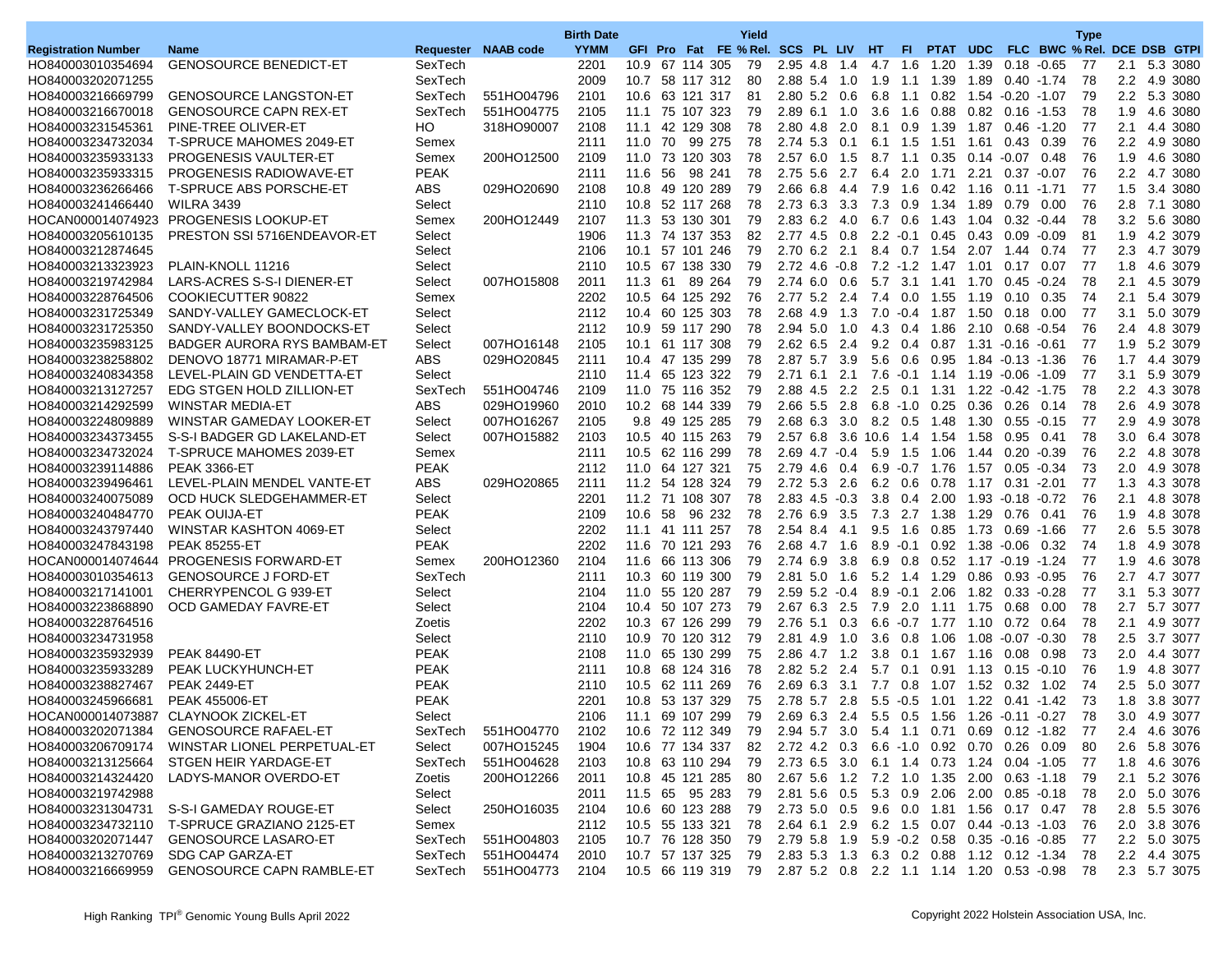|                            |                                             |             |                     | <b>Birth Date</b> |                 |    |                | Yield |                                                                 |        |                 |                 |                                |            |                          |         | <b>Type</b>                 |         |              |
|----------------------------|---------------------------------------------|-------------|---------------------|-------------------|-----------------|----|----------------|-------|-----------------------------------------------------------------|--------|-----------------|-----------------|--------------------------------|------------|--------------------------|---------|-----------------------------|---------|--------------|
| <b>Registration Number</b> | <b>Name</b>                                 |             | Requester NAAB code | <b>YYMM</b>       |                 |    |                |       | GFI Pro Fat FE % Rel. SCS PL LIV HT                             |        |                 | FL.             | PTAT UDC                       |            |                          |         | FLC BWC % Rel. DCE DSB GTPI |         |              |
| HO840003010354694          | <b>GENOSOURCE BENEDICT-ET</b>               | SexTech     |                     | 2201              | 10.9 67 114 305 |    |                | 79    | 2.95 4.8                                                        | 1.4    |                 | 4.7 1.6         | 1.20                           | 1.39       | 0.18                     | $-0.65$ | 77                          |         | 2.1 5.3 3080 |
| HO840003202071255          |                                             | SexTech     |                     | 2009              | 10.7 58 117 312 |    |                | 80    | 2.88 5.4                                                        | 1.0    | 1.9             | 1.1             | 1.39                           | 1.89       | $0.40 - 1.74$            |         | 78                          | 2.2     | 4.9 3080     |
| HO840003216669799          | <b>GENOSOURCE LANGSTON-ET</b>               | SexTech     | 551HO04796          | 2101              | 10.6 63 121 317 |    |                | 81    | 2.80 5.2 0.6                                                    |        | $6.8$ 1.1       |                 |                                |            | 0.82  1.54  -0.20  -1.07 |         | 79                          |         | 2.2 5.3 3080 |
| HO840003216670018          | <b>GENOSOURCE CAPN REX-ET</b>               | SexTech     | 551HO04775          | 2105              | 11.1 75 107 323 |    |                | 79    | 2.89 6.1 1.0                                                    |        |                 | $3.6$ 1.6       | 0.88                           |            | $0.82$ $0.16$ -1.53      |         | 78                          |         | 1.9 4.6 3080 |
| HO840003231545361          | PINE-TREE OLIVER-ET                         | HO          | 318HO90007          | 2108              | 11.1            |    | 42 129 308     | 78    | 2.80 4.8                                                        | 2.0    | 8.1             | 0.9             | 1.39                           | 1.87       | $0.46 - 1.20$            |         | 77                          | 2.1     | 4.4 3080     |
| HO840003234732034          | <b>T-SPRUCE MAHOMES 2049-ET</b>             | Semex       |                     | 2111              | 11.0 70         |    | 99 275         | 78    | 2.74 5.3 0.1                                                    |        |                 | 6.1 1.5         | 1.51 1.61                      |            | 0.43                     | 0.39    | 76                          |         | 2.2 4.9 3080 |
| HO840003235933133          | <b>PROGENESIS VAULTER-ET</b>                | Semex       | 200HO12500          | 2109              | 11.0 73 120 303 |    |                | 78    | 2.576.0                                                         | 1.5    | 8.7             | 1.1             | 0.35                           |            | $0.14 - 0.07$            | 0.48    | 76                          | 1.9     | 4.6 3080     |
| HO840003235933315          | <b>PROGENESIS RADIOWAVE-ET</b>              | <b>PEAK</b> |                     | 2111              | 11.6            | 56 | 98 241         | 78    | 2.75 5.6                                                        | 2.7    | 6.4             | 2.0             | 1.71                           | 2.21       | 0.37                     | $-0.07$ | 76                          | 2.2     | 4.7 3080     |
| HO840003236266466          | <b>T-SPRUCE ABS PORSCHE-ET</b>              | <b>ABS</b>  | 029HO20690          | 2108              | 10.8 49 120 289 |    |                | 79    | 2.66 6.8                                                        | 4.4    |                 | $7.9$ 1.6       | 0.42 1.16 0.11 1.71            |            |                          |         | 77                          | 1.5     | 3.4 3080     |
| HO840003241466440          | <b>WILRA 3439</b>                           | Select      |                     | 2110              | 10.8 52 117 268 |    |                | 78    | 2.73 6.3 3.3                                                    |        | 7.3             | 0.9             | 1.34                           | 1.89       | 0.79                     | 0.00    | 76                          | 2.8     | 7.1 3080     |
|                            | HOCAN000014074923 PROGENESIS LOOKUP-ET      | Semex       | 200HO12449          | 2107              | 11.3            |    | 53 130 301     | 79    | 2.83 6.2                                                        | 4.0    |                 | 6.7 0.6         | 1.43                           | 1.04       | $0.32 - 0.44$            |         | 78                          | 3.2     | 5.6 3080     |
| HO840003205610135          | PRESTON SSI 5716ENDEAVOR-ET                 | Select      |                     | 1906              | 11.3 74 137 353 |    |                | 82    | 2.77 4.5 0.8                                                    |        |                 |                 | $2.2 \quad 0.1 \quad 0.45$     | 0.43 0.09  |                          | $-0.09$ | 81                          | 1.9     | 4.2 3079     |
| HO840003212874645          |                                             | Select      |                     | 2106              | 10.1 57 101 246 |    |                | 79    | $2.70$ 6.2                                                      | 2.1    |                 |                 | 8.4 0.7 1.54 2.07 1.44         |            |                          | 0.74    | -77                         | 2.3     | 4.7 3079     |
| HO840003213323923          | PLAIN-KNOLL 11216                           | Select      |                     | 2110              | 10.5 67 138 330 |    |                | 79    | 2.72 4.6                                                        | $-0.8$ |                 |                 | $7.2$ -1.2 1.47                | 1.01       | 0.17                     | 0.07    | 77                          | 1.8     | 4.6 3079     |
| HO840003219742984          | LARS-ACRES S-S-I DIENER-ET                  | Select      | 007HO15808          | 2011              | 11.3 61         |    | 89 264         | 79    | 2.74 6.0 0.6                                                    |        |                 |                 | 5.7 3.1 1.41 1.70 0.45 -0.24   |            |                          |         | 78                          |         | 2.1 4.5 3079 |
| HO840003228764506          | COOKIECUTTER 90822                          | Semex       |                     | 2202              | 10.5 64 125 292 |    |                | 76    | 2.77 5.2 2.4                                                    |        | 7.4             |                 | 0.0 1.55                       | 1.19       | 0.10                     | 0.35    | 74                          | 2.1     | 5.4 3079     |
| HO840003231725349          | SANDY-VALLEY GAMECLOCK-ET                   | Select      |                     | 2112              | 10.4 60 125 303 |    |                | 78    | 2.68 4.9                                                        | 1.3    |                 |                 | $7.0 - 0.4$ 1.87               | 1.50       | 0.18                     | 0.00    | 77                          | 3.1     | 5.0 3079     |
| HO840003231725350          | SANDY-VALLEY BOONDOCKS-ET                   | Select      |                     | 2112              | 10.9 59 117 290 |    |                | 78    | $2.94$ 5.0                                                      | 1.0    |                 |                 | 4.3 0.4 1.86                   |            | 2.10 0.68 -0.54          |         | 76                          |         | 2.4 4.8 3079 |
| HO840003235983125          | BADGER AURORA RYS BAMBAM-ET                 | Select      | 007HO16148          | 2105              | 10.1 61 117 308 |    |                | 79    | $2.62$ 6.5                                                      | 2.4    |                 | $9.2 \quad 0.4$ | 0.87                           | 1.31 -0.16 |                          | $-0.61$ | -77                         | 1.9     | 5.2 3079     |
| HO840003238258802          | DENOVO 18771 MIRAMAR-P-ET                   | <b>ABS</b>  | 029HO20845          | 2111              | 10.4 47 135 299 |    |                | 78    | 2.87 5.7                                                        | 3.9    |                 | $5.6\quad 0.6$  | 0.95                           |            | $1.84 - 0.13 - 1.36$     |         | 76                          | 1.7     | 4.4 3079     |
| HO840003240834358          | LEVEL-PLAIN GD VENDETTA-ET                  | Select      |                     | 2110              | 11.4 65 123 322 |    |                | 79    | 2.71 6.1 2.1                                                    |        |                 |                 | 7.6 -0.1 1.14 1.19 -0.06 -1.09 |            |                          |         | 77                          |         | 3.1 5.9 3079 |
| HO840003213127257          | EDG STGEN HOLD ZILLION-ET                   | SexTech     | 551HO04746          | 2109              | 11.0 75 116 352 |    |                | 79    | 2.88 4.5                                                        | 2.2    |                 |                 | 2.5 0.1 1.31                   |            |                          |         | 78                          | $2.2\,$ | 4.3 3078     |
| HO840003214292599          | <b>WINSTAR MEDIA-ET</b>                     | <b>ABS</b>  | 029HO19960          | 2010              | 10.2 68 144 339 |    |                | 79    | 2.66 5.5                                                        | 2.8    |                 | $6.8 - 1.0$     | 0.25                           | 0.36       | 0.26                     | 0.14    | 78                          | 2.6     | 4.9 3078     |
| HO840003224809889          | WINSTAR GAMEDAY LOOKER-ET                   | Select      | 007HO16267          | 2105              |                 |    | 9.8 49 125 285 | 79    | 2.68 6.3 3.0                                                    |        |                 |                 | 8.2 0.5 1.48                   |            | $1.30$ $0.55$ $-0.15$    |         | -77                         | 2.9     | 4.9 3078     |
| HO840003234373455          | S-S-I BADGER GD LAKELAND-ET                 | Select      | 007HO15882          | 2103              | 10.5 40 115 263 |    |                | 79    | 2.57 6.8 3.6 10.6 1.4                                           |        |                 |                 | 1.54                           | 1.58       | 0.95                     | 0.41    | 78                          | 3.0     | 6.4 3078     |
| HO840003234732024          | <b>T-SPRUCE MAHOMES 2039-ET</b>             | Semex       |                     | 2111              | 10.5 62 116 299 |    |                | 78    | $2.69$ 4.7 $-0.4$                                               |        | 5.9             | 1.5             | 1.06                           | 1.44       | $0.20 - 0.39$            |         | 76                          | 2.2     | 4.8 3078     |
| HO840003239114886          | <b>PEAK 3366-ET</b>                         | <b>PEAK</b> |                     | 2112              | 11.0 64 127 321 |    |                | 75    | 2.79 4.6 0.4                                                    |        |                 |                 | 6.9 -0.7 1.76 1.57 0.05 -0.34  |            |                          |         | 73                          |         | 2.0 4.9 3078 |
| HO840003239496461          | LEVEL-PLAIN MENDEL VANTE-ET                 | <b>ABS</b>  | 029HO20865          | 2111              | 11.2 54 128 324 |    |                | 79    | 2.72 5.3 2.6                                                    |        |                 | 6.2 0.6         | 0.78                           |            | 1.17 0.31 2.01           |         | 77                          | 1.3     | 4.3 3078     |
| HO840003240075089          | OCD HUCK SLEDGEHAMMER-ET                    | Select      |                     | 2201              | 11.2 71 108 307 |    |                | 78    | $2.83$ 4.5 $-0.3$                                               |        |                 | $3.8 \quad 0.4$ | 2.00                           |            | 1.93 -0.18 -0.72         |         | 76                          | 2.1     | 4.8 3078     |
| HO840003240484770          | <b>PEAK OUIJA-ET</b>                        | <b>PEAK</b> |                     | 2109              | 10.6 58         |    | 96 232         | 78    | 2.76 6.9 3.5                                                    |        |                 |                 | 7.3 2.7 1.38                   | 1.29       | 0.76                     | 0.41    | 76                          | 1.9     | 4.8 3078     |
| HO840003243797440          | WINSTAR KASHTON 4069-ET                     | Select      |                     | 2202              | 11.1 41 111 257 |    |                | 78    | 2.54 8.4                                                        | 4.1    | 9.5             | 1.6             | 0.85                           | 1.73       | 0.69 - 1.66              |         | -77                         | 2.6     | 5.5 3078     |
| HO840003247843198          | <b>PEAK 85255-ET</b>                        | <b>PEAK</b> |                     | 2202              | 11.6 70 121 293 |    |                | 76    | 2.68 4.7                                                        | 1.6    | $8.9 - 0.1$     |                 |                                |            | $0.92$ 1.38 $-0.06$      | 0.32    | 74                          | 1.8     | 4.9 3078     |
|                            | HOCAN000014074644 PROGENESIS FORWARD-ET     | Semex       | 200HO12360          | 2104              | 11.6 66 113 306 |    |                | 79    | 2.74 6.9                                                        | 3.8    |                 |                 | 6.9 0.8 0.52 1.17 -0.19 -1.24  |            |                          |         | -77                         | 1.9     | 4.6 3078     |
| HO840003010354613          | <b>GENOSOURCE J FORD-ET</b>                 | SexTech     |                     | 2111              | 10.3 60 119 300 |    |                | 79    | $2.81$ 5.0                                                      | 1.6    |                 |                 | 5.2 1.4 1.29                   |            | 0.86 0.93                | $-0.95$ | 76                          | 2.7     | 4.7 3077     |
| HO840003217141001          | CHERRYPENCOL G 939-ET                       | Select      |                     | 2104              | 11.0 55 120 287 |    |                | 79    | $2.59$ 5.2 $-0.4$                                               |        | $8.9 \cdot 0.1$ |                 | 2.06                           |            | 1.82 0.33                | $-0.28$ | 77                          | 3.1     | 5.3 3077     |
| HO840003223868890          | OCD GAMEDAY FAVRE-ET                        | Select      |                     | 2104              | 10.4 50 107 273 |    |                | 79    | 2.67 6.3 2.5                                                    |        |                 |                 | 7.9 2.0 1.11 1.75 0.68         |            |                          | 0.00    | 78                          |         | 2.7 5.7 3077 |
| HO840003228764516          |                                             | Zoetis      |                     | 2202              | 10.3 67 126 299 |    |                | 79    | 2.76 5.1                                                        | 0.3    |                 |                 | $6.6 - 0.7$ 1.77               |            | 1.10 0.72 0.64           |         | 78                          | 2.1     | 4.9 3077     |
| HO840003234731958          |                                             | Select      |                     | 2110              | 10.9 70 120 312 |    |                | 79    | 2.81 4.9                                                        | 1.0    |                 | $3.6 \quad 0.8$ | 1.06                           |            | 1.08 -0.07               | $-0.30$ | 78                          |         | 2.5 3.7 3077 |
| HO840003235932939          | <b>PEAK 84490-ET</b>                        | <b>PEAK</b> |                     | 2108              | 11.0 65 130 299 |    |                | 75    | 2.86 4.7 1.2                                                    |        |                 |                 | 3.8 0.1 1.67 1.16 0.08         |            |                          | 0.98    | 73                          |         | 2.0 4.4 3077 |
| HO840003235933289          | PEAK LUCKYHUNCH-ET                          | <b>PEAK</b> |                     | 2111              | 10.8 68 124 316 |    |                | 78    | $2.82$ 5.2                                                      | 2.4    | 5.7             | 0.1             | 0.91                           | 1.13 0.15  |                          | $-0.10$ | 76                          | 1.9     | 4.8 3077     |
| HO840003238827467          | <b>PEAK 2449-ET</b>                         | <b>PEAK</b> |                     | 2110              | 10.5 62 111 269 |    |                | 76    | $2.69$ 6.3                                                      | 3.1    | 7.7             |                 | $0.8$ 1.07                     |            | 1.52 0.32 1.02           |         | 74                          | 2.5     | 5.0 3077     |
| HO840003245966681          | <b>PEAK 455006-ET</b>                       | <b>PEAK</b> |                     | 2201              | 10.8 53 137 329 |    |                | 75    | 2.78 5.7 2.8                                                    |        |                 |                 | 5.5 -0.5 1.01 1.22 0.41 -1.42  |            |                          |         | 73                          | 1.8     | 3.8 3077     |
|                            | HOCAN000014073887 CLAYNOOK ZICKEL-ET        | Select      |                     | 2106              | 11.1 69 107 299 |    |                | 79    | 2.69 6.3 2.4                                                    |        |                 |                 | 5.5 0.5 1.56 1.26 -0.11 -0.27  |            |                          |         | 78                          | 3.0     | 4.9 3077     |
| HO840003202071384          | <b>GENOSOURCE RAFAEL-ET</b>                 | SexTech     | 551HO04770          | 2102              | 10.6 72 112 349 |    |                | 79    | 2.94 5.7 3.0 5.4 1.1 0.71 0.69 0.12 -1.82                       |        |                 |                 |                                |            |                          |         | 77                          |         | 2.4 4.6 3076 |
| HO840003206709174          | WINSTAR LIONEL PERPETUAL-ET                 | Select      | 007HO15245          | 1904              | 10.6 77 134 337 |    |                | 82    | 2.72 4.2 0.3 6.6 -1.0 0.92 0.70 0.26 0.09                       |        |                 |                 |                                |            |                          |         | 80                          |         | 2.6 5.8 3076 |
| HO840003213125664          | STGEN HEIR YARDAGE-ET                       | SexTech     | 551HO04628          | 2103              | 10.8 63 110 294 |    |                | 79    | 2.73 6.5 3.0 6.1 1.4 0.73 1.24 0.04 -1.05                       |        |                 |                 |                                |            |                          |         | -77                         |         | 1.8 4.6 3076 |
| HO840003214324420          | LADYS-MANOR OVERDO-ET                       | Zoetis      | 200HO12266          | 2011              | 10.8 45 121 285 |    |                | 80    | 2.67 5.6 1.2 7.2 1.0 1.35 2.00 0.63 -1.18                       |        |                 |                 |                                |            |                          |         | -79                         |         | 2.1 5.2 3076 |
| HO840003219742988          |                                             | Select      |                     | 2011              | 11.5 65 95 283  |    |                | 79    | 2.81 5.6 0.5 5.3 0.9 2.06 2.00 0.85 0.18                        |        |                 |                 |                                |            |                          |         | -78                         |         | 2.0 5.0 3076 |
|                            | HO840003231304731 S-S-I GAMEDAY ROUGE-ET    | Select      | 250HO16035          | 2104              | 10.6 60 123 288 |    |                | 79    | 2.73 5.0 0.5 9.6 0.0 1.81 1.56 0.17 0.47                        |        |                 |                 |                                |            |                          |         | -78                         |         | 2.8 5.5 3076 |
| HO840003234732110          | T-SPRUCE GRAZIANO 2125-ET                   | Semex       |                     | 2112              | 10.5 55 133 321 |    |                | 78    | 2.64 6.1 2.9 6.2 1.5 0.07 0.44 0.13 1.03                        |        |                 |                 |                                |            |                          |         | -76                         |         | 2.0 3.8 3076 |
| HO840003202071447          | <b>GENOSOURCE LASARO-ET</b>                 | SexTech     | 551HO04803          | 2105              | 10.7 76 128 350 |    |                | 79    | 2.79 5.8 1.9 5.9 0.2 0.58 0.35 0.16 0.85                        |        |                 |                 |                                |            |                          |         | -77                         |         | 2.2 5.0 3075 |
| HO840003213270769          | SDG CAP GARZA-ET                            | SexTech     | 551HO04474          | 2010              | 10.7 57 137 325 |    |                |       | 79 2.83 5.3 1.3 6.3 0.2 0.88 1.12 0.12 -1.34                    |        |                 |                 |                                |            |                          |         | -78                         |         | 2.2 4.4 3075 |
|                            | HO840003216669959 GENOSOURCE CAPN RAMBLE-ET | SexTech     | 551HO04773          | 2104              |                 |    |                |       | 10.5 66 119 319 79 2.87 5.2 0.8 2.2 1.1 1.14 1.20 0.53 -0.98 78 |        |                 |                 |                                |            |                          |         |                             |         | 2.3 5.7 3075 |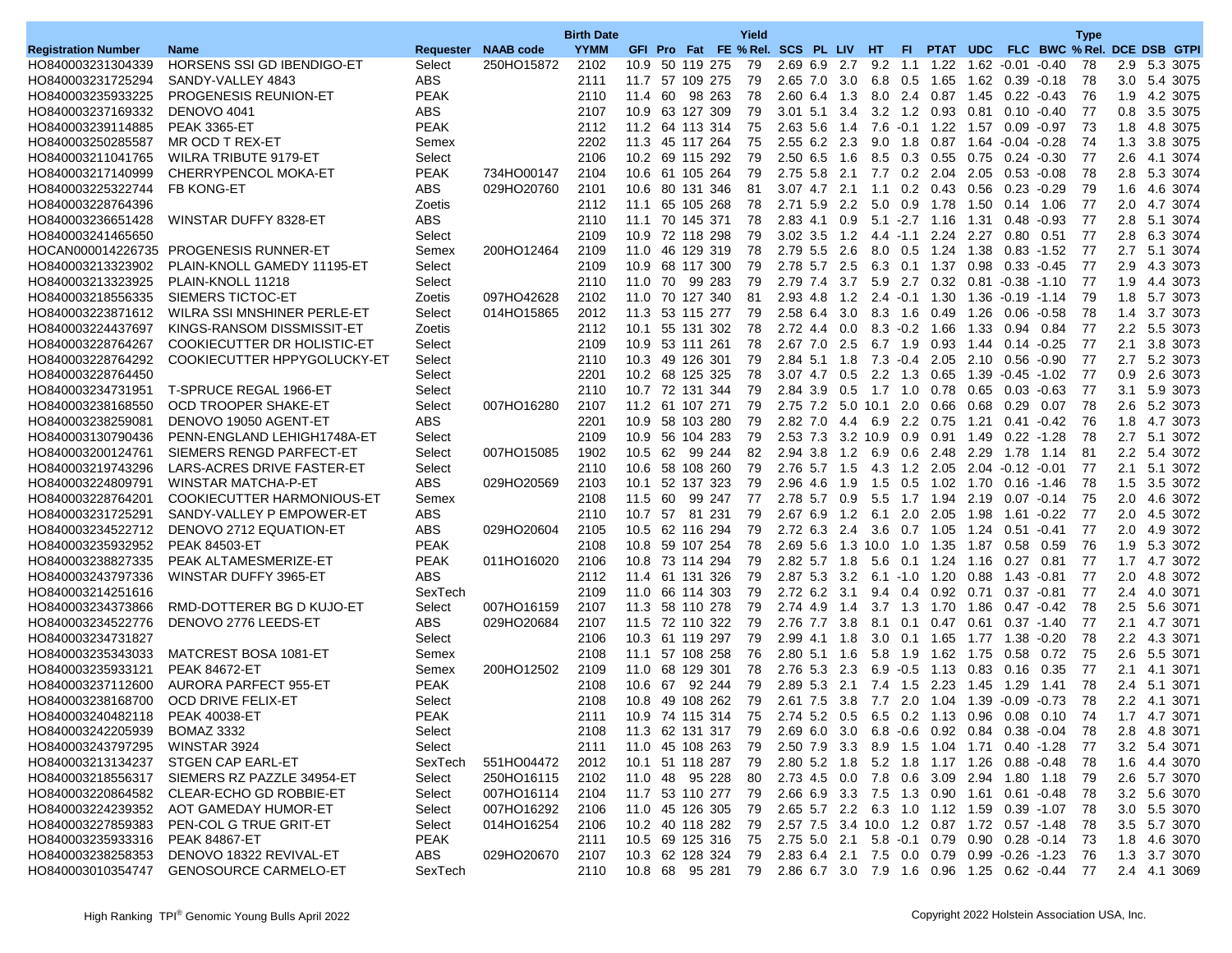|                            |                                        |             |                     | <b>Birth Date</b> |                    |    |            |        | Yield                               |                       |       |      |                 |                                                                |               |                  |         | <b>Type</b>                          |         |              |
|----------------------------|----------------------------------------|-------------|---------------------|-------------------|--------------------|----|------------|--------|-------------------------------------|-----------------------|-------|------|-----------------|----------------------------------------------------------------|---------------|------------------|---------|--------------------------------------|---------|--------------|
| <b>Registration Number</b> | <b>Name</b>                            |             | Requester NAAB code | <b>YYMM</b>       |                    |    |            |        | GFI Pro Fat FE % Rel. SCS PL LIV HT |                       |       |      | FL.             |                                                                |               |                  |         | PTAT UDC FLC BWC % Rel. DCE DSB GTPI |         |              |
| HO840003231304339          | <b>HORSENS SSI GD IBENDIGO-ET</b>      | Select      | 250HO15872          | 2102              | 10.9 50 119 275    |    |            |        | 79                                  | 2.69 6.9 2.7          |       |      |                 | 9.2 1.1 1.22 1.62 0.01                                         |               |                  | $-0.40$ | 78                                   |         | 2.9 5.3 3075 |
| HO840003231725294          | SANDY-VALLEY 4843                      | <b>ABS</b>  |                     | 2111              | 11.7 57 109 275    |    |            |        | 79                                  | 2.65 7.0              | 3.0   | 6.8  | 0.5             | 1.65                                                           |               | 1.62 0.39        | $-0.18$ | 78                                   | 3.0     | 5.4 3075     |
| HO840003235933225          | <b>PROGENESIS REUNION-ET</b>           | <b>PEAK</b> |                     | 2110              | 11.4 60            |    | 98 263     |        | 78                                  | 2.60 6.4              | 1.3   |      |                 | 8.0 2.4 0.87                                                   |               | 1.45 0.22 -0.43  |         | 76                                   | 1.9     | 4.2 3075     |
| HO840003237169332          | DENOVO 4041                            | <b>ABS</b>  |                     | 2107              | 10.9 63 127 309    |    |            |        | 79                                  | $3.01$ 5.1            | 3.4   |      |                 | 3.2 1.2 0.93 0.81 0.10 -0.40                                   |               |                  |         | 77                                   |         | 0.8 3.5 3075 |
| HO840003239114885          | <b>PEAK 3365-ET</b>                    | <b>PEAK</b> |                     | 2112              | 11.2 64 113 314    |    |            |        | 75                                  | 2.63 5.6              | 1.4   | 7.6  | $-0.1$          | 1.22                                                           | 1.57          | $0.09 - 0.97$    |         | 73                                   | 1.8     | 4.8 3075     |
| HO840003250285587          | MR OCD T REX-ET                        | Semex       |                     | 2202              | 11.3 45 117 264    |    |            |        | 75                                  | 2.55 6.2 2.3          |       |      | $9.0$ 1.8       | 0.87                                                           |               |                  |         | 74                                   | 1.3     | 3.8 3075     |
| HO840003211041765          | WILRA TRIBUTE 9179-ET                  | Select      |                     | 2106              | 10.2 69 115 292    |    |            |        | 79                                  | $2.50$ 6.5            | 1.6   |      |                 | 8.5 0.3 0.55                                                   |               | 0.75 0.24        | $-0.30$ | 77                                   | 2.6     | 4.1 3074     |
| HO840003217140999          | CHERRYPENCOL MOKA-ET                   | <b>PEAK</b> | 734HO00147          | 2104              | 10.6               |    | 61 105 264 |        | 79                                  | 2.75 5.8              | 2.1   | 7.7  | 0.2             | 2.04                                                           | 2.05          | 0.53             | $-0.08$ | 78                                   | 2.8     | 5.3 3074     |
| HO840003225322744          | <b>FB KONG-ET</b>                      | ABS         | 029HO20760          | 2101              | 10.6 80 131 346    |    |            |        | 81                                  | 3.07 4.7 2.1          |       |      |                 | $1.1 \t0.2 \t0.43$                                             | 0.56          | $0.23 - 0.29$    |         | 79                                   | 1.6     | 4.6 3074     |
| HO840003228764396          |                                        | Zoetis      |                     | 2112              | 11.1               |    | 65 105 268 |        | 78                                  | 2.71 5.9 2.2          |       |      | $5.0\quad 0.9$  | 1.78                                                           | 1.50          | 0.14 1.06        |         | 77                                   |         | 2.0 4.7 3074 |
| HO840003236651428          | WINSTAR DUFFY 8328-ET                  | <b>ABS</b>  |                     | 2110              | 11.1               |    | 70 145 371 |        | 78                                  | 2.83 4.1              | 0.9   | 5.1  | $-2.7$          | 1.16                                                           | 1.31          | 0.48             | $-0.93$ | 77                                   | 2.8     | 5.1 3074     |
| HO840003241465650          |                                        | Select      |                     | 2109              | 10.9 72 118 298    |    |            |        | 79                                  | $3.02$ $3.5$          | 1.2   |      | $4.4$ 1.1       | 2.24 2.27                                                      |               | 0.80             | 0.51    | -77                                  | 2.8     | 6.3 3074     |
|                            | HOCAN000014226735 PROGENESIS RUNNER-ET | Semex       | 200HO12464          | 2109              | 11.0 46 129 319    |    |            |        | 78                                  | 2.79 5.5              | 2.6   |      | 8.0 0.5         | 1.24 1.38                                                      |               | $0.83 - 1.52$    |         | 77                                   | 2.7     | 5.1 3074     |
| HO840003213323902          | PLAIN-KNOLL GAMEDY 11195-ET            | Select      |                     | 2109              | 10.9               |    | 68 117 300 |        | 79                                  | 2.78 5.7              | 2.5   |      | 6.3 0.1         | 1.37                                                           | 0.98          | 0.33             | $-0.45$ | 77                                   | 2.9     | 4.3 3073     |
| HO840003213323925          | PLAIN-KNOLL 11218                      | Select      |                     | 2110              | 11.0 70 99 283     |    |            |        | 79                                  | 2.79 7.4              | 3.7   |      | 5.9 2.7         | 0.32  0.81  0.38  1.10                                         |               |                  |         | -77                                  | 1.9     | 4.4 3073     |
| HO840003218556335          | SIEMERS TICTOC-ET                      | Zoetis      | 097HO42628          | 2102              | 11.0 70 127 340    |    |            |        | 81                                  | 2.93 4.8              | 1.2   |      |                 | $2.4 - 0.1$ 1.30                                               |               |                  |         | 79                                   | 1.8     | 5.7 3073     |
| HO840003223871612          | WILRA SSI MNSHINER PERLE-ET            | Select      | 014HO15865          | 2012              | 11.3               |    | 53 115 277 |        | 79                                  | 2.58 6.4              | 3.0   |      | $8.3$ 1.6       | 0.49                                                           | 1.26          | 0.06             | $-0.58$ | 78                                   | 1.4     | 3.7 3073     |
| HO840003224437697          | KINGS-RANSOM DISSMISSIT-ET             | Zoetis      |                     | 2112              | 10.1               |    | 55 131 302 |        | 78                                  | 2.72 4.4              | 0.0   |      |                 | $8.3 - 0.2$ 1.66                                               | 1.33          | 0.94             | 0.84    | -77                                  |         | 2.2 5.5 3073 |
| HO840003228764267          | COOKIECUTTER DR HOLISTIC-ET            | Select      |                     | 2109              | 10.9 53 111 261    |    |            |        | 78                                  | 2.67 7.0              | 2.5   |      | 6.7 1.9         | 0.93                                                           | 1.44   0.14   |                  | $-0.25$ | 77                                   | 2.1     | 3.8 3073     |
| HO840003228764292          | COOKIECUTTER HPPYGOLUCKY-ET            | Select      |                     | 2110              | 10.3 49 126 301    |    |            |        | 79                                  | 2.84 5.1              | 1.8   |      | $7.3 - 0.4$     | 2.05                                                           | 2.10          | 0.56             | $-0.90$ | 77                                   | 2.7     | 5.2 3073     |
| HO840003228764450          |                                        | Select      |                     | 2201              | 10.2 68 125 325    |    |            |        | 78                                  | $3.07$ 4.7 0.5        |       |      |                 | 2.2 1.3 0.65                                                   |               | 1.39  0.45  1.02 |         | 77                                   |         | 0.9 2.6 3073 |
| HO840003234731951          | T-SPRUCE REGAL 1966-ET                 | Select      |                     | 2110              | 10.7 72 131 344    |    |            |        | 79                                  | 2.84 3.9 0.5          |       | 1.7  | 1.0             | 0.78                                                           |               | $0.65$ 0.03      | $-0.63$ | 77                                   | 3.1     | 5.9 3073     |
| HO840003238168550          | OCD TROOPER SHAKE-ET                   | Select      | 007HO16280          | 2107              | 11.2 61 107 271    |    |            |        | 79                                  | 2.75 7.2              | 5.0   | 10.1 | 2.0             | 0.66                                                           | 0.68          | 0.29             | 0.07    | 78                                   | $2.6\,$ | 5.2 3073     |
| HO840003238259081          | DENOVO 19050 AGENT-ET                  | <b>ABS</b>  |                     | 2201              | 10.9 58 103 280    |    |            |        | 79                                  | 2.82 7.0 4.4          |       |      |                 | 6.9 2.2 0.75 1.21                                              |               | $0.41 - 0.42$    |         | 76                                   | 1.8     | 4.7 3073     |
| HO840003130790436          | PENN-ENGLAND LEHIGH1748A-ET            | Select      |                     | 2109              | 10.9 56 104 283    |    |            |        | 79                                  | 2.53 7.3 3.2 10.9 0.9 |       |      |                 | 0.91                                                           | 1.49          | 0.22             | $-1.28$ | 78                                   | 2.7     | 5.1 3072     |
| HO840003200124761          | SIEMERS RENGD PARFECT-ET               | Select      | 007HO15085          | 1902              | 10.5               | 62 |            | 99 244 | 82                                  | 2.94 3.8              | 1.2   | 6.9  | 0.6             | 2.48                                                           | 2.29          | 1.78             | 1.14    | 81                                   | 2.2     | 5.4 3072     |
| HO840003219743296          | LARS-ACRES DRIVE FASTER-ET             | Select      |                     | 2110              | 10.6 58 108 260    |    |            |        | 79                                  | 2.76 5.7 1.5          |       |      |                 | 4.3 1.2 2.05                                                   |               | 2.04 -0.12 -0.01 |         | -77                                  | 2.1     | 5.1 3072     |
| HO840003224809791          | WINSTAR MATCHA-P-ET                    | ABS         | 029HO20569          | 2103              | 10.1               |    | 52 137 323 |        | 79                                  | 2.96 4.6              | 1.9   | 1.5  | 0.5             | 1.02                                                           | 1.70          | 0.16             | $-1.46$ | 78                                   | 1.5     | 3.5 3072     |
| HO840003228764201          | <b>COOKIECUTTER HARMONIOUS-ET</b>      | Semex       |                     | 2108              | 11.5               | 60 | 99         | 247    | 77                                  | 2.78 5.7              | 0.9   | 5.5  | 1.7             | 1.94                                                           | 2.19          | $0.07 - 0.14$    |         | 75                                   | 2.0     | 4.6 3072     |
| HO840003231725291          | SANDY-VALLEY P EMPOWER ET              | ABS         |                     | 2110              | 10.7 57            |    | 81 231     |        | 79                                  | $2.67$ 6.9            | 1.2   | 6.1  | 2.0             | 2.05                                                           | 1.98          | $1.61 - 0.22$    |         | 77                                   | 2.0     | 4.5 3072     |
| HO840003234522712          | DENOVO 2712 EQUATION-ET                | ABS         | 029HO20604          | 2105              | 10.5 62 116 294    |    |            |        | 79                                  | 2.72 6.3              | 2.4   | 3.6  | 0.7             | 1.05                                                           | 1.24          | 0.51             | $-0.41$ | 77                                   | 2.0     | 4.9 3072     |
| HO840003235932952          | <b>PEAK 84503-ET</b>                   | <b>PEAK</b> |                     | 2108              | 10.8               |    | 59 107 254 |        | 78                                  | 2.69 5.6              | 1.3   | 10.0 | 1.0             | 1.35                                                           | 1.87          | 0.58             | 0.59    | 76                                   | 1.9     | 5.3 3072     |
| HO840003238827335          | PEAK ALTAMESMERIZE-ET                  | <b>PEAK</b> | 011HO16020          | 2106              | 10.8 73 114 294    |    |            |        | 79                                  | 2.82 5.7 1.8          |       |      |                 | 5.6 0.1 1.24 1.16 0.27 0.81                                    |               |                  |         | -77                                  |         | 1.7 4.7 3072 |
| HO840003243797336          | WINSTAR DUFFY 3965-ET                  | <b>ABS</b>  |                     | 2112              | 11.4               |    | 61 131 326 |        | 79                                  | 2.87 5.3              | 3.2   |      |                 | $6.1 - 1.0$ 1.20                                               | 0.88          | 1.43             | $-0.81$ | 77                                   | 2.0     | 4.8 3072     |
| HO840003214251616          |                                        | SexTech     |                     | 2109              | 11.0               |    | 66 114 303 |        | 79                                  | $2.72$ 6.2            | 3.1   | 9.4  | 0.4             | 0.92                                                           | 0.71          | 0.37             | $-0.81$ | 77                                   | 2.4     | 4.0 3071     |
| HO840003234373866          | RMD-DOTTERER BG D KUJO-ET              | Select      | 007HO16159          | 2107              | 11.3 58 110 278    |    |            |        | 79                                  | 2.74 4.9              | 1.4   |      |                 | 3.7 1.3 1.70 1.86 0.47 0.42                                    |               |                  |         | 78                                   |         | 2.5 5.6 3071 |
| HO840003234522776          | DENOVO 2776 LEEDS-ET                   | ABS.        | 029HO20684          | 2107              | 11.5               |    | 72 110 322 |        | 79                                  | 2.76 7.7              | 3.8   | 8.1  | 0.1             | 0.47                                                           | 0.61          | $0.37 - 1.40$    |         | 77                                   | 2.1     | 4.7 3071     |
| HO840003234731827          |                                        | Select      |                     | 2106              | 10.3 61 119 297    |    |            |        | 79                                  | 2.99 4.1              | 1.8   |      | $3.0 \quad 0.1$ | 1.65                                                           |               | 1.77 1.38        | $-0.20$ | 78                                   | 2.2     | 4.3 3071     |
| HO840003235343033          | MATCREST BOSA 1081-ET                  | Semex       |                     | 2108              | 11.1 57 108 258    |    |            |        | 76                                  | 2.80 5.1              | 1.6   |      | 5.8 1.9         | 1.62 1.75                                                      |               | 0.58             | 0.72    | 75                                   | $2.6\,$ | 5.5 3071     |
| HO840003235933121          | <b>PEAK 84672-ET</b>                   | Semex       | 200HO12502          | 2109              | 11.0 68 129 301    |    |            |        | 78                                  | 2.76 5.3              | 2.3   |      | $6.9 - 0.5$     | 1.13                                                           | 0.83          | 0.16             | 0.35    | 77                                   | 2.1     | 4.1 3071     |
| HO840003237112600          | AURORA PARFECT 955-ET                  | <b>PEAK</b> |                     | 2108              | 10.6               | 67 |            | 92 244 | 79                                  | 2.89 5.3              | 2.1   | 7.4  | 1.5             | 2.23                                                           | 1.45          | 1.29             | 1.41    | 78                                   | 2.4     | 5.1 3071     |
| HO840003238168700          | <b>OCD DRIVE FELIX-ET</b>              | Select      |                     | 2108              | 10.8 49 108 262    |    |            |        | 79                                  | 2.61 7.5              | - 3.8 | 7.7  | 2.0             | 1.04                                                           | $1.39 - 0.09$ |                  | $-0.73$ | 78                                   | 2.2     | 4.1 3071     |
| HO840003240482118          | <b>PEAK 40038-ET</b>                   | <b>PEAK</b> |                     | 2111              | 10.9 74 115 314    |    |            |        | 75                                  |                       |       |      |                 | 2.74 5.2 0.5 6.5 0.2 1.13 0.96 0.08                            |               |                  | 0.10    | 74                                   | 1.7     | 4.7 3071     |
| HO840003242205939          | <b>BOMAZ 3332</b>                      | Select      |                     | 2108              | 11.3 62 131 317 79 |    |            |        |                                     |                       |       |      |                 | 2.69 6.0 3.0 6.8 0.6 0.92 0.84 0.38 0.04                       |               |                  |         | 78                                   |         | 2.8 4.8 3071 |
| HO840003243797295          | WINSTAR 3924                           | Select      |                     | 2111              | 11.0 45 108 263    |    |            |        | 79                                  |                       |       |      |                 | 2.50 7.9 3.3 8.9 1.5 1.04 1.71 0.40 -1.28                      |               |                  |         | 77                                   |         | 3.2 5.4 3071 |
| HO840003213134237          | STGEN CAP EARL-ET                      | SexTech     | 551HO04472          | 2012              | 10.1 51 118 287    |    |            |        | 79                                  |                       |       |      |                 | 2.80 5.2 1.8 5.2 1.8 1.17 1.26 0.88 0.48                       |               |                  |         | -78                                  |         | 1.6 4.4 3070 |
| HO840003218556317          | SIEMERS RZ PAZZLE 34954-ET             | Select      | 250HO16115          | 2102              | 11.0 48 95 228     |    |            |        | 80                                  |                       |       |      |                 | 2.73 4.5 0.0 7.8 0.6 3.09 2.94 1.80 1.18                       |               |                  |         | 79                                   |         | 2.6 5.7 3070 |
| HO840003220864582          | CLEAR-ECHO GD ROBBIE-ET                | Select      | 007HO16114          | 2104              | 11.7 53 110 277    |    |            |        | -79                                 |                       |       |      |                 | 2.66 6.9 3.3 7.5 1.3 0.90 1.61 0.61 0.48                       |               |                  |         | 78                                   |         | 3.2 5.6 3070 |
| HO840003224239352          | AOT GAMEDAY HUMOR-ET                   | Select      | 007HO16292          | 2106              | 11.0 45 126 305    |    |            |        | 79                                  |                       |       |      |                 | 2.65 5.7 2.2 6.3 1.0 1.12 1.59 0.39 -1.07                      |               |                  |         | -78                                  |         | 3.0 5.5 3070 |
| HO840003227859383          | PEN-COL G TRUE GRIT-ET                 | Select      | 014HO16254          | 2106              | 10.2 40 118 282    |    |            |        | 79                                  |                       |       |      |                 | 2.57 7.5 3.4 10.0 1.2 0.87 1.72 0.57 -1.48                     |               |                  |         | 78                                   |         | 3.5 5.7 3070 |
| HO840003235933316          | <b>PEAK 84867-ET</b>                   | <b>PEAK</b> |                     | 2111              | 10.5 69 125 316    |    |            |        | 75                                  |                       |       |      |                 | 2.75 5.0 2.1 5.8 -0.1 0.79 0.90 0.28 -0.14                     |               |                  |         | -73                                  |         | 1.8 4.6 3070 |
| HO840003238258353          | DENOVO 18322 REVIVAL-ET                | ABS         | 029HO20670          | 2107              | 10.3 62 128 324    |    |            |        | 79                                  |                       |       |      |                 | 2.83 6.4 2.1 7.5 0.0 0.79 0.99 0.26 -1.23                      |               |                  |         | 76                                   |         | 1.3 3.7 3070 |
| HO840003010354747          | <b>GENOSOURCE CARMELO-ET</b>           | SexTech     |                     | 2110              |                    |    |            |        |                                     |                       |       |      |                 | 10.8 68 95 281 79 2.86 6.7 3.0 7.9 1.6 0.96 1.25 0.62 -0.44 77 |               |                  |         |                                      |         | 2.4 4.1 3069 |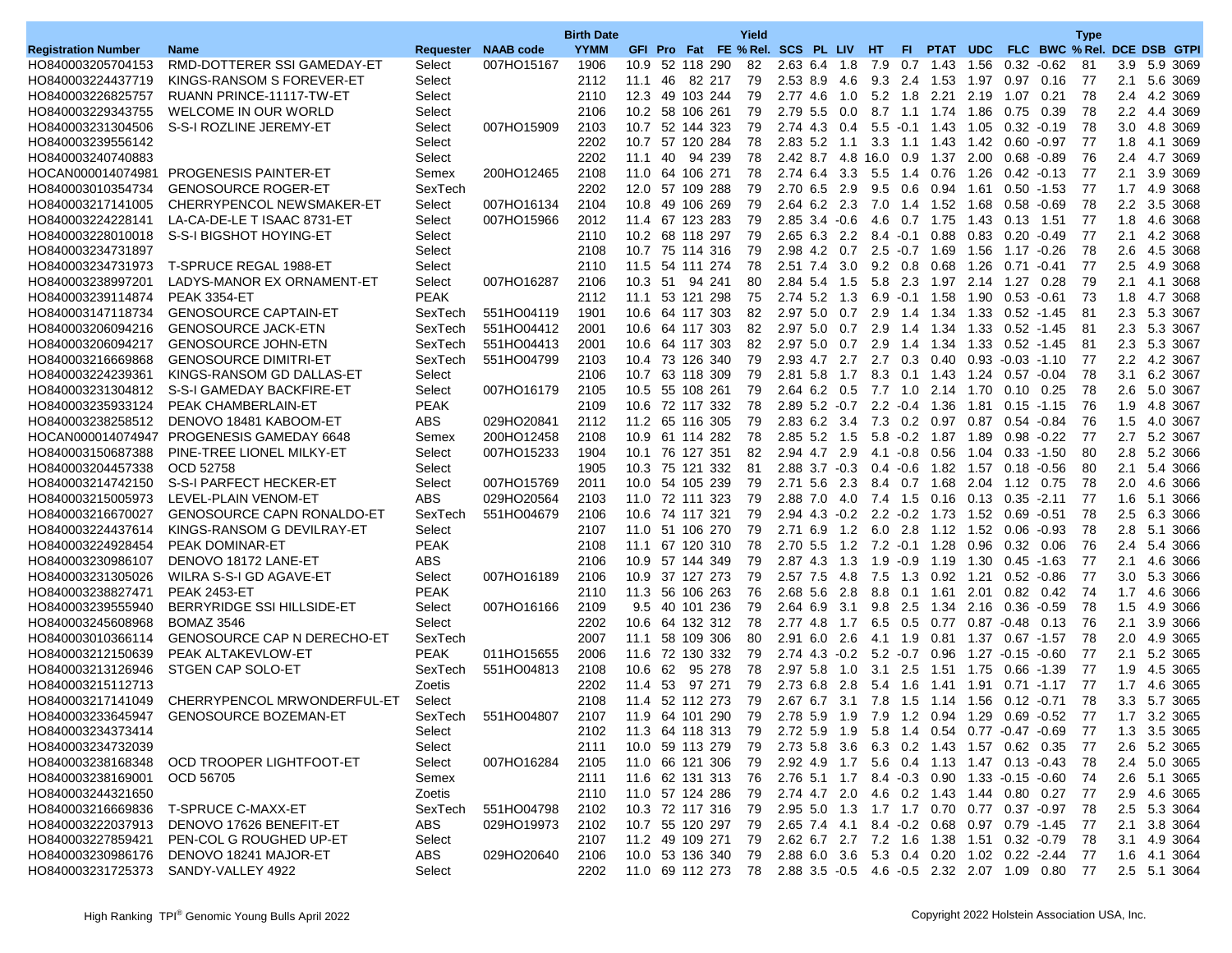|                            |                                           |             |                     | <b>Birth Date</b> |      |    |                 |        | Yield                               |                       |        |                 |                 |                                                                  |      |                       |               | <b>Type</b>                 |               |              |
|----------------------------|-------------------------------------------|-------------|---------------------|-------------------|------|----|-----------------|--------|-------------------------------------|-----------------------|--------|-----------------|-----------------|------------------------------------------------------------------|------|-----------------------|---------------|-----------------------------|---------------|--------------|
| <b>Registration Number</b> | <b>Name</b>                               |             | Requester NAAB code | <b>YYMM</b>       |      |    |                 |        | GFI Pro Fat FE % Rel. SCS PL LIV HT |                       |        |                 | FL.             | PTAT UDC                                                         |      |                       |               | FLC BWC % Rel. DCE DSB GTPI |               |              |
| HO840003205704153          | RMD-DOTTERER SSI GAMEDAY-ET               | Select      | 007HO15167          | 1906              |      |    | 10.9 52 118 290 |        | 82                                  | 2.63 6.4 1.8          |        | 7.9             |                 | 0.7 1.43                                                         |      | 1.56 0.32 -0.62       |               | 81                          |               | 3.9 5.9 3069 |
| HO840003224437719          | KINGS-RANSOM S FOREVER-ET                 | Select      |                     | 2112              | 11.1 | 46 |                 | 82 217 | 79                                  | 2.53 8.9              | 4.6    | 9.3             | 2.4             | 1.53                                                             | 1.97 | 0.97                  | 0.16          | 77                          | 2.1           | 5.6 3069     |
| HO840003226825757          | RUANN PRINCE-11117-TW-ET                  | Select      |                     | 2110              |      |    | 12.3 49 103 244 |        | 79                                  | 2.77 4.6              | 1.0    |                 | $5.2$ 1.8       | 2.21                                                             |      | 2.19 1.07             | 0.21          | 78                          |               | 2.4 4.2 3069 |
| HO840003229343755          | <b>WELCOME IN OUR WORLD</b>               | Select      |                     | 2106              |      |    | 10.2 58 106 261 |        | 79                                  | 2.79 5.5 0.0          |        |                 |                 | 8.7 1.1 1.74                                                     |      | 1.86 0.75             | 0.39          | 78                          |               | 2.2 4.4 3069 |
| HO840003231304506          | S-S-I ROZLINE JEREMY-ET                   | Select      | 007HO15909          | 2103              | 10.7 |    | 52 144 323      |        | 79                                  | 2.74 4.3              | 0.4    | 5.5             | $-0.1$          | 1.43                                                             | 1.05 | $0.32 - 0.19$         |               | 78                          | 3.0           | 4.8 3069     |
| HO840003239556142          |                                           | Select      |                     | 2202              |      |    | 10.7 57 120 284 |        | 78                                  | $2.83$ 5.2 1.1        |        |                 |                 | 3.3 1.1 1.43                                                     |      | 1.42  0.60  -0.97     |               | 77                          | 1.8           | 4.1 3069     |
| HO840003240740883          |                                           | Select      |                     | 2202              | 11.1 |    | 40 94 239       |        | 78                                  | 2.42 8.7 4.8 16.0 0.9 |        |                 |                 | 1.37                                                             |      | 2.00 0.68 0.89        |               | 76                          | 2.4           | 4.7 3069     |
| HOCAN000014074981          | PROGENESIS PAINTER-ET                     | Semex       | 200HO12465          | 2108              | 11.0 |    | 64 106 271      |        | 78                                  | 2.74 6.4              | 3.3    | 5.5             | 1.4             | 0.76                                                             | 1.26 | $0.42 - 0.13$         |               | 77                          | 2.1           | 3.9 3069     |
| HO840003010354734          | <b>GENOSOURCE ROGER-ET</b>                | SexTech     |                     | 2202              |      |    | 12.0 57 109 288 |        | 79                                  | 2.70 6.5 2.9          |        |                 | $9.5 \quad 0.6$ | 0.94                                                             | 1.61 | $0.50 - 1.53$         |               | 77                          |               | 1.7 4.9 3068 |
| HO840003217141005          | CHERRYPENCOL NEWSMAKER-ET                 | Select      | 007HO16134          | 2104              |      |    | 10.8 49 106 269 |        | 79                                  | 2.64 6.2 2.3          |        |                 |                 | 7.0 1.4 1.52                                                     |      | 1.68 0.58 -0.69       |               | 78                          |               | 2.2 3.5 3068 |
| HO840003224228141          | LA-CA-DE-LE T ISAAC 8731-ET               | Select      | 007HO15966          | 2012              |      |    | 11.4 67 123 283 |        | 79                                  | 2.85 3.4              | $-0.6$ | 4.6             |                 | 0.7 1.75                                                         | 1.43 | $0.13$ 1.51           |               | 77                          | 1.8           | 4.6 3068     |
| HO840003228010018          | S-S-I BIGSHOT HOYING-ET                   | Select      |                     | 2110              |      |    | 10.2 68 118 297 |        | 79                                  | 2.65 6.3 2.2          |        | $8.4 \quad 0.1$ |                 | 0.88                                                             |      | $0.83$ 0.20           | $-0.49$       | 77                          | 2.1           | 4.2 3068     |
| HO840003234731897          |                                           | Select      |                     | 2108              |      |    | 10.7 75 114 316 |        | 79                                  | 2.98 4.2              | 0.7    |                 |                 | $2.5 - 0.7$ 1.69                                                 |      | 1.56 1.17 -0.26       |               | 78                          | $2.6\,$       | 4.5 3068     |
| HO840003234731973          | T-SPRUCE REGAL 1988-ET                    | Select      |                     | 2110              | 11.5 |    | 54 111 274      |        | 78                                  | 2.51 7.4              | 3.0    | $9.2 \quad 0.8$ |                 | 0.68                                                             | 1.26 | 0.71                  | $-0.41$       | 77                          | 2.5           | 4.9 3068     |
| HO840003238997201          | LADYS-MANOR EX ORNAMENT-ET                | Select      | 007HO16287          | 2106              |      |    | 10.3 51 94 241  |        | 80                                  | 2.84 5.4 1.5          |        |                 |                 | 5.8 2.3 1.97                                                     |      | 2.14 1.27 0.28        |               | 79                          | 2.1           | 4.1 3068     |
| HO840003239114874          | <b>PEAK 3354-ET</b>                       | <b>PEAK</b> |                     | 2112              |      |    | 11.1 53 121 298 |        | 75                                  | 2.74 5.2              | 1.3    |                 |                 | $6.9 - 0.1$ 1.58                                                 |      | 1.90 0.53 -0.61       |               | 73                          | 1.8           | 4.7 3068     |
| HO840003147118734          | <b>GENOSOURCE CAPTAIN-ET</b>              | SexTech     | 551HO04119          | 1901              | 10.6 |    | 64 117 303      |        | 82                                  | $2.97$ 5.0            | 0.7    | 2.9             | 1.4             | 1.34                                                             |      | 1.33 0.52 -1.45       |               | 81                          | 2.3           | 5.3 3067     |
| HO840003206094216          | <b>GENOSOURCE JACK-ETN</b>                | SexTech     | 551HO04412          | 2001              |      |    | 10.6 64 117 303 |        | 82                                  | 2.97 5.0 0.7          |        |                 |                 | 2.9 1.4 1.34                                                     |      | 1.33  0.52  -1.45     |               | 81                          | 2.3           | 5.3 3067     |
| HO840003206094217          | <b>GENOSOURCE JOHN-ETN</b>                | SexTech     | 551HO04413          | 2001              |      |    | 10.6 64 117 303 |        | 82                                  | $2.97$ 5.0            | 0.7    | 2.9             | 1.4             | 1.34                                                             |      | 1.33 0.52 -1.45       |               | 81                          | 2.3           | 5.3 3067     |
| HO840003216669868          | <b>GENOSOURCE DIMITRI-ET</b>              | SexTech     | 551HO04799          | 2103              |      |    | 10.4 73 126 340 |        | 79                                  | 2.93 4.7              | 2.7    | 2.7             | 0.3             | 0.40                                                             |      | $0.93 - 0.03 - 1.10$  |               | 77                          | $2.2^{\circ}$ | 4.2 3067     |
| HO840003224239361          | KINGS-RANSOM GD DALLAS-ET                 | Select      |                     | 2106              |      |    | 10.7 63 118 309 |        | 79                                  | 2.81 5.8              | 1.7    |                 |                 | 8.3 0.1 1.43                                                     |      | 1.24  0.57  -0.04     |               | 78                          |               | 3.1 6.2 3067 |
| HO840003231304812          | S-S-I GAMEDAY BACKFIRE-ET                 | Select      | 007HO16179          | 2105              |      |    | 10.5 55 108 261 |        | 79                                  | 2.64 6.2 0.5          |        | 7.7 1.0         |                 | 2.14                                                             |      | 1.70 0.10             | 0.25          | 78                          | $2.6\,$       | 5.0 3067     |
| HO840003235933124          | PEAK CHAMBERLAIN-ET                       | <b>PEAK</b> |                     | 2109              | 10.6 |    | 72 117 332      |        | 78                                  | $2.89$ 5.2 $-0.7$     |        |                 | $2.2 - 0.4$     | 1.36                                                             | 1.81 | $0.15 - 1.15$         |               | 76                          | 1.9           | 4.8 3067     |
|                            | HO840003238258512 DENOVO 18481 KABOOM-ET  | ABS         | 029HO20841          | 2112              |      |    | 11.2 65 116 305 |        | 79                                  | 2.83 6.2 3.4          |        |                 |                 | 7.3 0.2 0.97 0.87 0.54 -0.84                                     |      |                       |               | 76                          |               | 1.5 4.0 3067 |
|                            | HOCAN000014074947 PROGENESIS GAMEDAY 6648 | Semex       | 200HO12458          | 2108              |      |    | 10.9 61 114 282 |        | 78                                  | 2.85 5.2 1.5          |        | $5.8 \t0.2$     |                 | 1.87                                                             |      | 1.89 0.98 -0.22       |               | 77                          |               | 2.7 5.2 3067 |
| HO840003150687388          | PINE-TREE LIONEL MILKY-ET                 | Select      | 007HO15233          | 1904              |      |    | 10.1 76 127 351 |        | 82                                  | 2.94 4.7 2.9          |        | 4.1 - 0.8       |                 | 0.56                                                             | 1.04 | $0.33 - 1.50$         |               | 80                          | 2.8           | 5.2 3066     |
| HO840003204457338          | OCD 52758                                 | Select      |                     | 1905              |      |    | 10.3 75 121 332 |        | 81                                  | $2.88$ 3.7 $-0.3$     |        |                 |                 | $0.4 - 0.6$ 1.82                                                 |      | 1.57 0.18 -0.56       |               | 80                          | 2.1           | 5.4 3066     |
| HO840003214742150          | S-S-I PARFECT HECKER-ET                   | Select      | 007HO15769          | 2011              |      |    | 10.0 54 105 239 |        | 79                                  | 2.71 5.6              | 2.3    | 8.4 0.7         |                 | 1.68                                                             |      | 2.04 1.12 0.75        |               | 78                          | $2.0\,$       | 4.6 3066     |
| HO840003215005973          | LEVEL-PLAIN VENOM-ET                      | <b>ABS</b>  | 029HO20564          | 2103              | 11.0 |    | 72 111 323      |        | 79                                  | 2.88 7.0              | 4.0    | 7.4 1.5         |                 | 0.16                                                             |      | $0.13$ $0.35$ $-2.11$ |               | 77                          | 1.6           | 5.1 3066     |
| HO840003216670027          | <b>GENOSOURCE CAPN RONALDO-ET</b>         | SexTech     | 551HO04679          | 2106              |      |    | 10.6 74 117 321 |        | 79                                  |                       |        |                 |                 | 2.94 4.3 -0.2 2.2 -0.2 1.73                                      |      | 1.52  0.69  -0.51     |               | 78                          | 2.5           | 6.3 3066     |
| HO840003224437614          | KINGS-RANSOM G DEVILRAY-ET                | Select      |                     | 2107              |      |    | 11.0 51 106 270 |        | 79                                  | $2.71$ 6.9            | 1.2    | $6.0$ 2.8       |                 | 1.12                                                             |      | 1.52 0.06             | $-0.93$       | 78                          | 2.8           | 5.1 3066     |
| HO840003224928454          | <b>PEAK DOMINAR-ET</b>                    | <b>PEAK</b> |                     | 2108              | 11.1 |    | 67 120 310      |        | 78                                  | 2.70 5.5              | 1.2    |                 |                 | 7.2 -0.1 1.28                                                    | 0.96 | 0.32                  | 0.06          | 76                          | 2.4           | 5.4 3066     |
| HO840003230986107          | DENOVO 18172 LANE-ET                      | ABS         |                     | 2106              |      |    | 10.9 57 144 349 |        | 79                                  | $2.87$ 4.3 1.3        |        |                 |                 | $1.9 - 0.9$ 1.19                                                 |      | 1.30 0.45 -1.63       |               | 77                          | 2.1           | 4.6 3066     |
| HO840003231305026          | WILRA S-S-I GD AGAVE-ET                   | Select      | 007HO16189          | 2106              |      |    | 10.9 37 127 273 |        | 79                                  | 2.57 7.5              | 4.8    |                 |                 | 7.5 1.3 0.92                                                     | 1.21 |                       | $0.52 - 0.86$ | 77                          |               | 3.0 5.3 3066 |
| HO840003238827471          | <b>PEAK 2453-ET</b>                       | <b>PEAK</b> |                     | 2110              | 11.3 |    | 56 106 263      |        | 76                                  | 2.68 5.6              | 2.8    | 8.8             | 0.1             | 1.61                                                             | 2.01 | 0.82                  | 0.42          | 74                          | 1.7           | 4.6 3066     |
| HO840003239555940          | BERRYRIDGE SSI HILLSIDE-ET                | Select      | 007HO16166          | 2109              |      |    | 9.5 40 101 236  |        | 79                                  | 2.64 6.9              | 3.1    |                 | $9.8$ 2.5       | 1.34                                                             |      | 2.16 0.36 -0.59       |               | 78                          | 1.5           | 4.9 3066     |
| HO840003245608968          | <b>BOMAZ 3546</b>                         | Select      |                     | 2202              |      |    | 10.6 64 132 312 |        | 78                                  | 2.77 4.8              | 1.7    | 6.5             | $0.5\,$         | 0.77                                                             |      | $0.87 - 0.48$         | 0.13          | 76                          | 2.1           | 3.9 3066     |
| HO840003010366114          | <b>GENOSOURCE CAP N DERECHO-ET</b>        | SexTech     |                     | 2007              | 11.1 |    | 58 109 306      |        | 80                                  | 2.91 6.0              | 2.6    | 4.1 1.9         |                 | 0.81                                                             | 1.37 | $0.67 - 1.57$         |               | 78                          | 2.0           | 4.9 3065     |
| HO840003212150639          | PEAK ALTAKEVLOW-ET                        | <b>PEAK</b> | 011HO15655          | 2006              |      |    | 11.6 72 130 332 |        | 79                                  | $2.74$ 4.3 $-0.2$     |        | $5.2 \quad 0.7$ |                 | 0.96                                                             |      | $1.27 - 0.15 - 0.60$  |               | 77                          | 2.1           | 5.2 3065     |
| HO840003213126946          | STGEN CAP SOLO-ET                         | SexTech     | 551HO04813          | 2108              | 10.6 | 62 |                 | 95 278 | 78                                  | 2.97 5.8              | 1.0    | 3.1             | 2.5             | 1.51                                                             |      | 1.75 0.66 -1.39       |               | 77                          | 1.9           | 4.5 3065     |
| HO840003215112713          |                                           | Zoetis      |                     | 2202              | 11.4 | 53 | 97              | 271    | 79                                  | 2.73 6.8              | 2.8    | 5.4 1.6         |                 | 1.41                                                             | 1.91 | $0.71 - 1.17$         |               | 77                          | 1.7           | 4.6 3065     |
| HO840003217141049          | CHERRYPENCOL MRWONDERFUL-ET               | Select      |                     | 2108              |      |    | 11.4 52 112 273 |        | 79                                  | 2.67 6.7 3.1 7.8      |        |                 |                 | $1.5$ 1.14                                                       |      | 1.56  0.12  -0.71     |               | 78                          |               | 3.3 5.7 3065 |
| HO840003233645947          | <b>GENOSOURCE BOZEMAN-ET</b>              | SexTech     | 551HO04807          | 2107              |      |    | 11.9 64 101 290 |        | 79                                  |                       |        |                 |                 | 2.78 5.9 1.9 7.9 1.2 0.94 1.29 0.69 0.52                         |      |                       |               | 77                          |               | 1.7 3.2 3065 |
| HO840003234373414          |                                           | Select      |                     | 2102              |      |    |                 |        | 11.3 64 118 313 79                  |                       |        |                 |                 | 2.72 5.9 1.9 5.8 1.4 0.54 0.77 0.47 0.69                         |      |                       |               | -77                         |               | 1.3 3.5 3065 |
| HO840003234732039          |                                           | Select      |                     | 2111              |      |    | 10.0 59 113 279 |        | 79                                  |                       |        |                 |                 | 2.73 5.8 3.6 6.3 0.2 1.43 1.57 0.62 0.35                         |      |                       |               | -77                         |               | 2.6 5.2 3065 |
| HO840003238168348          | OCD TROOPER LIGHTFOOT-ET                  | Select      | 007HO16284          | 2105              |      |    | 11.0 66 121 306 |        | 79                                  |                       |        |                 |                 | 2.92 4.9 1.7 5.6 0.4 1.13 1.47 0.13 0.43                         |      |                       |               | -78                         |               | 2.4 5.0 3065 |
| HO840003238169001          | OCD 56705                                 | Semex       |                     | 2111              |      |    |                 |        | 11.6 62 131 313 76                  |                       |        |                 |                 | 2.76 5.1 1.7 8.4 -0.3 0.90 1.33 -0.15 -0.60                      |      |                       |               | -74                         |               | 2.6 5.1 3065 |
| HO840003244321650          |                                           | Zoetis      |                     | 2110              |      |    | 11.0 57 124 286 |        | -79                                 |                       |        |                 |                 | 2.74 4.7 2.0 4.6 0.2 1.43 1.44 0.80 0.27                         |      |                       |               | -77                         |               | 2.9 4.6 3065 |
|                            | HO840003216669836 T-SPRUCE C-MAXX-ET      | SexTech     | 551HO04798          | 2102              |      |    |                 |        | 10.3 72 117 316 79                  |                       |        |                 |                 | 2.95 5.0 1.3 1.7 1.7 0.70 0.77 0.37 -0.97                        |      |                       |               | -78                         |               | 2.5 5.3 3064 |
| HO840003222037913          | DENOVO 17626 BENEFIT-ET                   | ABS         | 029HO19973          | 2102              |      |    |                 |        | 10.7 55 120 297 79                  |                       |        |                 |                 | 2.65 7.4 4.1 8.4 -0.2 0.68 0.97 0.79 -1.45                       |      |                       |               | -77                         |               | 2.1 3.8 3064 |
| HO840003227859421          | PEN-COL G ROUGHED UP-ET                   | Select      |                     | 2107              |      |    | 11.2 49 109 271 |        | 79                                  |                       |        |                 |                 | 2.62 6.7 2.7 7.2 1.6 1.38 1.51 0.32 0.79                         |      |                       |               | -78                         |               | 3.1 4.9 3064 |
|                            | HO840003230986176 DENOVO 18241 MAJOR-ET   | ABS         | 029HO20640          | 2106              |      |    | 10.0 53 136 340 |        | 79                                  |                       |        |                 |                 | 2.88 6.0 3.6 5.3 0.4 0.20 1.02 0.22 -2.44                        |      |                       |               | -77                         |               | 1.6 4.1 3064 |
|                            | HO840003231725373 SANDY-VALLEY 4922       | Select      |                     | 2202              |      |    |                 |        |                                     |                       |        |                 |                 | 11.0 69 112 273 78 2.88 3.5 -0.5 4.6 -0.5 2.32 2.07 1.09 0.80 77 |      |                       |               |                             |               | 2.5 5.1 3064 |